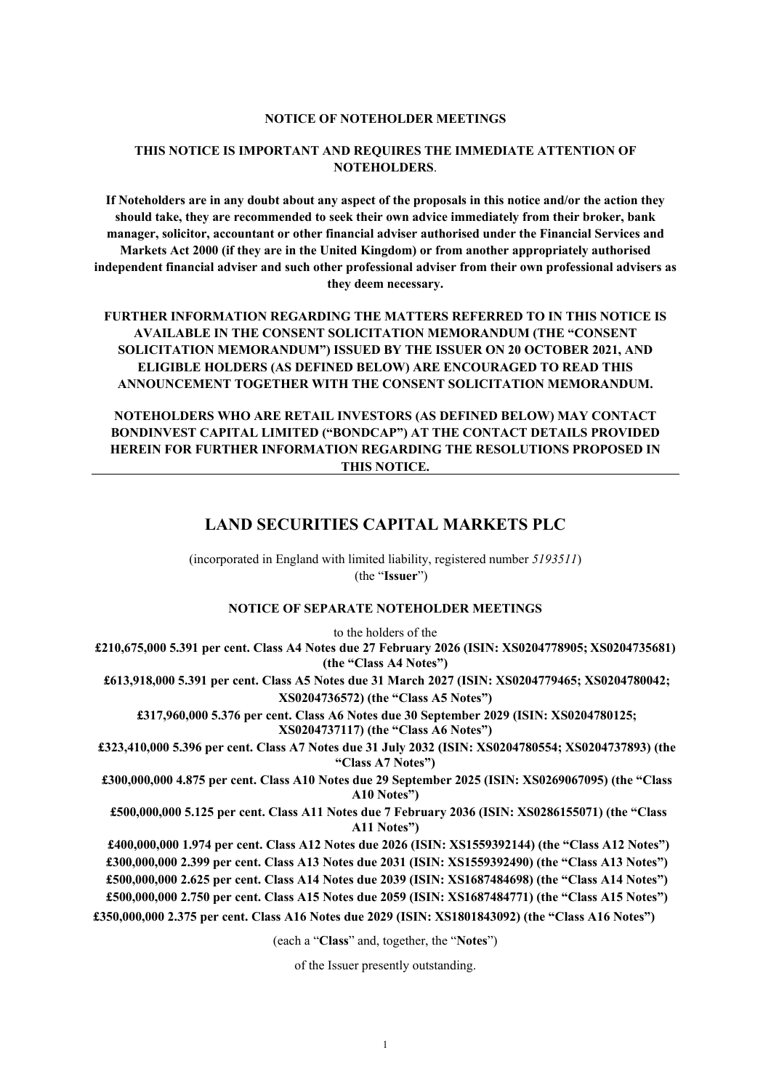#### **NOTICE OF NOTEHOLDER MEETINGS**

## **THIS NOTICE IS IMPORTANT AND REQUIRES THE IMMEDIATE ATTENTION OF NOTEHOLDERS**.

**If Noteholders are in any doubt about any aspect of the proposals in this notice and/or the action they should take, they are recommended to seek their own advice immediately from their broker, bank manager, solicitor, accountant or other financial adviser authorised under the Financial Services and Markets Act 2000 (if they are in the United Kingdom) or from another appropriately authorised independent financial adviser and such other professional adviser from their own professional advisers as they deem necessary.**

**FURTHER INFORMATION REGARDING THE MATTERS REFERRED TO IN THIS NOTICE IS AVAILABLE IN THE CONSENT SOLICITATION MEMORANDUM (THE "CONSENT SOLICITATION MEMORANDUM") ISSUED BY THE ISSUER ON 20 OCTOBER 2021, AND ELIGIBLE HOLDERS (AS DEFINED BELOW) ARE ENCOURAGED TO READ THIS ANNOUNCEMENT TOGETHER WITH THE CONSENT SOLICITATION MEMORANDUM.**

**NOTEHOLDERS WHO ARE RETAIL INVESTORS (AS DEFINED BELOW) MAY CONTACT BONDINVEST CAPITAL LIMITED ("BONDCAP") AT THE CONTACT DETAILS PROVIDED HEREIN FOR FURTHER INFORMATION REGARDING THE RESOLUTIONS PROPOSED IN THIS NOTICE.**

## **LAND SECURITIES CAPITAL MARKETS PLC**

(incorporated in England with limited liability, registered number *5193511*) (the "**Issuer**")

## **NOTICE OF SEPARATE NOTEHOLDER MEETINGS**

to the holders of the **£210,675,000 5.391 per cent. Class A4 Notes due 27 February 2026 (ISIN: XS0204778905; XS0204735681) (the "Class A4 Notes")**

**£613,918,000 5.391 per cent. Class A5 Notes due 31 March 2027 (ISIN: XS0204779465; XS0204780042; XS0204736572) (the "Class A5 Notes")**

**£317,960,000 5.376 per cent. Class A6 Notes due 30 September 2029 (ISIN: XS0204780125; XS0204737117) (the "Class A6 Notes")**

**£323,410,000 5.396 per cent. Class A7 Notes due 31 July 2032 (ISIN: XS0204780554; XS0204737893) (the "Class A7 Notes")**

**£300,000,000 4.875 per cent. Class A10 Notes due 29 September 2025 (ISIN: XS0269067095) (the "Class A10 Notes")**

 **£500,000,000 5.125 per cent. Class A11 Notes due 7 February 2036 (ISIN: XS0286155071) (the "Class A11 Notes")**

 **£400,000,000 1.974 per cent. Class A12 Notes due 2026 (ISIN: XS1559392144) (the "Class A12 Notes") £300,000,000 2.399 per cent. Class A13 Notes due 2031 (ISIN: XS1559392490) (the "Class A13 Notes") £500,000,000 2.625 per cent. Class A14 Notes due 2039 (ISIN: XS1687484698) (the "Class A14 Notes") £500,000,000 2.750 per cent. Class A15 Notes due 2059 (ISIN: XS1687484771) (the "Class A15 Notes")**

**£350,000,000 2.375 per cent. Class A16 Notes due 2029 (ISIN: XS1801843092) (the "Class A16 Notes")**

(each a "**Class**" and, together, the "**Notes**")

of the Issuer presently outstanding.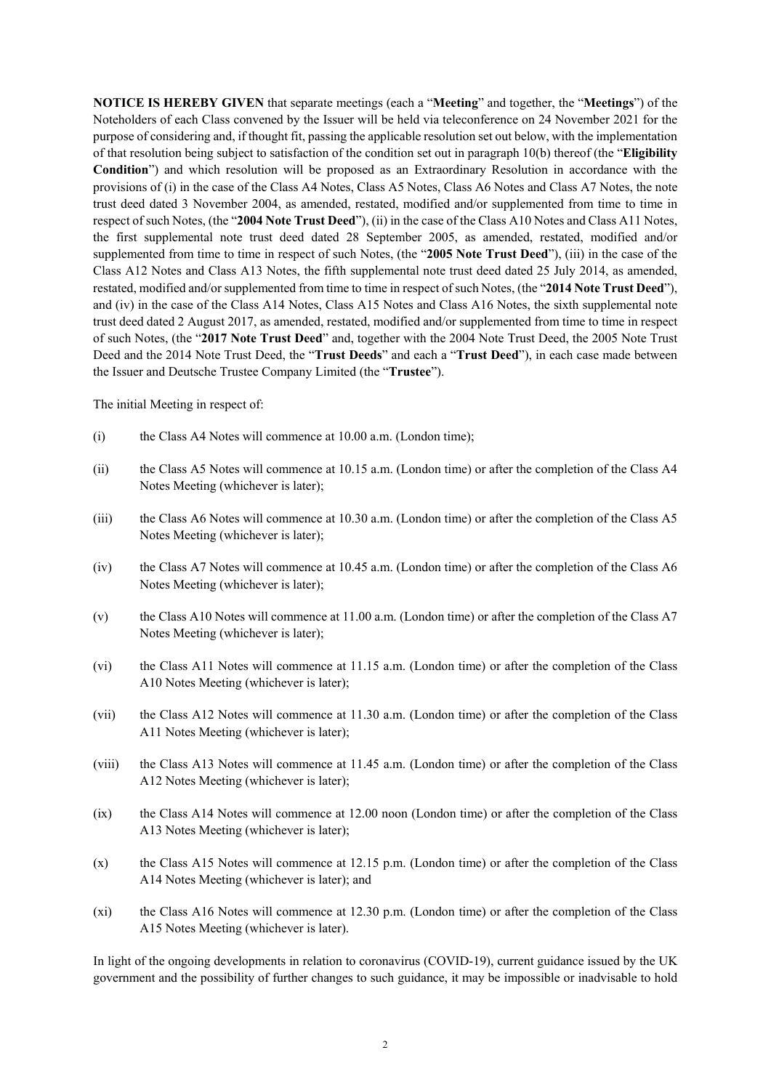**NOTICE IS HEREBY GIVEN** that separate meetings (each a "**Meeting**" and together, the "**Meetings**") of the Noteholders of each Class convened by the Issuer will be held via teleconference on 24 November 2021 for the purpose of considering and, if thought fit, passing the applicable resolution set out below, with the implementation of that resolution being subject to satisfaction of the condition set out in paragraph 10(b) thereof (the "**Eligibility Condition**") and which resolution will be proposed as an Extraordinary Resolution in accordance with the provisions of (i) in the case of the Class A4 Notes, Class A5 Notes, Class A6 Notes and Class A7 Notes, the note trust deed dated 3 November 2004, as amended, restated, modified and/or supplemented from time to time in respect of such Notes, (the "**2004 Note Trust Deed**"), (ii) in the case of the Class A10 Notes and Class A11 Notes, the first supplemental note trust deed dated 28 September 2005, as amended, restated, modified and/or supplemented from time to time in respect of such Notes, (the "**2005 Note Trust Deed**"), (iii) in the case of the Class A12 Notes and Class A13 Notes, the fifth supplemental note trust deed dated 25 July 2014, as amended, restated, modified and/or supplemented from time to time in respect of such Notes, (the "**2014 Note Trust Deed**"), and (iv) in the case of the Class A14 Notes, Class A15 Notes and Class A16 Notes, the sixth supplemental note trust deed dated 2 August 2017, as amended, restated, modified and/or supplemented from time to time in respect of such Notes, (the "**2017 Note Trust Deed**" and, together with the 2004 Note Trust Deed, the 2005 Note Trust Deed and the 2014 Note Trust Deed, the "**Trust Deeds**" and each a "**Trust Deed**"), in each case made between the Issuer and Deutsche Trustee Company Limited (the "**Trustee**").

The initial Meeting in respect of:

- (i) the Class A4 Notes will commence at 10.00 a.m. (London time);
- (ii) the Class A5 Notes will commence at 10.15 a.m. (London time) or after the completion of the Class A4 Notes Meeting (whichever is later);
- (iii) the Class A6 Notes will commence at 10.30 a.m. (London time) or after the completion of the Class A5 Notes Meeting (whichever is later);
- (iv) the Class A7 Notes will commence at 10.45 a.m. (London time) or after the completion of the Class A6 Notes Meeting (whichever is later);
- (v) the Class A10 Notes will commence at 11.00 a.m. (London time) or after the completion of the Class A7 Notes Meeting (whichever is later);
- (vi) the Class A11 Notes will commence at 11.15 a.m. (London time) or after the completion of the Class A10 Notes Meeting (whichever is later);
- (vii) the Class A12 Notes will commence at 11.30 a.m. (London time) or after the completion of the Class A11 Notes Meeting (whichever is later);
- (viii) the Class A13 Notes will commence at 11.45 a.m. (London time) or after the completion of the Class A12 Notes Meeting (whichever is later);
- (ix) the Class A14 Notes will commence at 12.00 noon (London time) or after the completion of the Class A13 Notes Meeting (whichever is later);
- (x) the Class A15 Notes will commence at 12.15 p.m. (London time) or after the completion of the Class A14 Notes Meeting (whichever is later); and
- (xi) the Class A16 Notes will commence at 12.30 p.m. (London time) or after the completion of the Class A15 Notes Meeting (whichever is later).

In light of the ongoing developments in relation to coronavirus (COVID-19), current guidance issued by the UK government and the possibility of further changes to such guidance, it may be impossible or inadvisable to hold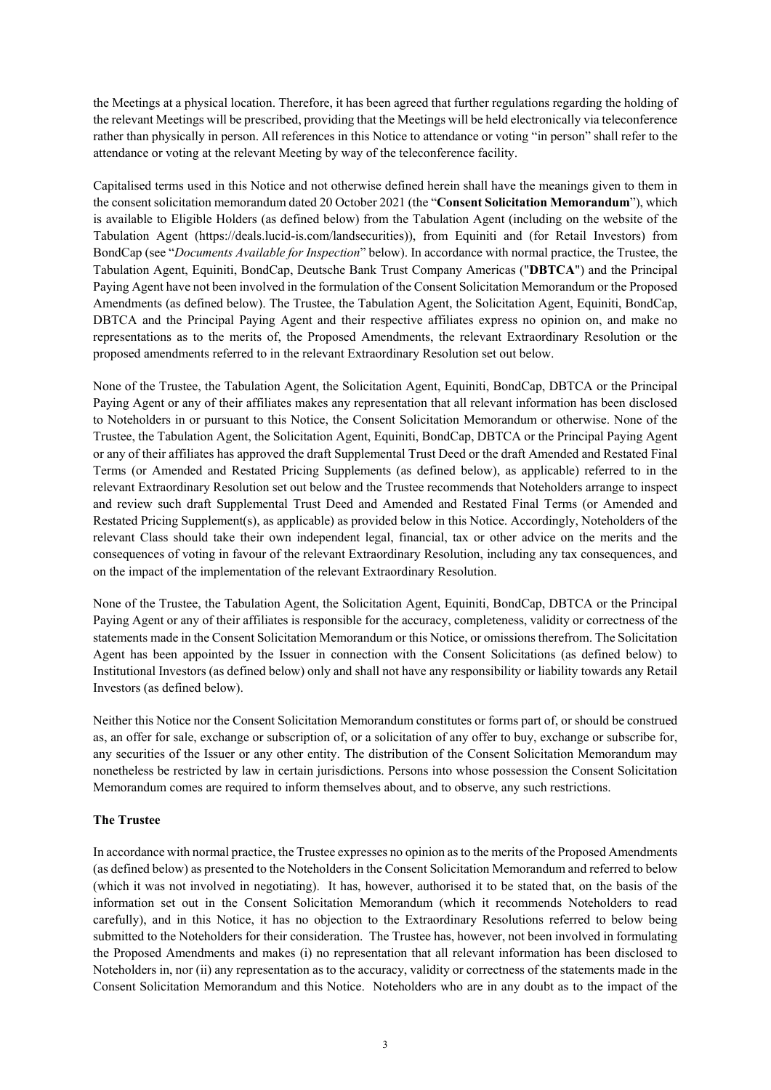the Meetings at a physical location. Therefore, it has been agreed that further regulations regarding the holding of the relevant Meetings will be prescribed, providing that the Meetings will be held electronically via teleconference rather than physically in person. All references in this Notice to attendance or voting "in person" shall refer to the attendance or voting at the relevant Meeting by way of the teleconference facility.

Capitalised terms used in this Notice and not otherwise defined herein shall have the meanings given to them in the consent solicitation memorandum dated 20 October 2021 (the "**Consent Solicitation Memorandum**"), which is available to Eligible Holders (as defined below) from the Tabulation Agent (including on the website of the Tabulation Agent (https://deals.lucid-is.com/landsecurities)), from Equiniti and (for Retail Investors) from BondCap (see "*Documents Available for Inspection*" below). In accordance with normal practice, the Trustee, the Tabulation Agent, Equiniti, BondCap, Deutsche Bank Trust Company Americas ("**DBTCA**") and the Principal Paying Agent have not been involved in the formulation of the Consent Solicitation Memorandum or the Proposed Amendments (as defined below). The Trustee, the Tabulation Agent, the Solicitation Agent, Equiniti, BondCap, DBTCA and the Principal Paying Agent and their respective affiliates express no opinion on, and make no representations as to the merits of, the Proposed Amendments, the relevant Extraordinary Resolution or the proposed amendments referred to in the relevant Extraordinary Resolution set out below.

None of the Trustee, the Tabulation Agent, the Solicitation Agent, Equiniti, BondCap, DBTCA or the Principal Paying Agent or any of their affiliates makes any representation that all relevant information has been disclosed to Noteholders in or pursuant to this Notice, the Consent Solicitation Memorandum or otherwise. None of the Trustee, the Tabulation Agent, the Solicitation Agent, Equiniti, BondCap, DBTCA or the Principal Paying Agent or any of their affiliates has approved the draft Supplemental Trust Deed or the draft Amended and Restated Final Terms (or Amended and Restated Pricing Supplements (as defined below), as applicable) referred to in the relevant Extraordinary Resolution set out below and the Trustee recommends that Noteholders arrange to inspect and review such draft Supplemental Trust Deed and Amended and Restated Final Terms (or Amended and Restated Pricing Supplement(s), as applicable) as provided below in this Notice. Accordingly, Noteholders of the relevant Class should take their own independent legal, financial, tax or other advice on the merits and the consequences of voting in favour of the relevant Extraordinary Resolution, including any tax consequences, and on the impact of the implementation of the relevant Extraordinary Resolution.

None of the Trustee, the Tabulation Agent, the Solicitation Agent, Equiniti, BondCap, DBTCA or the Principal Paying Agent or any of their affiliates is responsible for the accuracy, completeness, validity or correctness of the statements made in the Consent Solicitation Memorandum or this Notice, or omissions therefrom. The Solicitation Agent has been appointed by the Issuer in connection with the Consent Solicitations (as defined below) to Institutional Investors (as defined below) only and shall not have any responsibility or liability towards any Retail Investors (as defined below).

Neither this Notice nor the Consent Solicitation Memorandum constitutes or forms part of, or should be construed as, an offer for sale, exchange or subscription of, or a solicitation of any offer to buy, exchange or subscribe for, any securities of the Issuer or any other entity. The distribution of the Consent Solicitation Memorandum may nonetheless be restricted by law in certain jurisdictions. Persons into whose possession the Consent Solicitation Memorandum comes are required to inform themselves about, and to observe, any such restrictions.

## **The Trustee**

In accordance with normal practice, the Trustee expresses no opinion as to the merits of the Proposed Amendments (as defined below) as presented to the Noteholders in the Consent Solicitation Memorandum and referred to below (which it was not involved in negotiating). It has, however, authorised it to be stated that, on the basis of the information set out in the Consent Solicitation Memorandum (which it recommends Noteholders to read carefully), and in this Notice, it has no objection to the Extraordinary Resolutions referred to below being submitted to the Noteholders for their consideration. The Trustee has, however, not been involved in formulating the Proposed Amendments and makes (i) no representation that all relevant information has been disclosed to Noteholders in, nor (ii) any representation as to the accuracy, validity or correctness of the statements made in the Consent Solicitation Memorandum and this Notice. Noteholders who are in any doubt as to the impact of the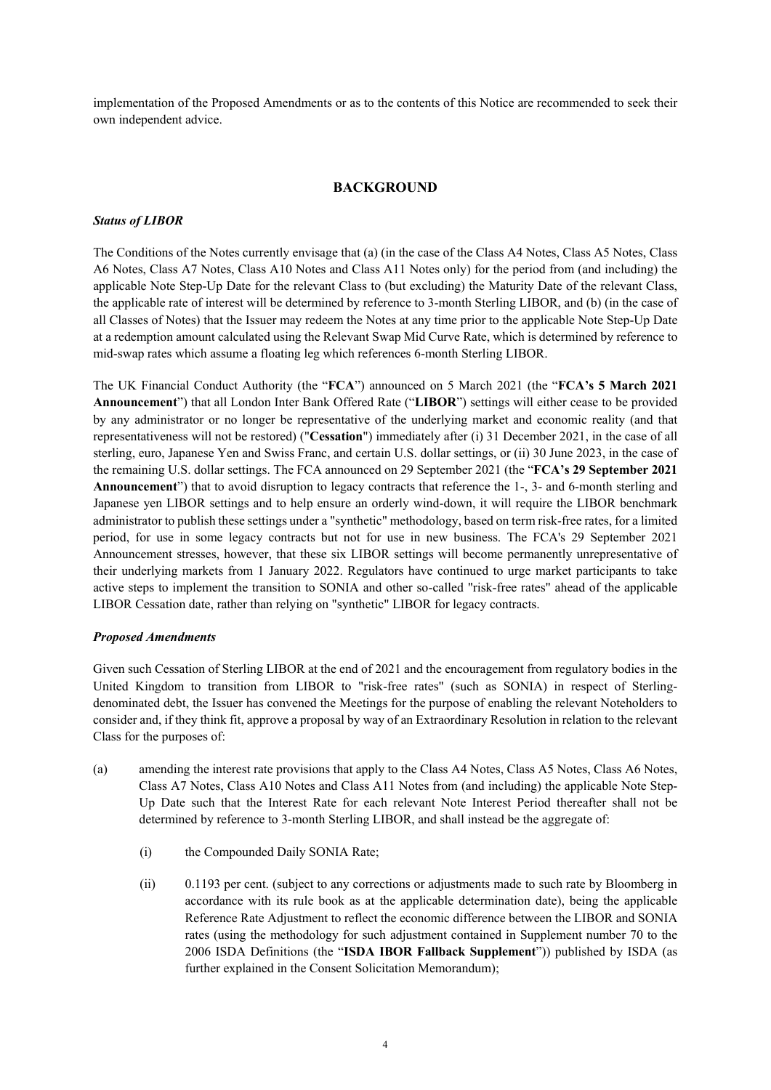implementation of the Proposed Amendments or as to the contents of this Notice are recommended to seek their own independent advice.

### **BACKGROUND**

#### *Status of LIBOR*

The Conditions of the Notes currently envisage that (a) (in the case of the Class A4 Notes, Class A5 Notes, Class A6 Notes, Class A7 Notes, Class A10 Notes and Class A11 Notes only) for the period from (and including) the applicable Note Step-Up Date for the relevant Class to (but excluding) the Maturity Date of the relevant Class, the applicable rate of interest will be determined by reference to 3-month Sterling LIBOR, and (b) (in the case of all Classes of Notes) that the Issuer may redeem the Notes at any time prior to the applicable Note Step-Up Date at a redemption amount calculated using the Relevant Swap Mid Curve Rate, which is determined by reference to mid-swap rates which assume a floating leg which references 6-month Sterling LIBOR.

The UK Financial Conduct Authority (the "**FCA**") announced on 5 March 2021 (the "**FCA's 5 March 2021 Announcement**") that all London Inter Bank Offered Rate ("**LIBOR**") settings will either cease to be provided by any administrator or no longer be representative of the underlying market and economic reality (and that representativeness will not be restored) ("**Cessation**") immediately after (i) 31 December 2021, in the case of all sterling, euro, Japanese Yen and Swiss Franc, and certain U.S. dollar settings, or (ii) 30 June 2023, in the case of the remaining U.S. dollar settings. The FCA announced on 29 September 2021 (the "**FCA's 29 September 2021 Announcement**") that to avoid disruption to legacy contracts that reference the 1-, 3- and 6-month sterling and Japanese yen LIBOR settings and to help ensure an orderly wind-down, it will require the LIBOR benchmark administrator to publish these settings under a "synthetic" methodology, based on term risk-free rates, for a limited period, for use in some legacy contracts but not for use in new business. The FCA's 29 September 2021 Announcement stresses, however, that these six LIBOR settings will become permanently unrepresentative of their underlying markets from 1 January 2022. Regulators have continued to urge market participants to take active steps to implement the transition to SONIA and other so-called "risk-free rates" ahead of the applicable LIBOR Cessation date, rather than relying on "synthetic" LIBOR for legacy contracts.

### *Proposed Amendments*

Given such Cessation of Sterling LIBOR at the end of 2021 and the encouragement from regulatory bodies in the United Kingdom to transition from LIBOR to "risk-free rates" (such as SONIA) in respect of Sterlingdenominated debt, the Issuer has convened the Meetings for the purpose of enabling the relevant Noteholders to consider and, if they think fit, approve a proposal by way of an Extraordinary Resolution in relation to the relevant Class for the purposes of:

- (a) amending the interest rate provisions that apply to the Class A4 Notes, Class A5 Notes, Class A6 Notes, Class A7 Notes, Class A10 Notes and Class A11 Notes from (and including) the applicable Note Step-Up Date such that the Interest Rate for each relevant Note Interest Period thereafter shall not be determined by reference to 3-month Sterling LIBOR, and shall instead be the aggregate of:
	- (i) the Compounded Daily SONIA Rate;
	- (ii) 0.1193 per cent. (subject to any corrections or adjustments made to such rate by Bloomberg in accordance with its rule book as at the applicable determination date), being the applicable Reference Rate Adjustment to reflect the economic difference between the LIBOR and SONIA rates (using the methodology for such adjustment contained in Supplement number 70 to the 2006 ISDA Definitions (the "**ISDA IBOR Fallback Supplement**")) published by ISDA (as further explained in the Consent Solicitation Memorandum);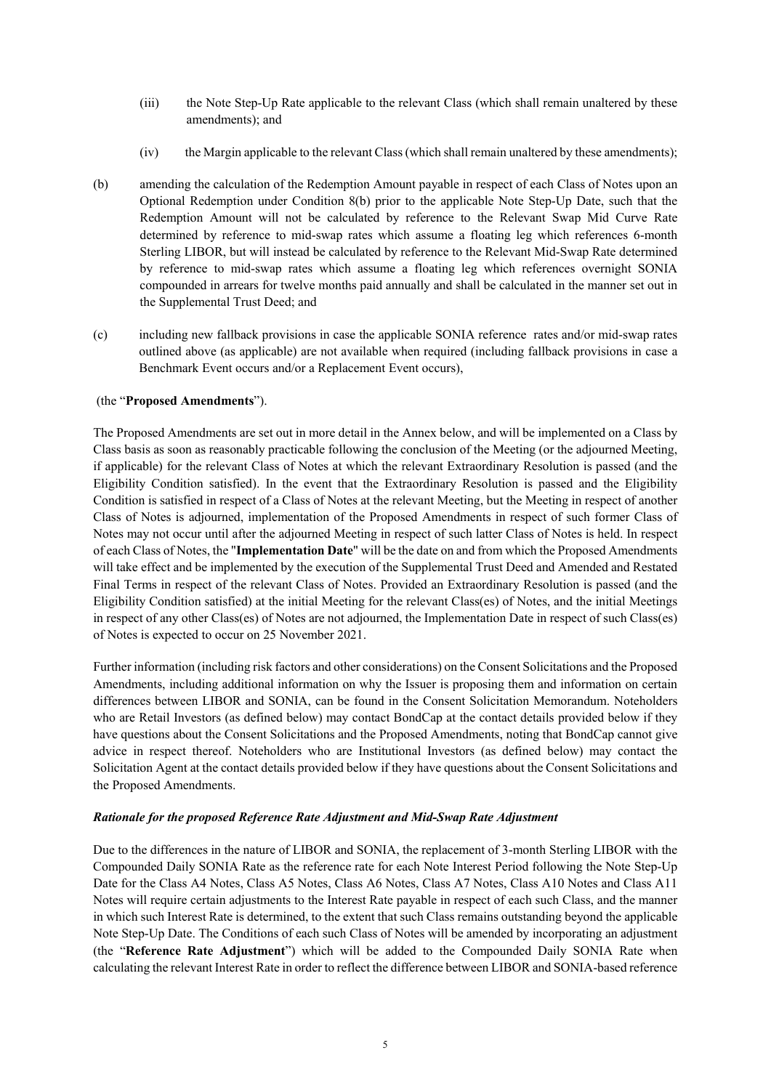- (iii) the Note Step-Up Rate applicable to the relevant Class (which shall remain unaltered by these amendments); and
- (iv) the Margin applicable to the relevant Class (which shall remain unaltered by these amendments);
- (b) amending the calculation of the Redemption Amount payable in respect of each Class of Notes upon an Optional Redemption under Condition 8(b) prior to the applicable Note Step-Up Date, such that the Redemption Amount will not be calculated by reference to the Relevant Swap Mid Curve Rate determined by reference to mid-swap rates which assume a floating leg which references 6-month Sterling LIBOR, but will instead be calculated by reference to the Relevant Mid-Swap Rate determined by reference to mid-swap rates which assume a floating leg which references overnight SONIA compounded in arrears for twelve months paid annually and shall be calculated in the manner set out in the Supplemental Trust Deed; and
- (c) including new fallback provisions in case the applicable SONIA reference rates and/or mid-swap rates outlined above (as applicable) are not available when required (including fallback provisions in case a Benchmark Event occurs and/or a Replacement Event occurs),

## (the "**Proposed Amendments**").

The Proposed Amendments are set out in more detail in the Annex below, and will be implemented on a Class by Class basis as soon as reasonably practicable following the conclusion of the Meeting (or the adjourned Meeting, if applicable) for the relevant Class of Notes at which the relevant Extraordinary Resolution is passed (and the Eligibility Condition satisfied). In the event that the Extraordinary Resolution is passed and the Eligibility Condition is satisfied in respect of a Class of Notes at the relevant Meeting, but the Meeting in respect of another Class of Notes is adjourned, implementation of the Proposed Amendments in respect of such former Class of Notes may not occur until after the adjourned Meeting in respect of such latter Class of Notes is held. In respect of each Class of Notes, the "**Implementation Date**" will be the date on and from which the Proposed Amendments will take effect and be implemented by the execution of the Supplemental Trust Deed and Amended and Restated Final Terms in respect of the relevant Class of Notes. Provided an Extraordinary Resolution is passed (and the Eligibility Condition satisfied) at the initial Meeting for the relevant Class(es) of Notes, and the initial Meetings in respect of any other Class(es) of Notes are not adjourned, the Implementation Date in respect of such Class(es) of Notes is expected to occur on 25 November 2021.

Further information (including risk factors and other considerations) on the Consent Solicitations and the Proposed Amendments, including additional information on why the Issuer is proposing them and information on certain differences between LIBOR and SONIA, can be found in the Consent Solicitation Memorandum. Noteholders who are Retail Investors (as defined below) may contact BondCap at the contact details provided below if they have questions about the Consent Solicitations and the Proposed Amendments, noting that BondCap cannot give advice in respect thereof. Noteholders who are Institutional Investors (as defined below) may contact the Solicitation Agent at the contact details provided below if they have questions about the Consent Solicitations and the Proposed Amendments.

### *Rationale for the proposed Reference Rate Adjustment and Mid-Swap Rate Adjustment*

Due to the differences in the nature of LIBOR and SONIA, the replacement of 3-month Sterling LIBOR with the Compounded Daily SONIA Rate as the reference rate for each Note Interest Period following the Note Step-Up Date for the Class A4 Notes, Class A5 Notes, Class A6 Notes, Class A7 Notes, Class A10 Notes and Class A11 Notes will require certain adjustments to the Interest Rate payable in respect of each such Class, and the manner in which such Interest Rate is determined, to the extent that such Class remains outstanding beyond the applicable Note Step-Up Date. The Conditions of each such Class of Notes will be amended by incorporating an adjustment (the "**Reference Rate Adjustment**") which will be added to the Compounded Daily SONIA Rate when calculating the relevant Interest Rate in order to reflect the difference between LIBOR and SONIA-based reference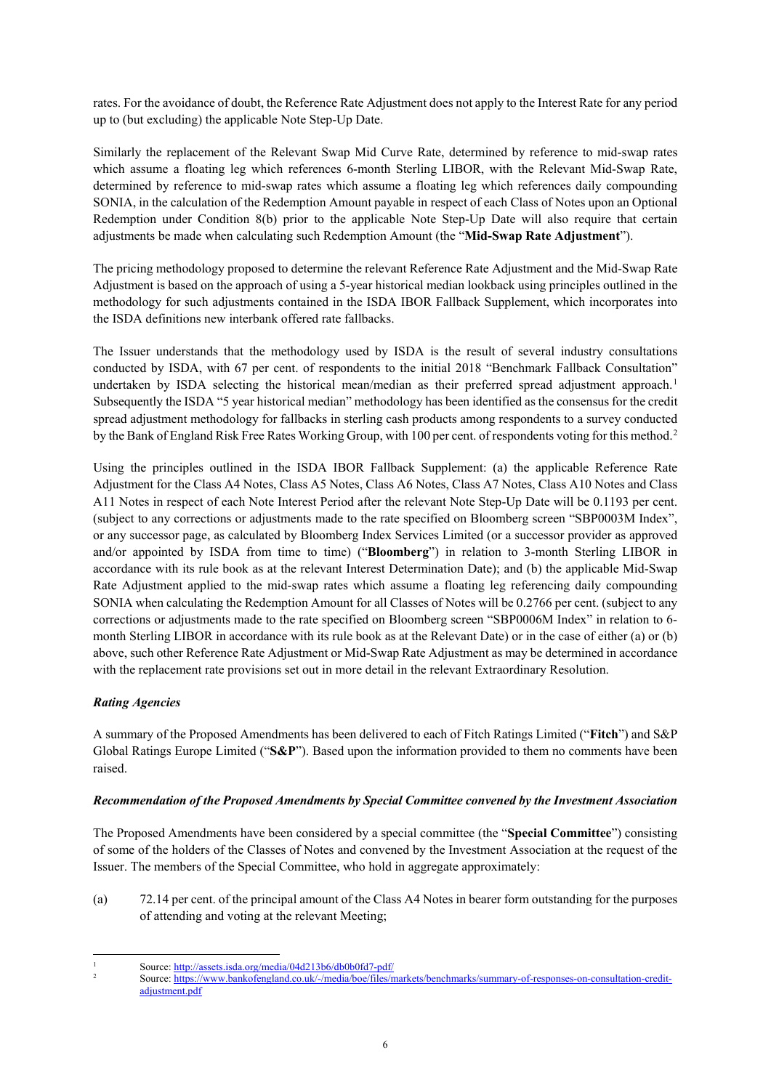rates. For the avoidance of doubt, the Reference Rate Adjustment does not apply to the Interest Rate for any period up to (but excluding) the applicable Note Step-Up Date.

Similarly the replacement of the Relevant Swap Mid Curve Rate, determined by reference to mid-swap rates which assume a floating leg which references 6-month Sterling LIBOR, with the Relevant Mid-Swap Rate, determined by reference to mid-swap rates which assume a floating leg which references daily compounding SONIA, in the calculation of the Redemption Amount payable in respect of each Class of Notes upon an Optional Redemption under Condition 8(b) prior to the applicable Note Step-Up Date will also require that certain adjustments be made when calculating such Redemption Amount (the "**Mid-Swap Rate Adjustment**").

The pricing methodology proposed to determine the relevant Reference Rate Adjustment and the Mid-Swap Rate Adjustment is based on the approach of using a 5-year historical median lookback using principles outlined in the methodology for such adjustments contained in the ISDA IBOR Fallback Supplement, which incorporates into the ISDA definitions new interbank offered rate fallbacks.

The Issuer understands that the methodology used by ISDA is the result of several industry consultations conducted by ISDA, with 67 per cent. of respondents to the initial 2018 "Benchmark Fallback Consultation" undertaken by ISDA selecting the historical mean/median as their preferred spread adjustment approach.<sup>[1](#page-5-0)</sup> Subsequently the ISDA "5 year historical median" methodology has been identified as the consensus for the credit spread adjustment methodology for fallbacks in sterling cash products among respondents to a survey conducted by the Bank of England Risk Free Rates Working Group, with 100 per cent. of respondents voting for this method.<sup>[2](#page-5-1)</sup>

Using the principles outlined in the ISDA IBOR Fallback Supplement: (a) the applicable Reference Rate Adjustment for the Class A4 Notes, Class A5 Notes, Class A6 Notes, Class A7 Notes, Class A10 Notes and Class A11 Notes in respect of each Note Interest Period after the relevant Note Step-Up Date will be 0.1193 per cent. (subject to any corrections or adjustments made to the rate specified on Bloomberg screen "SBP0003M Index", or any successor page, as calculated by Bloomberg Index Services Limited (or a successor provider as approved and/or appointed by ISDA from time to time) ("**Bloomberg**") in relation to 3-month Sterling LIBOR in accordance with its rule book as at the relevant Interest Determination Date); and (b) the applicable Mid-Swap Rate Adjustment applied to the mid-swap rates which assume a floating leg referencing daily compounding SONIA when calculating the Redemption Amount for all Classes of Notes will be 0.2766 per cent. (subject to any corrections or adjustments made to the rate specified on Bloomberg screen "SBP0006M Index" in relation to 6 month Sterling LIBOR in accordance with its rule book as at the Relevant Date) or in the case of either (a) or (b) above, such other Reference Rate Adjustment or Mid-Swap Rate Adjustment as may be determined in accordance with the replacement rate provisions set out in more detail in the relevant Extraordinary Resolution.

## *Rating Agencies*

A summary of the Proposed Amendments has been delivered to each of Fitch Ratings Limited ("**Fitch**") and S&P Global Ratings Europe Limited ("**S&P**"). Based upon the information provided to them no comments have been raised.

## *Recommendation of the Proposed Amendments by Special Committee convened by the Investment Association*

The Proposed Amendments have been considered by a special committee (the "**Special Committee**") consisting of some of the holders of the Classes of Notes and convened by the Investment Association at the request of the Issuer. The members of the Special Committee, who hold in aggregate approximately:

(a) 72.14 per cent. of the principal amount of the Class A4 Notes in bearer form outstanding for the purposes of attending and voting at the relevant Meeting;

<span id="page-5-1"></span><span id="page-5-0"></span><sup>&</sup>lt;sup>1</sup> Source: http://assets.isda.org/media/04d213b6/db0b0fd7-pdf/<br><sup>2</sup> Source[: https://www.bankofengland.co.uk/-/media/boe/files/markets/benchmarks/summary-of-responses-on-consultation-credit](https://www.bankofengland.co.uk/-/media/boe/files/markets/benchmarks/summary-of-responses-on-consultation-credit-adjustment.pdf)[adjustment.pdf](https://www.bankofengland.co.uk/-/media/boe/files/markets/benchmarks/summary-of-responses-on-consultation-credit-adjustment.pdf)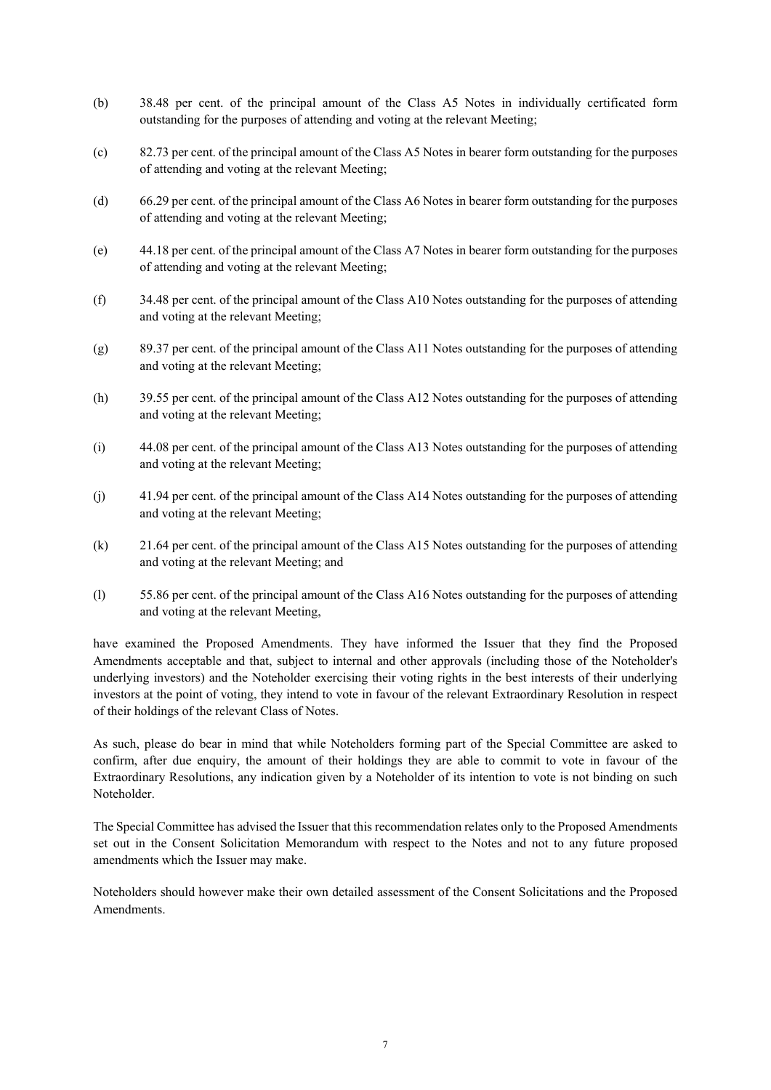- (b) 38.48 per cent. of the principal amount of the Class A5 Notes in individually certificated form outstanding for the purposes of attending and voting at the relevant Meeting;
- (c) 82.73 per cent. of the principal amount of the Class A5 Notes in bearer form outstanding for the purposes of attending and voting at the relevant Meeting;
- (d) 66.29 per cent. of the principal amount of the Class A6 Notes in bearer form outstanding for the purposes of attending and voting at the relevant Meeting;
- (e) 44.18 per cent. of the principal amount of the Class A7 Notes in bearer form outstanding for the purposes of attending and voting at the relevant Meeting;
- (f) 34.48 per cent. of the principal amount of the Class A10 Notes outstanding for the purposes of attending and voting at the relevant Meeting;
- (g) 89.37 per cent. of the principal amount of the Class A11 Notes outstanding for the purposes of attending and voting at the relevant Meeting;
- (h) 39.55 per cent. of the principal amount of the Class A12 Notes outstanding for the purposes of attending and voting at the relevant Meeting;
- (i) 44.08 per cent. of the principal amount of the Class A13 Notes outstanding for the purposes of attending and voting at the relevant Meeting;
- (j) 41.94 per cent. of the principal amount of the Class A14 Notes outstanding for the purposes of attending and voting at the relevant Meeting;
- (k) 21.64 per cent. of the principal amount of the Class A15 Notes outstanding for the purposes of attending and voting at the relevant Meeting; and
- (l) 55.86 per cent. of the principal amount of the Class A16 Notes outstanding for the purposes of attending and voting at the relevant Meeting,

have examined the Proposed Amendments. They have informed the Issuer that they find the Proposed Amendments acceptable and that, subject to internal and other approvals (including those of the Noteholder's underlying investors) and the Noteholder exercising their voting rights in the best interests of their underlying investors at the point of voting, they intend to vote in favour of the relevant Extraordinary Resolution in respect of their holdings of the relevant Class of Notes.

As such, please do bear in mind that while Noteholders forming part of the Special Committee are asked to confirm, after due enquiry, the amount of their holdings they are able to commit to vote in favour of the Extraordinary Resolutions, any indication given by a Noteholder of its intention to vote is not binding on such Noteholder.

The Special Committee has advised the Issuer that this recommendation relates only to the Proposed Amendments set out in the Consent Solicitation Memorandum with respect to the Notes and not to any future proposed amendments which the Issuer may make.

Noteholders should however make their own detailed assessment of the Consent Solicitations and the Proposed Amendments.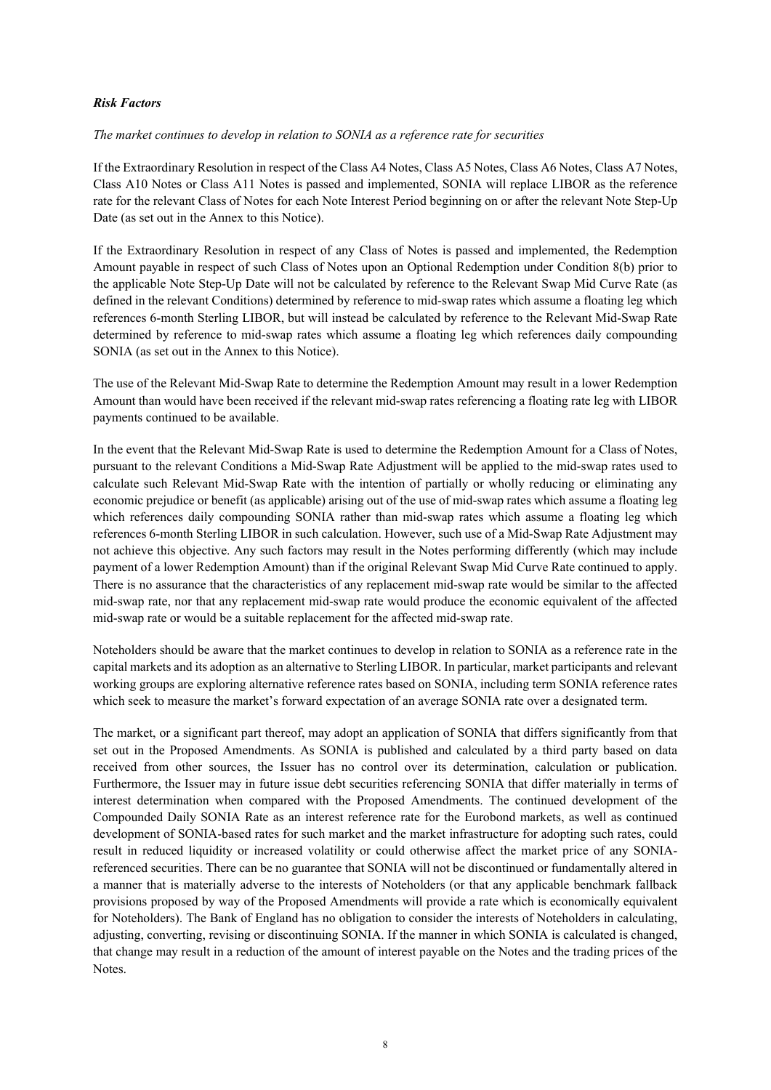### *Risk Factors*

*The market continues to develop in relation to SONIA as a reference rate for securities*

If the Extraordinary Resolution in respect of the Class A4 Notes, Class A5 Notes, Class A6 Notes, Class A7 Notes, Class A10 Notes or Class A11 Notes is passed and implemented, SONIA will replace LIBOR as the reference rate for the relevant Class of Notes for each Note Interest Period beginning on or after the relevant Note Step-Up Date (as set out in the Annex to this Notice).

If the Extraordinary Resolution in respect of any Class of Notes is passed and implemented, the Redemption Amount payable in respect of such Class of Notes upon an Optional Redemption under Condition 8(b) prior to the applicable Note Step-Up Date will not be calculated by reference to the Relevant Swap Mid Curve Rate (as defined in the relevant Conditions) determined by reference to mid-swap rates which assume a floating leg which references 6-month Sterling LIBOR, but will instead be calculated by reference to the Relevant Mid-Swap Rate determined by reference to mid-swap rates which assume a floating leg which references daily compounding SONIA (as set out in the Annex to this Notice).

The use of the Relevant Mid-Swap Rate to determine the Redemption Amount may result in a lower Redemption Amount than would have been received if the relevant mid-swap rates referencing a floating rate leg with LIBOR payments continued to be available.

In the event that the Relevant Mid-Swap Rate is used to determine the Redemption Amount for a Class of Notes, pursuant to the relevant Conditions a Mid-Swap Rate Adjustment will be applied to the mid-swap rates used to calculate such Relevant Mid-Swap Rate with the intention of partially or wholly reducing or eliminating any economic prejudice or benefit (as applicable) arising out of the use of mid-swap rates which assume a floating leg which references daily compounding SONIA rather than mid-swap rates which assume a floating leg which references 6-month Sterling LIBOR in such calculation. However, such use of a Mid-Swap Rate Adjustment may not achieve this objective. Any such factors may result in the Notes performing differently (which may include payment of a lower Redemption Amount) than if the original Relevant Swap Mid Curve Rate continued to apply. There is no assurance that the characteristics of any replacement mid-swap rate would be similar to the affected mid-swap rate, nor that any replacement mid-swap rate would produce the economic equivalent of the affected mid-swap rate or would be a suitable replacement for the affected mid-swap rate.

Noteholders should be aware that the market continues to develop in relation to SONIA as a reference rate in the capital markets and its adoption as an alternative to Sterling LIBOR. In particular, market participants and relevant working groups are exploring alternative reference rates based on SONIA, including term SONIA reference rates which seek to measure the market's forward expectation of an average SONIA rate over a designated term.

The market, or a significant part thereof, may adopt an application of SONIA that differs significantly from that set out in the Proposed Amendments. As SONIA is published and calculated by a third party based on data received from other sources, the Issuer has no control over its determination, calculation or publication. Furthermore, the Issuer may in future issue debt securities referencing SONIA that differ materially in terms of interest determination when compared with the Proposed Amendments. The continued development of the Compounded Daily SONIA Rate as an interest reference rate for the Eurobond markets, as well as continued development of SONIA-based rates for such market and the market infrastructure for adopting such rates, could result in reduced liquidity or increased volatility or could otherwise affect the market price of any SONIAreferenced securities. There can be no guarantee that SONIA will not be discontinued or fundamentally altered in a manner that is materially adverse to the interests of Noteholders (or that any applicable benchmark fallback provisions proposed by way of the Proposed Amendments will provide a rate which is economically equivalent for Noteholders). The Bank of England has no obligation to consider the interests of Noteholders in calculating, adjusting, converting, revising or discontinuing SONIA. If the manner in which SONIA is calculated is changed, that change may result in a reduction of the amount of interest payable on the Notes and the trading prices of the Notes.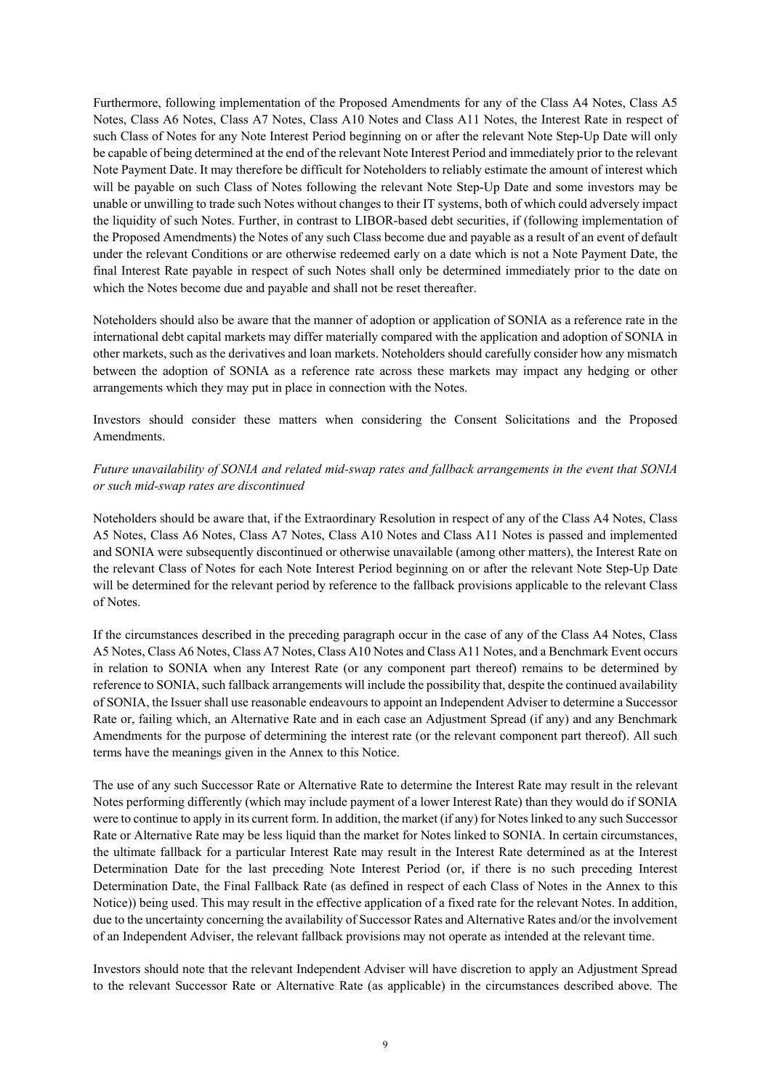Furthermore, following implementation of the Proposed Amendments for any of the Class A4 Notes, Class A5 Notes, Class A6 Notes, Class A7 Notes, Class A10 Notes and Class A11 Notes, the Interest Rate in respect of such Class of Notes for any Note Interest Period beginning on or after the relevant Note Step-Up Date will only be capable of being determined at the end of the relevant Note Interest Period and immediately prior to the relevant Note Payment Date. It may therefore be difficult for Noteholders to reliably estimate the amount of interest which will be payable on such Class of Notes following the relevant Note Step-Up Date and some investors may be unable or unwilling to trade such Notes without changes to their IT systems, both of which could adversely impact the liquidity of such Notes. Further, in contrast to LIBOR-based debt securities, if (following implementation of the Proposed Amendments) the Notes of any such Class become due and payable as a result of an event of default under the relevant Conditions or are otherwise redeemed early on a date which is not a Note Payment Date, the final Interest Rate payable in respect of such Notes shall only be determined immediately prior to the date on which the Notes become due and payable and shall not be reset thereafter.

Noteholders should also be aware that the manner of adoption or application of SONIA as a reference rate in the international debt capital markets may differ materially compared with the application and adoption of SONIA in other markets, such as the derivatives and loan markets. Noteholders should carefully consider how any mismatch between the adoption of SONIA as a reference rate across these markets may impact any hedging or other arrangements which they may put in place in connection with the Notes.

Investors should consider these matters when considering the Consent Solicitations and the Proposed Amendments.

## *Future unavailability of SONIA and related mid-swap rates and fallback arrangements in the event that SONIA or such mid-swap rates are discontinued*

Noteholders should be aware that, if the Extraordinary Resolution in respect of any of the Class A4 Notes, Class A5 Notes, Class A6 Notes, Class A7 Notes, Class A10 Notes and Class A11 Notes is passed and implemented and SONIA were subsequently discontinued or otherwise unavailable (among other matters), the Interest Rate on the relevant Class of Notes for each Note Interest Period beginning on or after the relevant Note Step-Up Date will be determined for the relevant period by reference to the fallback provisions applicable to the relevant Class of Notes.

If the circumstances described in the preceding paragraph occur in the case of any of the Class A4 Notes, Class A5 Notes, Class A6 Notes, Class A7 Notes, Class A10 Notes and Class A11 Notes, and a Benchmark Event occurs in relation to SONIA when any Interest Rate (or any component part thereof) remains to be determined by reference to SONIA, such fallback arrangements will include the possibility that, despite the continued availability of SONIA, the Issuer shall use reasonable endeavours to appoint an Independent Adviser to determine a Successor Rate or, failing which, an Alternative Rate and in each case an Adjustment Spread (if any) and any Benchmark Amendments for the purpose of determining the interest rate (or the relevant component part thereof). All such terms have the meanings given in the Annex to this Notice.

The use of any such Successor Rate or Alternative Rate to determine the Interest Rate may result in the relevant Notes performing differently (which may include payment of a lower Interest Rate) than they would do if SONIA were to continue to apply in its current form. In addition, the market (if any) for Notes linked to any such Successor Rate or Alternative Rate may be less liquid than the market for Notes linked to SONIA. In certain circumstances, the ultimate fallback for a particular Interest Rate may result in the Interest Rate determined as at the Interest Determination Date for the last preceding Note Interest Period (or, if there is no such preceding Interest Determination Date, the Final Fallback Rate (as defined in respect of each Class of Notes in the Annex to this Notice)) being used. This may result in the effective application of a fixed rate for the relevant Notes. In addition, due to the uncertainty concerning the availability of Successor Rates and Alternative Rates and/or the involvement of an Independent Adviser, the relevant fallback provisions may not operate as intended at the relevant time.

Investors should note that the relevant Independent Adviser will have discretion to apply an Adjustment Spread to the relevant Successor Rate or Alternative Rate (as applicable) in the circumstances described above. The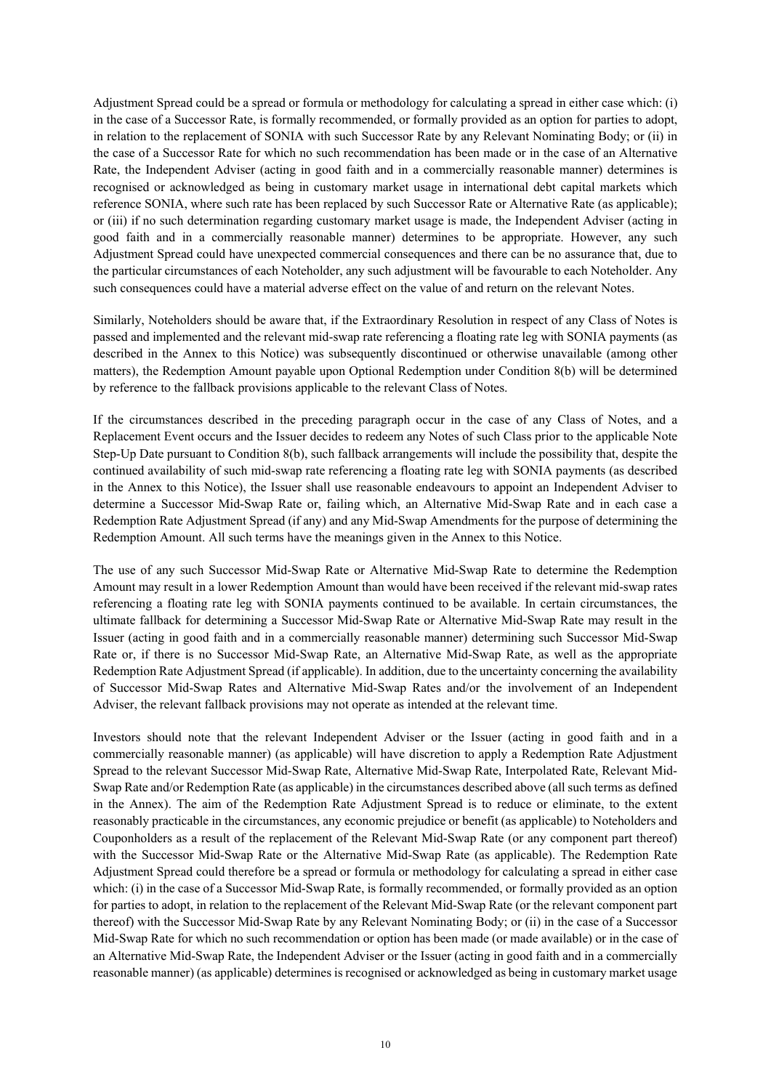Adjustment Spread could be a spread or formula or methodology for calculating a spread in either case which: (i) in the case of a Successor Rate, is formally recommended, or formally provided as an option for parties to adopt, in relation to the replacement of SONIA with such Successor Rate by any Relevant Nominating Body; or (ii) in the case of a Successor Rate for which no such recommendation has been made or in the case of an Alternative Rate, the Independent Adviser (acting in good faith and in a commercially reasonable manner) determines is recognised or acknowledged as being in customary market usage in international debt capital markets which reference SONIA, where such rate has been replaced by such Successor Rate or Alternative Rate (as applicable); or (iii) if no such determination regarding customary market usage is made, the Independent Adviser (acting in good faith and in a commercially reasonable manner) determines to be appropriate. However, any such Adjustment Spread could have unexpected commercial consequences and there can be no assurance that, due to the particular circumstances of each Noteholder, any such adjustment will be favourable to each Noteholder. Any such consequences could have a material adverse effect on the value of and return on the relevant Notes.

Similarly, Noteholders should be aware that, if the Extraordinary Resolution in respect of any Class of Notes is passed and implemented and the relevant mid-swap rate referencing a floating rate leg with SONIA payments (as described in the Annex to this Notice) was subsequently discontinued or otherwise unavailable (among other matters), the Redemption Amount payable upon Optional Redemption under Condition 8(b) will be determined by reference to the fallback provisions applicable to the relevant Class of Notes.

If the circumstances described in the preceding paragraph occur in the case of any Class of Notes, and a Replacement Event occurs and the Issuer decides to redeem any Notes of such Class prior to the applicable Note Step-Up Date pursuant to Condition 8(b), such fallback arrangements will include the possibility that, despite the continued availability of such mid-swap rate referencing a floating rate leg with SONIA payments (as described in the Annex to this Notice), the Issuer shall use reasonable endeavours to appoint an Independent Adviser to determine a Successor Mid-Swap Rate or, failing which, an Alternative Mid-Swap Rate and in each case a Redemption Rate Adjustment Spread (if any) and any Mid-Swap Amendments for the purpose of determining the Redemption Amount. All such terms have the meanings given in the Annex to this Notice.

The use of any such Successor Mid-Swap Rate or Alternative Mid-Swap Rate to determine the Redemption Amount may result in a lower Redemption Amount than would have been received if the relevant mid-swap rates referencing a floating rate leg with SONIA payments continued to be available. In certain circumstances, the ultimate fallback for determining a Successor Mid-Swap Rate or Alternative Mid-Swap Rate may result in the Issuer (acting in good faith and in a commercially reasonable manner) determining such Successor Mid-Swap Rate or, if there is no Successor Mid-Swap Rate, an Alternative Mid-Swap Rate, as well as the appropriate Redemption Rate Adjustment Spread (if applicable). In addition, due to the uncertainty concerning the availability of Successor Mid-Swap Rates and Alternative Mid-Swap Rates and/or the involvement of an Independent Adviser, the relevant fallback provisions may not operate as intended at the relevant time.

Investors should note that the relevant Independent Adviser or the Issuer (acting in good faith and in a commercially reasonable manner) (as applicable) will have discretion to apply a Redemption Rate Adjustment Spread to the relevant Successor Mid-Swap Rate, Alternative Mid-Swap Rate, Interpolated Rate, Relevant Mid-Swap Rate and/or Redemption Rate (as applicable) in the circumstances described above (all such terms as defined in the Annex). The aim of the Redemption Rate Adjustment Spread is to reduce or eliminate, to the extent reasonably practicable in the circumstances, any economic prejudice or benefit (as applicable) to Noteholders and Couponholders as a result of the replacement of the Relevant Mid-Swap Rate (or any component part thereof) with the Successor Mid-Swap Rate or the Alternative Mid-Swap Rate (as applicable). The Redemption Rate Adjustment Spread could therefore be a spread or formula or methodology for calculating a spread in either case which: (i) in the case of a Successor Mid-Swap Rate, is formally recommended, or formally provided as an option for parties to adopt, in relation to the replacement of the Relevant Mid-Swap Rate (or the relevant component part thereof) with the Successor Mid-Swap Rate by any Relevant Nominating Body; or (ii) in the case of a Successor Mid-Swap Rate for which no such recommendation or option has been made (or made available) or in the case of an Alternative Mid-Swap Rate, the Independent Adviser or the Issuer (acting in good faith and in a commercially reasonable manner) (as applicable) determines is recognised or acknowledged as being in customary market usage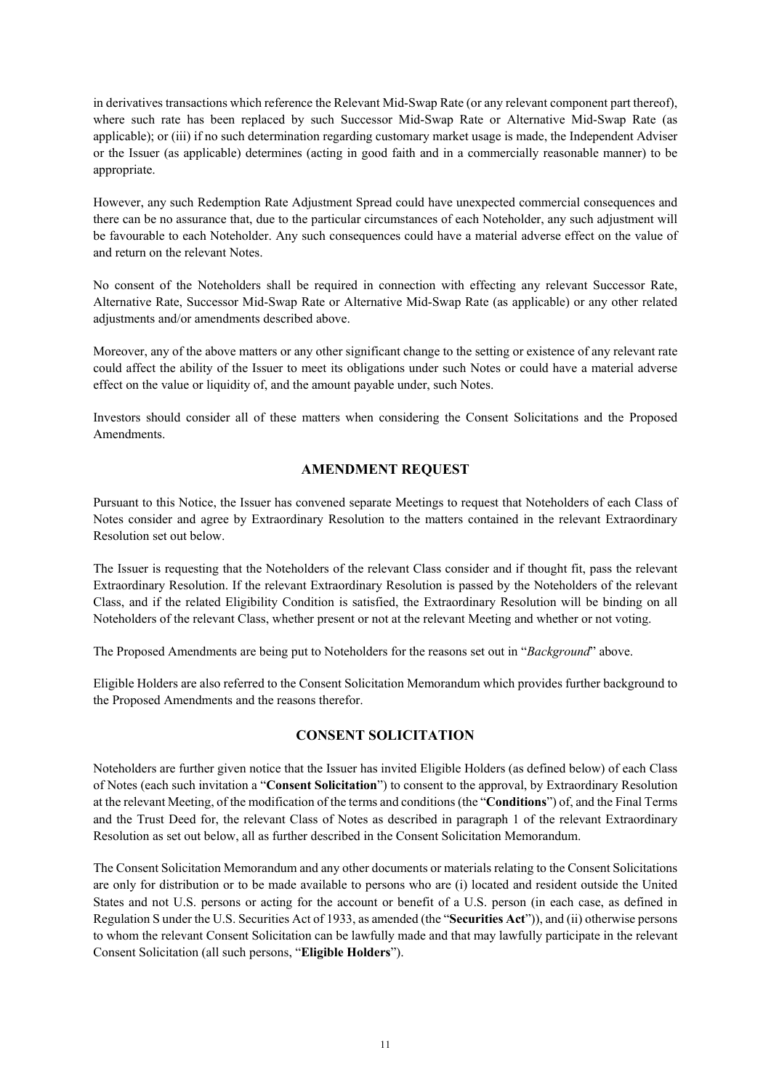in derivatives transactions which reference the Relevant Mid-Swap Rate (or any relevant component part thereof), where such rate has been replaced by such Successor Mid-Swap Rate or Alternative Mid-Swap Rate (as applicable); or (iii) if no such determination regarding customary market usage is made, the Independent Adviser or the Issuer (as applicable) determines (acting in good faith and in a commercially reasonable manner) to be appropriate.

However, any such Redemption Rate Adjustment Spread could have unexpected commercial consequences and there can be no assurance that, due to the particular circumstances of each Noteholder, any such adjustment will be favourable to each Noteholder. Any such consequences could have a material adverse effect on the value of and return on the relevant Notes.

No consent of the Noteholders shall be required in connection with effecting any relevant Successor Rate, Alternative Rate, Successor Mid-Swap Rate or Alternative Mid-Swap Rate (as applicable) or any other related adjustments and/or amendments described above.

Moreover, any of the above matters or any other significant change to the setting or existence of any relevant rate could affect the ability of the Issuer to meet its obligations under such Notes or could have a material adverse effect on the value or liquidity of, and the amount payable under, such Notes.

Investors should consider all of these matters when considering the Consent Solicitations and the Proposed Amendments.

## **AMENDMENT REQUEST**

Pursuant to this Notice, the Issuer has convened separate Meetings to request that Noteholders of each Class of Notes consider and agree by Extraordinary Resolution to the matters contained in the relevant Extraordinary Resolution set out below.

The Issuer is requesting that the Noteholders of the relevant Class consider and if thought fit, pass the relevant Extraordinary Resolution. If the relevant Extraordinary Resolution is passed by the Noteholders of the relevant Class, and if the related Eligibility Condition is satisfied, the Extraordinary Resolution will be binding on all Noteholders of the relevant Class, whether present or not at the relevant Meeting and whether or not voting.

The Proposed Amendments are being put to Noteholders for the reasons set out in "*Background*" above.

Eligible Holders are also referred to the Consent Solicitation Memorandum which provides further background to the Proposed Amendments and the reasons therefor.

## **CONSENT SOLICITATION**

Noteholders are further given notice that the Issuer has invited Eligible Holders (as defined below) of each Class of Notes (each such invitation a "**Consent Solicitation**") to consent to the approval, by Extraordinary Resolution at the relevant Meeting, of the modification of the terms and conditions (the "**Conditions**") of, and the Final Terms and the Trust Deed for, the relevant Class of Notes as described in paragraph 1 of the relevant Extraordinary Resolution as set out below, all as further described in the Consent Solicitation Memorandum.

The Consent Solicitation Memorandum and any other documents or materials relating to the Consent Solicitations are only for distribution or to be made available to persons who are (i) located and resident outside the United States and not U.S. persons or acting for the account or benefit of a U.S. person (in each case, as defined in Regulation S under the U.S. Securities Act of 1933, as amended (the "**Securities Act**")), and (ii) otherwise persons to whom the relevant Consent Solicitation can be lawfully made and that may lawfully participate in the relevant Consent Solicitation (all such persons, "**Eligible Holders**").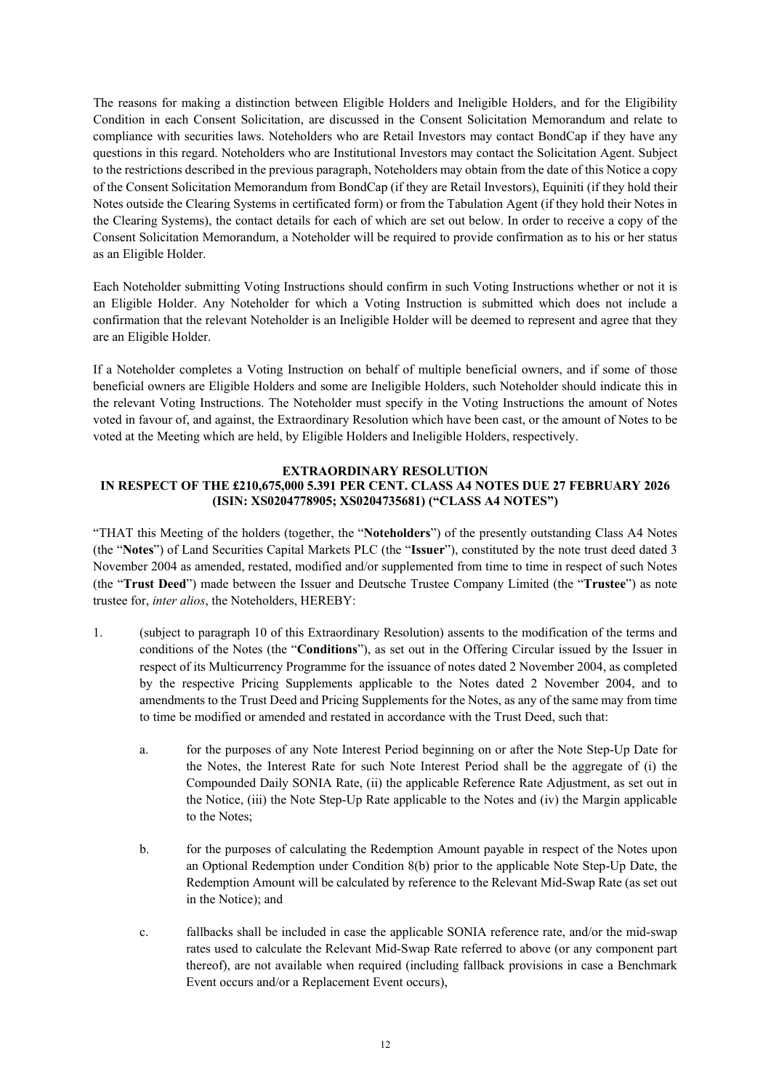The reasons for making a distinction between Eligible Holders and Ineligible Holders, and for the Eligibility Condition in each Consent Solicitation, are discussed in the Consent Solicitation Memorandum and relate to compliance with securities laws. Noteholders who are Retail Investors may contact BondCap if they have any questions in this regard. Noteholders who are Institutional Investors may contact the Solicitation Agent. Subject to the restrictions described in the previous paragraph, Noteholders may obtain from the date of this Notice a copy of the Consent Solicitation Memorandum from BondCap (if they are Retail Investors), Equiniti (if they hold their Notes outside the Clearing Systems in certificated form) or from the Tabulation Agent (if they hold their Notes in the Clearing Systems), the contact details for each of which are set out below. In order to receive a copy of the Consent Solicitation Memorandum, a Noteholder will be required to provide confirmation as to his or her status as an Eligible Holder.

Each Noteholder submitting Voting Instructions should confirm in such Voting Instructions whether or not it is an Eligible Holder. Any Noteholder for which a Voting Instruction is submitted which does not include a confirmation that the relevant Noteholder is an Ineligible Holder will be deemed to represent and agree that they are an Eligible Holder.

If a Noteholder completes a Voting Instruction on behalf of multiple beneficial owners, and if some of those beneficial owners are Eligible Holders and some are Ineligible Holders, such Noteholder should indicate this in the relevant Voting Instructions. The Noteholder must specify in the Voting Instructions the amount of Notes voted in favour of, and against, the Extraordinary Resolution which have been cast, or the amount of Notes to be voted at the Meeting which are held, by Eligible Holders and Ineligible Holders, respectively.

#### **EXTRAORDINARY RESOLUTION IN RESPECT OF THE £210,675,000 5.391 PER CENT. CLASS A4 NOTES DUE 27 FEBRUARY 2026 (ISIN: XS0204778905; XS0204735681) ("CLASS A4 NOTES")**

"THAT this Meeting of the holders (together, the "**Noteholders**") of the presently outstanding Class A4 Notes (the "**Notes**") of Land Securities Capital Markets PLC (the "**Issuer**"), constituted by the note trust deed dated 3 November 2004 as amended, restated, modified and/or supplemented from time to time in respect of such Notes (the "**Trust Deed**") made between the Issuer and Deutsche Trustee Company Limited (the "**Trustee**") as note trustee for, *inter alios*, the Noteholders, HEREBY:

- 1. (subject to paragraph 10 of this Extraordinary Resolution) assents to the modification of the terms and conditions of the Notes (the "**Conditions**"), as set out in the Offering Circular issued by the Issuer in respect of its Multicurrency Programme for the issuance of notes dated 2 November 2004, as completed by the respective Pricing Supplements applicable to the Notes dated 2 November 2004, and to amendments to the Trust Deed and Pricing Supplements for the Notes, as any of the same may from time to time be modified or amended and restated in accordance with the Trust Deed, such that:
	- a. for the purposes of any Note Interest Period beginning on or after the Note Step-Up Date for the Notes, the Interest Rate for such Note Interest Period shall be the aggregate of (i) the Compounded Daily SONIA Rate, (ii) the applicable Reference Rate Adjustment, as set out in the Notice, (iii) the Note Step-Up Rate applicable to the Notes and (iv) the Margin applicable to the Notes;
	- b. for the purposes of calculating the Redemption Amount payable in respect of the Notes upon an Optional Redemption under Condition 8(b) prior to the applicable Note Step-Up Date, the Redemption Amount will be calculated by reference to the Relevant Mid-Swap Rate (as set out in the Notice); and
	- c. fallbacks shall be included in case the applicable SONIA reference rate, and/or the mid-swap rates used to calculate the Relevant Mid-Swap Rate referred to above (or any component part thereof), are not available when required (including fallback provisions in case a Benchmark Event occurs and/or a Replacement Event occurs),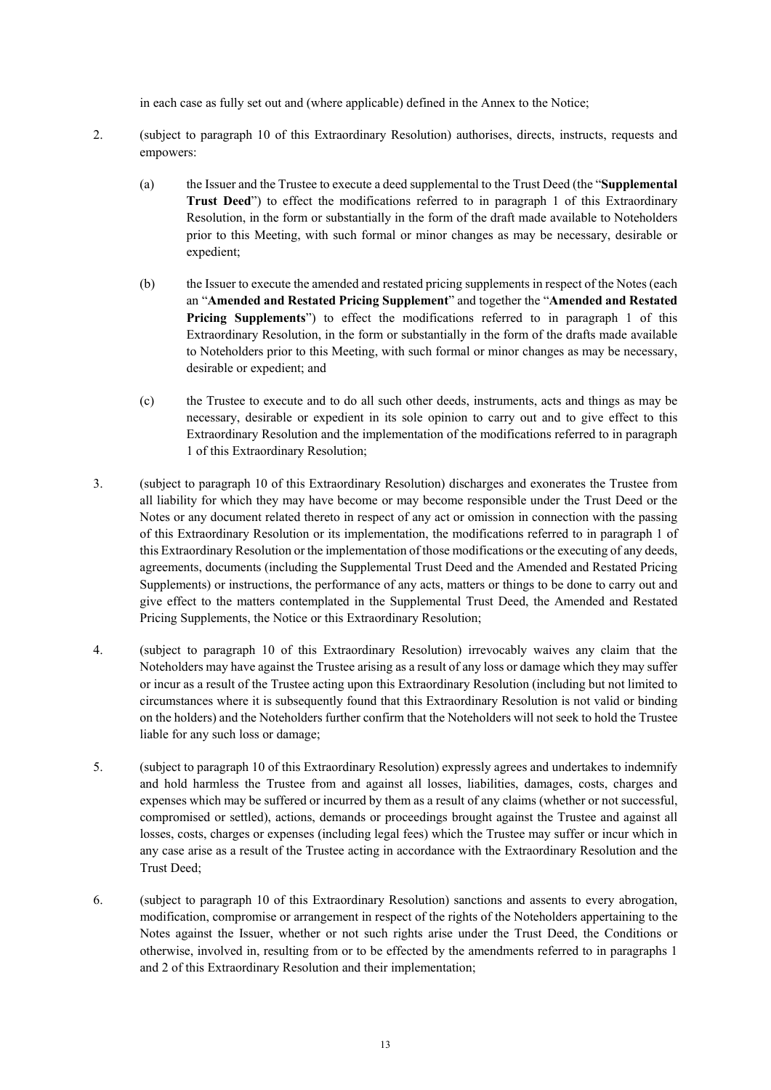in each case as fully set out and (where applicable) defined in the Annex to the Notice;

- 2. (subject to paragraph 10 of this Extraordinary Resolution) authorises, directs, instructs, requests and empowers:
	- (a) the Issuer and the Trustee to execute a deed supplemental to the Trust Deed (the "**Supplemental Trust Deed**") to effect the modifications referred to in paragraph 1 of this Extraordinary Resolution, in the form or substantially in the form of the draft made available to Noteholders prior to this Meeting, with such formal or minor changes as may be necessary, desirable or expedient;
	- (b) the Issuer to execute the amended and restated pricing supplements in respect of the Notes (each an "**Amended and Restated Pricing Supplement**" and together the "**Amended and Restated Pricing Supplements**") to effect the modifications referred to in paragraph 1 of this Extraordinary Resolution, in the form or substantially in the form of the drafts made available to Noteholders prior to this Meeting, with such formal or minor changes as may be necessary, desirable or expedient; and
	- (c) the Trustee to execute and to do all such other deeds, instruments, acts and things as may be necessary, desirable or expedient in its sole opinion to carry out and to give effect to this Extraordinary Resolution and the implementation of the modifications referred to in paragraph 1 of this Extraordinary Resolution;
- 3. (subject to paragraph 10 of this Extraordinary Resolution) discharges and exonerates the Trustee from all liability for which they may have become or may become responsible under the Trust Deed or the Notes or any document related thereto in respect of any act or omission in connection with the passing of this Extraordinary Resolution or its implementation, the modifications referred to in paragraph 1 of this Extraordinary Resolution or the implementation of those modifications or the executing of any deeds, agreements, documents (including the Supplemental Trust Deed and the Amended and Restated Pricing Supplements) or instructions, the performance of any acts, matters or things to be done to carry out and give effect to the matters contemplated in the Supplemental Trust Deed, the Amended and Restated Pricing Supplements, the Notice or this Extraordinary Resolution;
- 4. (subject to paragraph 10 of this Extraordinary Resolution) irrevocably waives any claim that the Noteholders may have against the Trustee arising as a result of any loss or damage which they may suffer or incur as a result of the Trustee acting upon this Extraordinary Resolution (including but not limited to circumstances where it is subsequently found that this Extraordinary Resolution is not valid or binding on the holders) and the Noteholders further confirm that the Noteholders will not seek to hold the Trustee liable for any such loss or damage;
- 5. (subject to paragraph 10 of this Extraordinary Resolution) expressly agrees and undertakes to indemnify and hold harmless the Trustee from and against all losses, liabilities, damages, costs, charges and expenses which may be suffered or incurred by them as a result of any claims (whether or not successful, compromised or settled), actions, demands or proceedings brought against the Trustee and against all losses, costs, charges or expenses (including legal fees) which the Trustee may suffer or incur which in any case arise as a result of the Trustee acting in accordance with the Extraordinary Resolution and the Trust Deed;
- 6. (subject to paragraph 10 of this Extraordinary Resolution) sanctions and assents to every abrogation, modification, compromise or arrangement in respect of the rights of the Noteholders appertaining to the Notes against the Issuer, whether or not such rights arise under the Trust Deed, the Conditions or otherwise, involved in, resulting from or to be effected by the amendments referred to in paragraphs 1 and 2 of this Extraordinary Resolution and their implementation;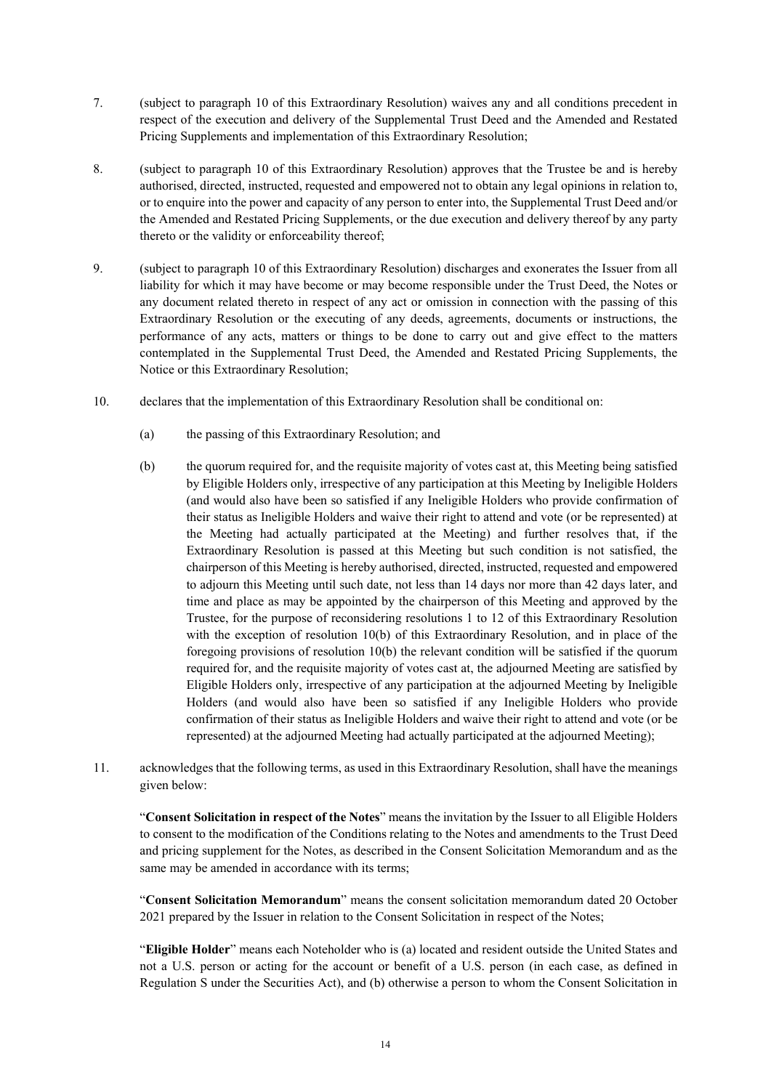- 7. (subject to paragraph 10 of this Extraordinary Resolution) waives any and all conditions precedent in respect of the execution and delivery of the Supplemental Trust Deed and the Amended and Restated Pricing Supplements and implementation of this Extraordinary Resolution;
- 8. (subject to paragraph 10 of this Extraordinary Resolution) approves that the Trustee be and is hereby authorised, directed, instructed, requested and empowered not to obtain any legal opinions in relation to, or to enquire into the power and capacity of any person to enter into, the Supplemental Trust Deed and/or the Amended and Restated Pricing Supplements, or the due execution and delivery thereof by any party thereto or the validity or enforceability thereof;
- 9. (subject to paragraph 10 of this Extraordinary Resolution) discharges and exonerates the Issuer from all liability for which it may have become or may become responsible under the Trust Deed, the Notes or any document related thereto in respect of any act or omission in connection with the passing of this Extraordinary Resolution or the executing of any deeds, agreements, documents or instructions, the performance of any acts, matters or things to be done to carry out and give effect to the matters contemplated in the Supplemental Trust Deed, the Amended and Restated Pricing Supplements, the Notice or this Extraordinary Resolution;
- 10. declares that the implementation of this Extraordinary Resolution shall be conditional on:
	- (a) the passing of this Extraordinary Resolution; and
	- (b) the quorum required for, and the requisite majority of votes cast at, this Meeting being satisfied by Eligible Holders only, irrespective of any participation at this Meeting by Ineligible Holders (and would also have been so satisfied if any Ineligible Holders who provide confirmation of their status as Ineligible Holders and waive their right to attend and vote (or be represented) at the Meeting had actually participated at the Meeting) and further resolves that, if the Extraordinary Resolution is passed at this Meeting but such condition is not satisfied, the chairperson of this Meeting is hereby authorised, directed, instructed, requested and empowered to adjourn this Meeting until such date, not less than 14 days nor more than 42 days later, and time and place as may be appointed by the chairperson of this Meeting and approved by the Trustee, for the purpose of reconsidering resolutions 1 to 12 of this Extraordinary Resolution with the exception of resolution 10(b) of this Extraordinary Resolution, and in place of the foregoing provisions of resolution 10(b) the relevant condition will be satisfied if the quorum required for, and the requisite majority of votes cast at, the adjourned Meeting are satisfied by Eligible Holders only, irrespective of any participation at the adjourned Meeting by Ineligible Holders (and would also have been so satisfied if any Ineligible Holders who provide confirmation of their status as Ineligible Holders and waive their right to attend and vote (or be represented) at the adjourned Meeting had actually participated at the adjourned Meeting);
- 11. acknowledges that the following terms, as used in this Extraordinary Resolution, shall have the meanings given below:

"**Consent Solicitation in respect of the Notes**" means the invitation by the Issuer to all Eligible Holders to consent to the modification of the Conditions relating to the Notes and amendments to the Trust Deed and pricing supplement for the Notes, as described in the Consent Solicitation Memorandum and as the same may be amended in accordance with its terms;

"**Consent Solicitation Memorandum**" means the consent solicitation memorandum dated 20 October 2021 prepared by the Issuer in relation to the Consent Solicitation in respect of the Notes;

"**Eligible Holder**" means each Noteholder who is (a) located and resident outside the United States and not a U.S. person or acting for the account or benefit of a U.S. person (in each case, as defined in Regulation S under the Securities Act), and (b) otherwise a person to whom the Consent Solicitation in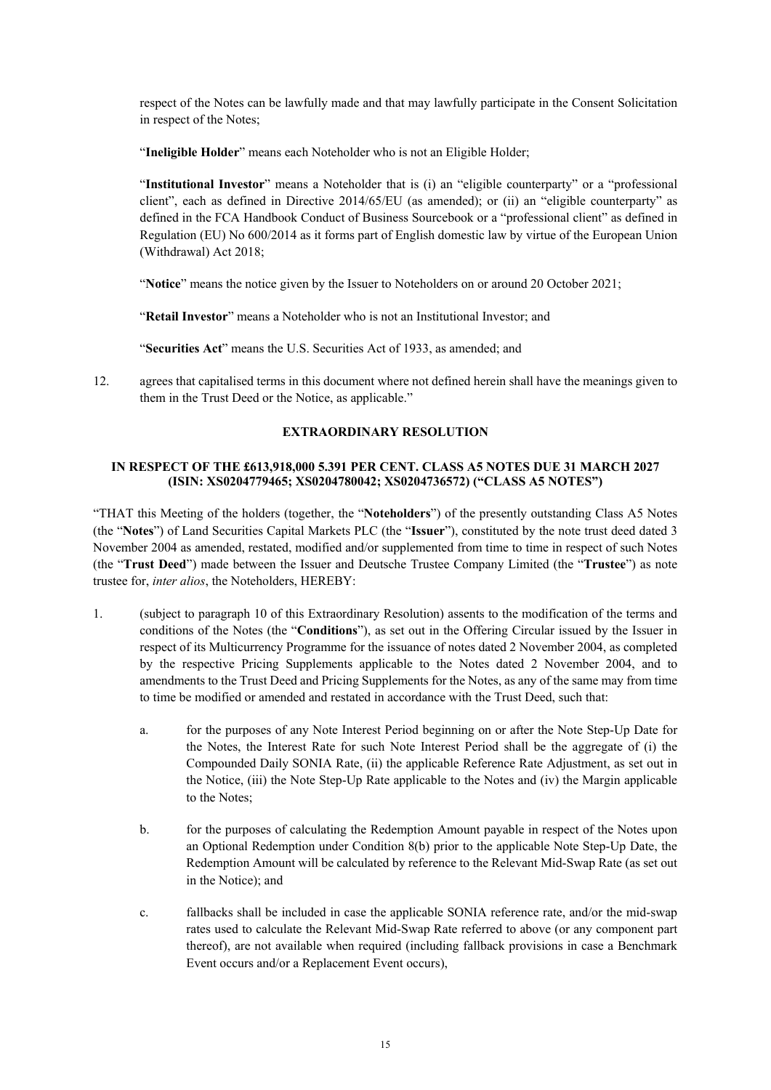respect of the Notes can be lawfully made and that may lawfully participate in the Consent Solicitation in respect of the Notes;

"**Ineligible Holder**" means each Noteholder who is not an Eligible Holder;

"**Institutional Investor**" means a Noteholder that is (i) an "eligible counterparty" or a "professional client", each as defined in Directive 2014/65/EU (as amended); or (ii) an "eligible counterparty" as defined in the FCA Handbook Conduct of Business Sourcebook or a "professional client" as defined in Regulation (EU) No 600/2014 as it forms part of English domestic law by virtue of the European Union (Withdrawal) Act 2018;

"**Notice**" means the notice given by the Issuer to Noteholders on or around 20 October 2021;

"**Retail Investor**" means a Noteholder who is not an Institutional Investor; and

"**Securities Act**" means the U.S. Securities Act of 1933, as amended; and

12. agrees that capitalised terms in this document where not defined herein shall have the meanings given to them in the Trust Deed or the Notice, as applicable."

## **EXTRAORDINARY RESOLUTION**

## **IN RESPECT OF THE £613,918,000 5.391 PER CENT. CLASS A5 NOTES DUE 31 MARCH 2027 (ISIN: XS0204779465; XS0204780042; XS0204736572) ("CLASS A5 NOTES")**

"THAT this Meeting of the holders (together, the "**Noteholders**") of the presently outstanding Class A5 Notes (the "**Notes**") of Land Securities Capital Markets PLC (the "**Issuer**"), constituted by the note trust deed dated 3 November 2004 as amended, restated, modified and/or supplemented from time to time in respect of such Notes (the "**Trust Deed**") made between the Issuer and Deutsche Trustee Company Limited (the "**Trustee**") as note trustee for, *inter alios*, the Noteholders, HEREBY:

- 1. (subject to paragraph 10 of this Extraordinary Resolution) assents to the modification of the terms and conditions of the Notes (the "**Conditions**"), as set out in the Offering Circular issued by the Issuer in respect of its Multicurrency Programme for the issuance of notes dated 2 November 2004, as completed by the respective Pricing Supplements applicable to the Notes dated 2 November 2004, and to amendments to the Trust Deed and Pricing Supplements for the Notes, as any of the same may from time to time be modified or amended and restated in accordance with the Trust Deed, such that:
	- a. for the purposes of any Note Interest Period beginning on or after the Note Step-Up Date for the Notes, the Interest Rate for such Note Interest Period shall be the aggregate of (i) the Compounded Daily SONIA Rate, (ii) the applicable Reference Rate Adjustment, as set out in the Notice, (iii) the Note Step-Up Rate applicable to the Notes and (iv) the Margin applicable to the Notes;
	- b. for the purposes of calculating the Redemption Amount payable in respect of the Notes upon an Optional Redemption under Condition 8(b) prior to the applicable Note Step-Up Date, the Redemption Amount will be calculated by reference to the Relevant Mid-Swap Rate (as set out in the Notice); and
	- c. fallbacks shall be included in case the applicable SONIA reference rate, and/or the mid-swap rates used to calculate the Relevant Mid-Swap Rate referred to above (or any component part thereof), are not available when required (including fallback provisions in case a Benchmark Event occurs and/or a Replacement Event occurs),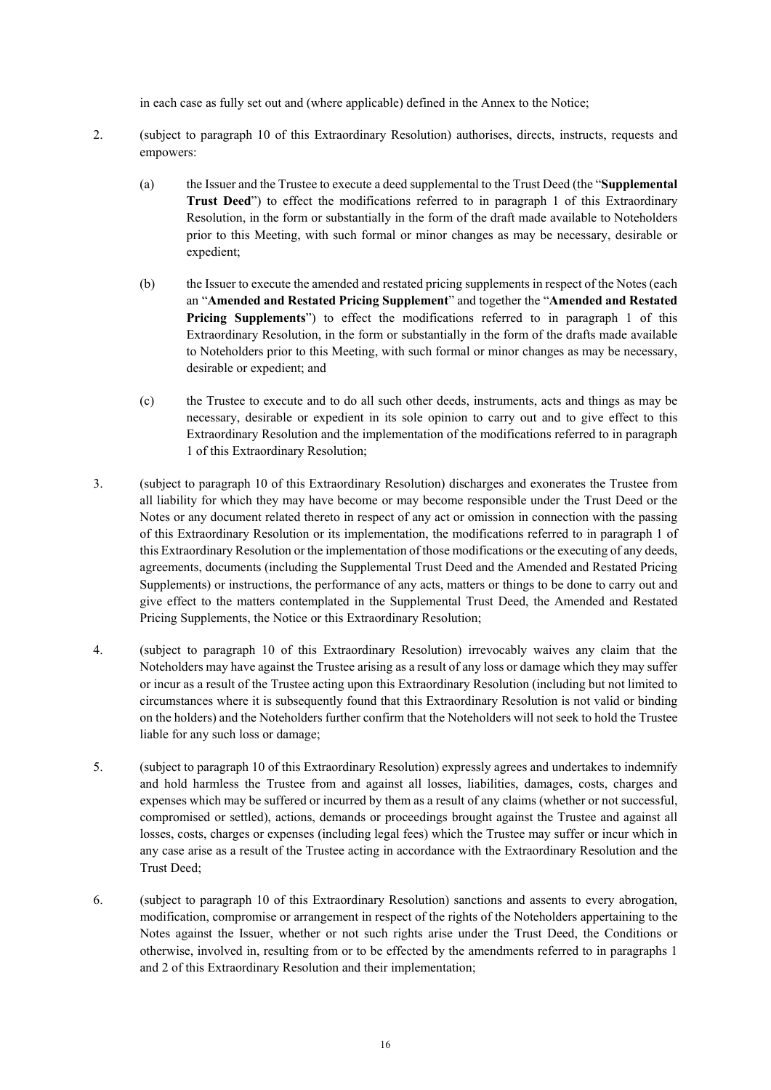in each case as fully set out and (where applicable) defined in the Annex to the Notice;

- 2. (subject to paragraph 10 of this Extraordinary Resolution) authorises, directs, instructs, requests and empowers:
	- (a) the Issuer and the Trustee to execute a deed supplemental to the Trust Deed (the "**Supplemental Trust Deed**") to effect the modifications referred to in paragraph 1 of this Extraordinary Resolution, in the form or substantially in the form of the draft made available to Noteholders prior to this Meeting, with such formal or minor changes as may be necessary, desirable or expedient;
	- (b) the Issuer to execute the amended and restated pricing supplements in respect of the Notes (each an "**Amended and Restated Pricing Supplement**" and together the "**Amended and Restated Pricing Supplements**") to effect the modifications referred to in paragraph 1 of this Extraordinary Resolution, in the form or substantially in the form of the drafts made available to Noteholders prior to this Meeting, with such formal or minor changes as may be necessary, desirable or expedient; and
	- (c) the Trustee to execute and to do all such other deeds, instruments, acts and things as may be necessary, desirable or expedient in its sole opinion to carry out and to give effect to this Extraordinary Resolution and the implementation of the modifications referred to in paragraph 1 of this Extraordinary Resolution;
- 3. (subject to paragraph 10 of this Extraordinary Resolution) discharges and exonerates the Trustee from all liability for which they may have become or may become responsible under the Trust Deed or the Notes or any document related thereto in respect of any act or omission in connection with the passing of this Extraordinary Resolution or its implementation, the modifications referred to in paragraph 1 of this Extraordinary Resolution or the implementation of those modifications or the executing of any deeds, agreements, documents (including the Supplemental Trust Deed and the Amended and Restated Pricing Supplements) or instructions, the performance of any acts, matters or things to be done to carry out and give effect to the matters contemplated in the Supplemental Trust Deed, the Amended and Restated Pricing Supplements, the Notice or this Extraordinary Resolution;
- 4. (subject to paragraph 10 of this Extraordinary Resolution) irrevocably waives any claim that the Noteholders may have against the Trustee arising as a result of any loss or damage which they may suffer or incur as a result of the Trustee acting upon this Extraordinary Resolution (including but not limited to circumstances where it is subsequently found that this Extraordinary Resolution is not valid or binding on the holders) and the Noteholders further confirm that the Noteholders will not seek to hold the Trustee liable for any such loss or damage;
- 5. (subject to paragraph 10 of this Extraordinary Resolution) expressly agrees and undertakes to indemnify and hold harmless the Trustee from and against all losses, liabilities, damages, costs, charges and expenses which may be suffered or incurred by them as a result of any claims (whether or not successful, compromised or settled), actions, demands or proceedings brought against the Trustee and against all losses, costs, charges or expenses (including legal fees) which the Trustee may suffer or incur which in any case arise as a result of the Trustee acting in accordance with the Extraordinary Resolution and the Trust Deed;
- 6. (subject to paragraph 10 of this Extraordinary Resolution) sanctions and assents to every abrogation, modification, compromise or arrangement in respect of the rights of the Noteholders appertaining to the Notes against the Issuer, whether or not such rights arise under the Trust Deed, the Conditions or otherwise, involved in, resulting from or to be effected by the amendments referred to in paragraphs 1 and 2 of this Extraordinary Resolution and their implementation;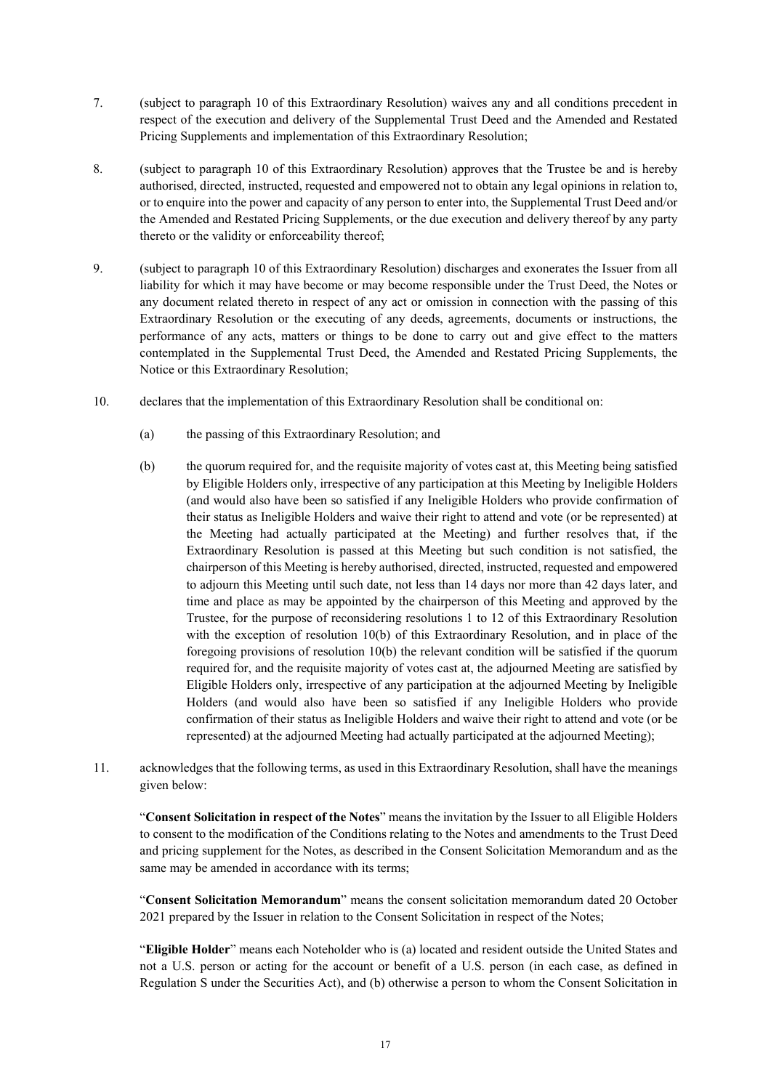- 7. (subject to paragraph 10 of this Extraordinary Resolution) waives any and all conditions precedent in respect of the execution and delivery of the Supplemental Trust Deed and the Amended and Restated Pricing Supplements and implementation of this Extraordinary Resolution;
- 8. (subject to paragraph 10 of this Extraordinary Resolution) approves that the Trustee be and is hereby authorised, directed, instructed, requested and empowered not to obtain any legal opinions in relation to, or to enquire into the power and capacity of any person to enter into, the Supplemental Trust Deed and/or the Amended and Restated Pricing Supplements, or the due execution and delivery thereof by any party thereto or the validity or enforceability thereof;
- 9. (subject to paragraph 10 of this Extraordinary Resolution) discharges and exonerates the Issuer from all liability for which it may have become or may become responsible under the Trust Deed, the Notes or any document related thereto in respect of any act or omission in connection with the passing of this Extraordinary Resolution or the executing of any deeds, agreements, documents or instructions, the performance of any acts, matters or things to be done to carry out and give effect to the matters contemplated in the Supplemental Trust Deed, the Amended and Restated Pricing Supplements, the Notice or this Extraordinary Resolution;
- 10. declares that the implementation of this Extraordinary Resolution shall be conditional on:
	- (a) the passing of this Extraordinary Resolution; and
	- (b) the quorum required for, and the requisite majority of votes cast at, this Meeting being satisfied by Eligible Holders only, irrespective of any participation at this Meeting by Ineligible Holders (and would also have been so satisfied if any Ineligible Holders who provide confirmation of their status as Ineligible Holders and waive their right to attend and vote (or be represented) at the Meeting had actually participated at the Meeting) and further resolves that, if the Extraordinary Resolution is passed at this Meeting but such condition is not satisfied, the chairperson of this Meeting is hereby authorised, directed, instructed, requested and empowered to adjourn this Meeting until such date, not less than 14 days nor more than 42 days later, and time and place as may be appointed by the chairperson of this Meeting and approved by the Trustee, for the purpose of reconsidering resolutions 1 to 12 of this Extraordinary Resolution with the exception of resolution 10(b) of this Extraordinary Resolution, and in place of the foregoing provisions of resolution 10(b) the relevant condition will be satisfied if the quorum required for, and the requisite majority of votes cast at, the adjourned Meeting are satisfied by Eligible Holders only, irrespective of any participation at the adjourned Meeting by Ineligible Holders (and would also have been so satisfied if any Ineligible Holders who provide confirmation of their status as Ineligible Holders and waive their right to attend and vote (or be represented) at the adjourned Meeting had actually participated at the adjourned Meeting);
- 11. acknowledges that the following terms, as used in this Extraordinary Resolution, shall have the meanings given below:

"**Consent Solicitation in respect of the Notes**" means the invitation by the Issuer to all Eligible Holders to consent to the modification of the Conditions relating to the Notes and amendments to the Trust Deed and pricing supplement for the Notes, as described in the Consent Solicitation Memorandum and as the same may be amended in accordance with its terms;

"**Consent Solicitation Memorandum**" means the consent solicitation memorandum dated 20 October 2021 prepared by the Issuer in relation to the Consent Solicitation in respect of the Notes;

"**Eligible Holder**" means each Noteholder who is (a) located and resident outside the United States and not a U.S. person or acting for the account or benefit of a U.S. person (in each case, as defined in Regulation S under the Securities Act), and (b) otherwise a person to whom the Consent Solicitation in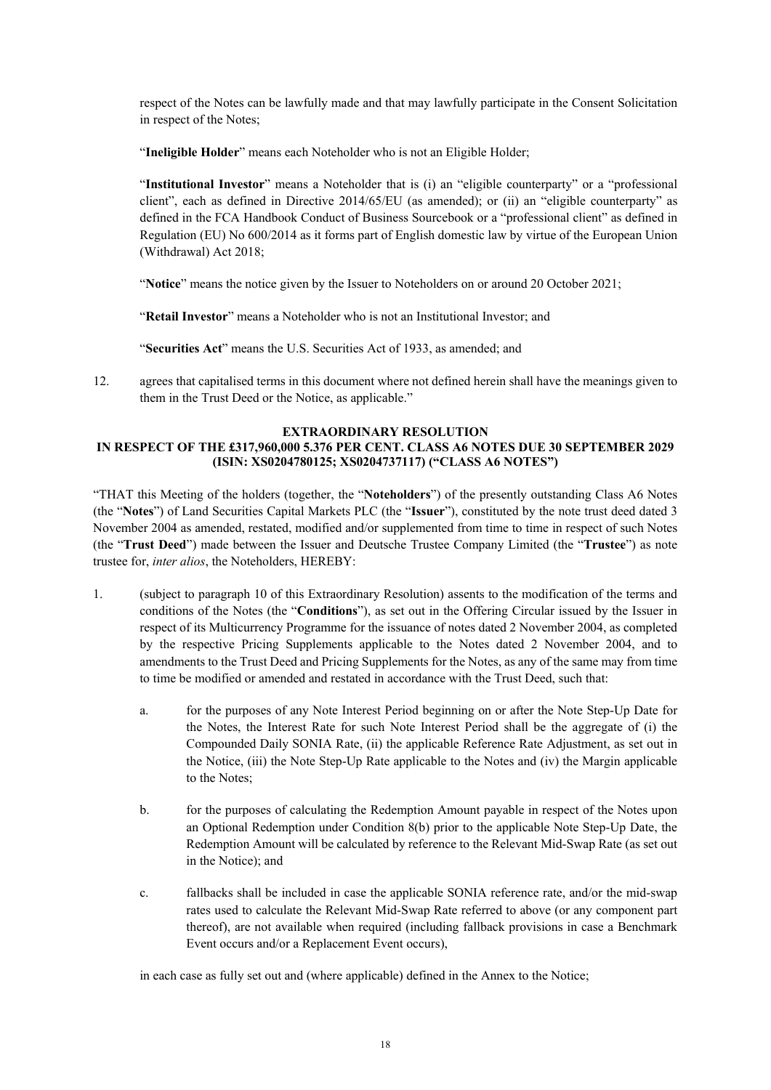respect of the Notes can be lawfully made and that may lawfully participate in the Consent Solicitation in respect of the Notes;

"**Ineligible Holder**" means each Noteholder who is not an Eligible Holder;

"**Institutional Investor**" means a Noteholder that is (i) an "eligible counterparty" or a "professional client", each as defined in Directive 2014/65/EU (as amended); or (ii) an "eligible counterparty" as defined in the FCA Handbook Conduct of Business Sourcebook or a "professional client" as defined in Regulation (EU) No 600/2014 as it forms part of English domestic law by virtue of the European Union (Withdrawal) Act 2018;

"**Notice**" means the notice given by the Issuer to Noteholders on or around 20 October 2021;

"**Retail Investor**" means a Noteholder who is not an Institutional Investor; and

"**Securities Act**" means the U.S. Securities Act of 1933, as amended; and

12. agrees that capitalised terms in this document where not defined herein shall have the meanings given to them in the Trust Deed or the Notice, as applicable."

## **EXTRAORDINARY RESOLUTION**

## **IN RESPECT OF THE £317,960,000 5.376 PER CENT. CLASS A6 NOTES DUE 30 SEPTEMBER 2029 (ISIN: XS0204780125; XS0204737117) ("CLASS A6 NOTES")**

"THAT this Meeting of the holders (together, the "**Noteholders**") of the presently outstanding Class A6 Notes (the "**Notes**") of Land Securities Capital Markets PLC (the "**Issuer**"), constituted by the note trust deed dated 3 November 2004 as amended, restated, modified and/or supplemented from time to time in respect of such Notes (the "**Trust Deed**") made between the Issuer and Deutsche Trustee Company Limited (the "**Trustee**") as note trustee for, *inter alios*, the Noteholders, HEREBY:

- 1. (subject to paragraph 10 of this Extraordinary Resolution) assents to the modification of the terms and conditions of the Notes (the "**Conditions**"), as set out in the Offering Circular issued by the Issuer in respect of its Multicurrency Programme for the issuance of notes dated 2 November 2004, as completed by the respective Pricing Supplements applicable to the Notes dated 2 November 2004, and to amendments to the Trust Deed and Pricing Supplements for the Notes, as any of the same may from time to time be modified or amended and restated in accordance with the Trust Deed, such that:
	- a. for the purposes of any Note Interest Period beginning on or after the Note Step-Up Date for the Notes, the Interest Rate for such Note Interest Period shall be the aggregate of (i) the Compounded Daily SONIA Rate, (ii) the applicable Reference Rate Adjustment, as set out in the Notice, (iii) the Note Step-Up Rate applicable to the Notes and (iv) the Margin applicable to the Notes;
	- b. for the purposes of calculating the Redemption Amount payable in respect of the Notes upon an Optional Redemption under Condition 8(b) prior to the applicable Note Step-Up Date, the Redemption Amount will be calculated by reference to the Relevant Mid-Swap Rate (as set out in the Notice); and
	- c. fallbacks shall be included in case the applicable SONIA reference rate, and/or the mid-swap rates used to calculate the Relevant Mid-Swap Rate referred to above (or any component part thereof), are not available when required (including fallback provisions in case a Benchmark Event occurs and/or a Replacement Event occurs),

in each case as fully set out and (where applicable) defined in the Annex to the Notice;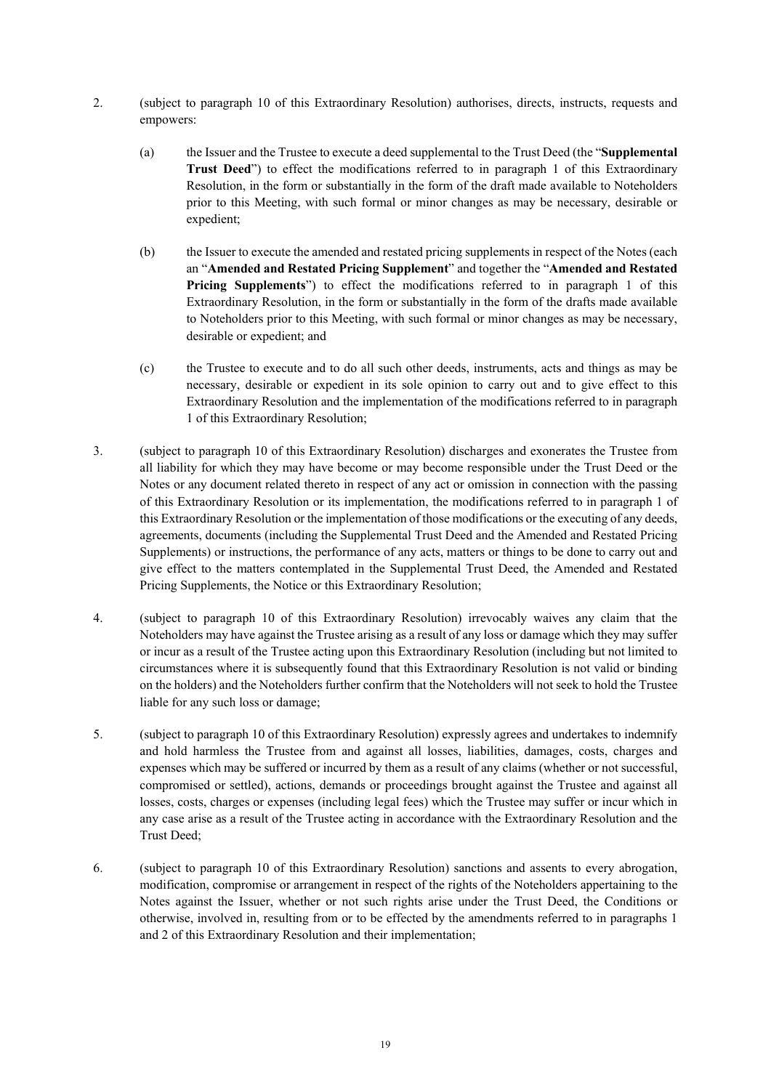- 2. (subject to paragraph 10 of this Extraordinary Resolution) authorises, directs, instructs, requests and empowers:
	- (a) the Issuer and the Trustee to execute a deed supplemental to the Trust Deed (the "**Supplemental Trust Deed**") to effect the modifications referred to in paragraph 1 of this Extraordinary Resolution, in the form or substantially in the form of the draft made available to Noteholders prior to this Meeting, with such formal or minor changes as may be necessary, desirable or expedient;
	- (b) the Issuer to execute the amended and restated pricing supplements in respect of the Notes (each an "**Amended and Restated Pricing Supplement**" and together the "**Amended and Restated Pricing Supplements**") to effect the modifications referred to in paragraph 1 of this Extraordinary Resolution, in the form or substantially in the form of the drafts made available to Noteholders prior to this Meeting, with such formal or minor changes as may be necessary, desirable or expedient; and
	- (c) the Trustee to execute and to do all such other deeds, instruments, acts and things as may be necessary, desirable or expedient in its sole opinion to carry out and to give effect to this Extraordinary Resolution and the implementation of the modifications referred to in paragraph 1 of this Extraordinary Resolution;
- 3. (subject to paragraph 10 of this Extraordinary Resolution) discharges and exonerates the Trustee from all liability for which they may have become or may become responsible under the Trust Deed or the Notes or any document related thereto in respect of any act or omission in connection with the passing of this Extraordinary Resolution or its implementation, the modifications referred to in paragraph 1 of this Extraordinary Resolution or the implementation of those modifications or the executing of any deeds, agreements, documents (including the Supplemental Trust Deed and the Amended and Restated Pricing Supplements) or instructions, the performance of any acts, matters or things to be done to carry out and give effect to the matters contemplated in the Supplemental Trust Deed, the Amended and Restated Pricing Supplements, the Notice or this Extraordinary Resolution;
- 4. (subject to paragraph 10 of this Extraordinary Resolution) irrevocably waives any claim that the Noteholders may have against the Trustee arising as a result of any loss or damage which they may suffer or incur as a result of the Trustee acting upon this Extraordinary Resolution (including but not limited to circumstances where it is subsequently found that this Extraordinary Resolution is not valid or binding on the holders) and the Noteholders further confirm that the Noteholders will not seek to hold the Trustee liable for any such loss or damage;
- 5. (subject to paragraph 10 of this Extraordinary Resolution) expressly agrees and undertakes to indemnify and hold harmless the Trustee from and against all losses, liabilities, damages, costs, charges and expenses which may be suffered or incurred by them as a result of any claims (whether or not successful, compromised or settled), actions, demands or proceedings brought against the Trustee and against all losses, costs, charges or expenses (including legal fees) which the Trustee may suffer or incur which in any case arise as a result of the Trustee acting in accordance with the Extraordinary Resolution and the Trust Deed;
- 6. (subject to paragraph 10 of this Extraordinary Resolution) sanctions and assents to every abrogation, modification, compromise or arrangement in respect of the rights of the Noteholders appertaining to the Notes against the Issuer, whether or not such rights arise under the Trust Deed, the Conditions or otherwise, involved in, resulting from or to be effected by the amendments referred to in paragraphs 1 and 2 of this Extraordinary Resolution and their implementation;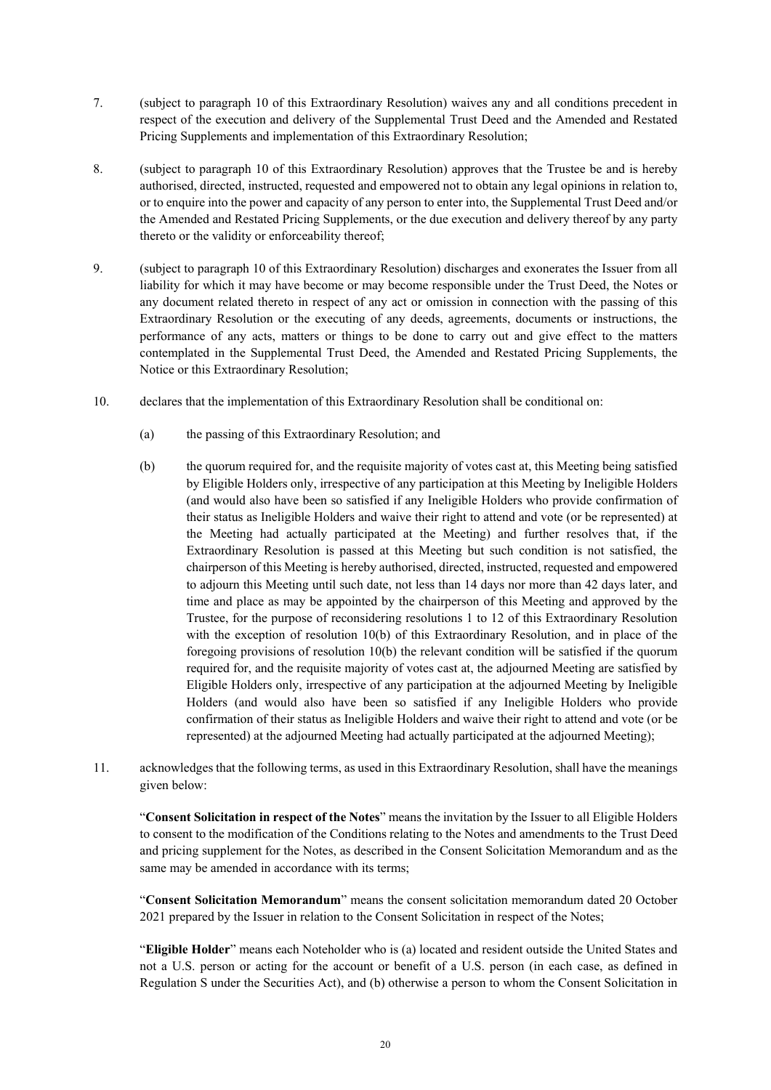- 7. (subject to paragraph 10 of this Extraordinary Resolution) waives any and all conditions precedent in respect of the execution and delivery of the Supplemental Trust Deed and the Amended and Restated Pricing Supplements and implementation of this Extraordinary Resolution;
- 8. (subject to paragraph 10 of this Extraordinary Resolution) approves that the Trustee be and is hereby authorised, directed, instructed, requested and empowered not to obtain any legal opinions in relation to, or to enquire into the power and capacity of any person to enter into, the Supplemental Trust Deed and/or the Amended and Restated Pricing Supplements, or the due execution and delivery thereof by any party thereto or the validity or enforceability thereof;
- 9. (subject to paragraph 10 of this Extraordinary Resolution) discharges and exonerates the Issuer from all liability for which it may have become or may become responsible under the Trust Deed, the Notes or any document related thereto in respect of any act or omission in connection with the passing of this Extraordinary Resolution or the executing of any deeds, agreements, documents or instructions, the performance of any acts, matters or things to be done to carry out and give effect to the matters contemplated in the Supplemental Trust Deed, the Amended and Restated Pricing Supplements, the Notice or this Extraordinary Resolution;
- 10. declares that the implementation of this Extraordinary Resolution shall be conditional on:
	- (a) the passing of this Extraordinary Resolution; and
	- (b) the quorum required for, and the requisite majority of votes cast at, this Meeting being satisfied by Eligible Holders only, irrespective of any participation at this Meeting by Ineligible Holders (and would also have been so satisfied if any Ineligible Holders who provide confirmation of their status as Ineligible Holders and waive their right to attend and vote (or be represented) at the Meeting had actually participated at the Meeting) and further resolves that, if the Extraordinary Resolution is passed at this Meeting but such condition is not satisfied, the chairperson of this Meeting is hereby authorised, directed, instructed, requested and empowered to adjourn this Meeting until such date, not less than 14 days nor more than 42 days later, and time and place as may be appointed by the chairperson of this Meeting and approved by the Trustee, for the purpose of reconsidering resolutions 1 to 12 of this Extraordinary Resolution with the exception of resolution 10(b) of this Extraordinary Resolution, and in place of the foregoing provisions of resolution 10(b) the relevant condition will be satisfied if the quorum required for, and the requisite majority of votes cast at, the adjourned Meeting are satisfied by Eligible Holders only, irrespective of any participation at the adjourned Meeting by Ineligible Holders (and would also have been so satisfied if any Ineligible Holders who provide confirmation of their status as Ineligible Holders and waive their right to attend and vote (or be represented) at the adjourned Meeting had actually participated at the adjourned Meeting);
- 11. acknowledges that the following terms, as used in this Extraordinary Resolution, shall have the meanings given below:

"**Consent Solicitation in respect of the Notes**" means the invitation by the Issuer to all Eligible Holders to consent to the modification of the Conditions relating to the Notes and amendments to the Trust Deed and pricing supplement for the Notes, as described in the Consent Solicitation Memorandum and as the same may be amended in accordance with its terms;

"**Consent Solicitation Memorandum**" means the consent solicitation memorandum dated 20 October 2021 prepared by the Issuer in relation to the Consent Solicitation in respect of the Notes;

"**Eligible Holder**" means each Noteholder who is (a) located and resident outside the United States and not a U.S. person or acting for the account or benefit of a U.S. person (in each case, as defined in Regulation S under the Securities Act), and (b) otherwise a person to whom the Consent Solicitation in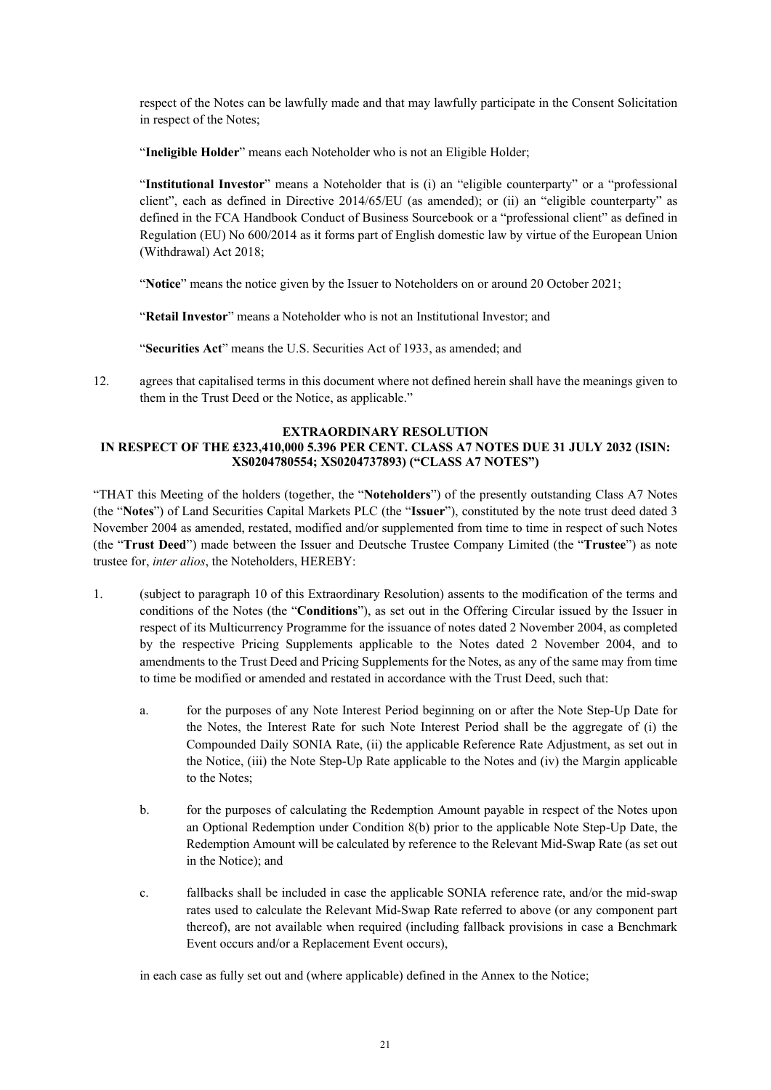respect of the Notes can be lawfully made and that may lawfully participate in the Consent Solicitation in respect of the Notes;

"**Ineligible Holder**" means each Noteholder who is not an Eligible Holder;

"**Institutional Investor**" means a Noteholder that is (i) an "eligible counterparty" or a "professional client", each as defined in Directive 2014/65/EU (as amended); or (ii) an "eligible counterparty" as defined in the FCA Handbook Conduct of Business Sourcebook or a "professional client" as defined in Regulation (EU) No 600/2014 as it forms part of English domestic law by virtue of the European Union (Withdrawal) Act 2018;

"**Notice**" means the notice given by the Issuer to Noteholders on or around 20 October 2021;

"**Retail Investor**" means a Noteholder who is not an Institutional Investor; and

"**Securities Act**" means the U.S. Securities Act of 1933, as amended; and

12. agrees that capitalised terms in this document where not defined herein shall have the meanings given to them in the Trust Deed or the Notice, as applicable."

# **EXTRAORDINARY RESOLUTION**

### **IN RESPECT OF THE £323,410,000 5.396 PER CENT. CLASS A7 NOTES DUE 31 JULY 2032 (ISIN: XS0204780554; XS0204737893) ("CLASS A7 NOTES")**

"THAT this Meeting of the holders (together, the "**Noteholders**") of the presently outstanding Class A7 Notes (the "**Notes**") of Land Securities Capital Markets PLC (the "**Issuer**"), constituted by the note trust deed dated 3 November 2004 as amended, restated, modified and/or supplemented from time to time in respect of such Notes (the "**Trust Deed**") made between the Issuer and Deutsche Trustee Company Limited (the "**Trustee**") as note trustee for, *inter alios*, the Noteholders, HEREBY:

- 1. (subject to paragraph 10 of this Extraordinary Resolution) assents to the modification of the terms and conditions of the Notes (the "**Conditions**"), as set out in the Offering Circular issued by the Issuer in respect of its Multicurrency Programme for the issuance of notes dated 2 November 2004, as completed by the respective Pricing Supplements applicable to the Notes dated 2 November 2004, and to amendments to the Trust Deed and Pricing Supplements for the Notes, as any of the same may from time to time be modified or amended and restated in accordance with the Trust Deed, such that:
	- a. for the purposes of any Note Interest Period beginning on or after the Note Step-Up Date for the Notes, the Interest Rate for such Note Interest Period shall be the aggregate of (i) the Compounded Daily SONIA Rate, (ii) the applicable Reference Rate Adjustment, as set out in the Notice, (iii) the Note Step-Up Rate applicable to the Notes and (iv) the Margin applicable to the Notes;
	- b. for the purposes of calculating the Redemption Amount payable in respect of the Notes upon an Optional Redemption under Condition 8(b) prior to the applicable Note Step-Up Date, the Redemption Amount will be calculated by reference to the Relevant Mid-Swap Rate (as set out in the Notice); and
	- c. fallbacks shall be included in case the applicable SONIA reference rate, and/or the mid-swap rates used to calculate the Relevant Mid-Swap Rate referred to above (or any component part thereof), are not available when required (including fallback provisions in case a Benchmark Event occurs and/or a Replacement Event occurs),

in each case as fully set out and (where applicable) defined in the Annex to the Notice;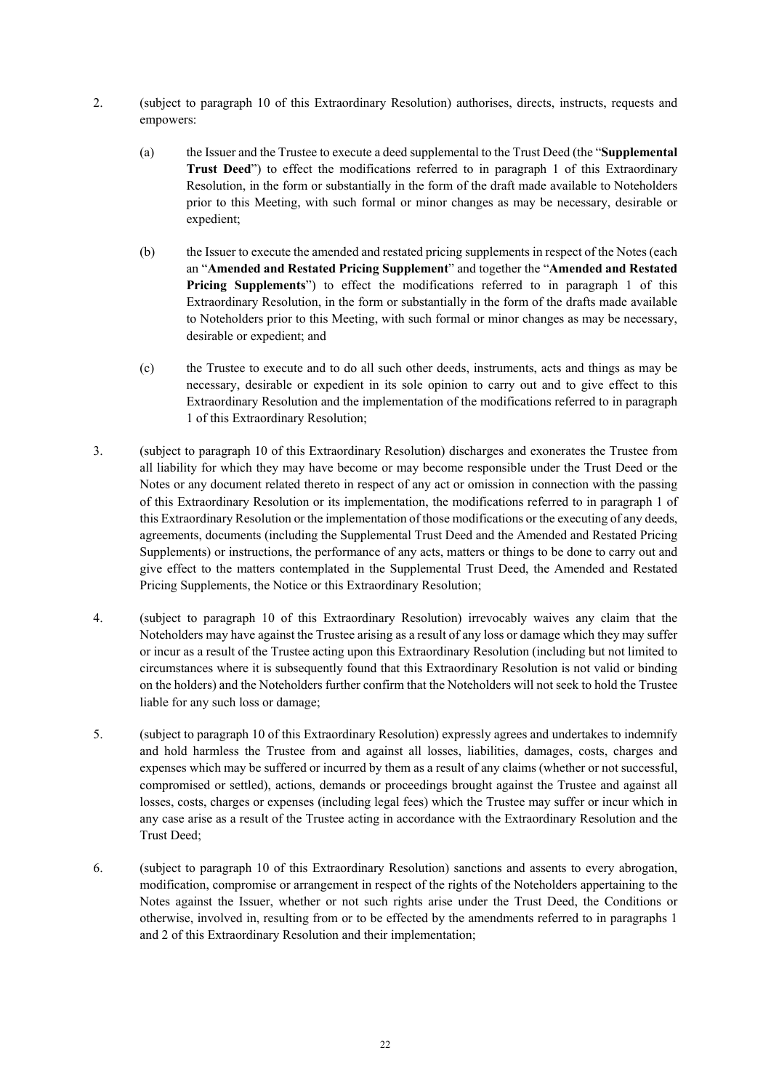- 2. (subject to paragraph 10 of this Extraordinary Resolution) authorises, directs, instructs, requests and empowers:
	- (a) the Issuer and the Trustee to execute a deed supplemental to the Trust Deed (the "**Supplemental Trust Deed**") to effect the modifications referred to in paragraph 1 of this Extraordinary Resolution, in the form or substantially in the form of the draft made available to Noteholders prior to this Meeting, with such formal or minor changes as may be necessary, desirable or expedient;
	- (b) the Issuer to execute the amended and restated pricing supplements in respect of the Notes (each an "**Amended and Restated Pricing Supplement**" and together the "**Amended and Restated Pricing Supplements**") to effect the modifications referred to in paragraph 1 of this Extraordinary Resolution, in the form or substantially in the form of the drafts made available to Noteholders prior to this Meeting, with such formal or minor changes as may be necessary, desirable or expedient; and
	- (c) the Trustee to execute and to do all such other deeds, instruments, acts and things as may be necessary, desirable or expedient in its sole opinion to carry out and to give effect to this Extraordinary Resolution and the implementation of the modifications referred to in paragraph 1 of this Extraordinary Resolution;
- 3. (subject to paragraph 10 of this Extraordinary Resolution) discharges and exonerates the Trustee from all liability for which they may have become or may become responsible under the Trust Deed or the Notes or any document related thereto in respect of any act or omission in connection with the passing of this Extraordinary Resolution or its implementation, the modifications referred to in paragraph 1 of this Extraordinary Resolution or the implementation of those modifications or the executing of any deeds, agreements, documents (including the Supplemental Trust Deed and the Amended and Restated Pricing Supplements) or instructions, the performance of any acts, matters or things to be done to carry out and give effect to the matters contemplated in the Supplemental Trust Deed, the Amended and Restated Pricing Supplements, the Notice or this Extraordinary Resolution;
- 4. (subject to paragraph 10 of this Extraordinary Resolution) irrevocably waives any claim that the Noteholders may have against the Trustee arising as a result of any loss or damage which they may suffer or incur as a result of the Trustee acting upon this Extraordinary Resolution (including but not limited to circumstances where it is subsequently found that this Extraordinary Resolution is not valid or binding on the holders) and the Noteholders further confirm that the Noteholders will not seek to hold the Trustee liable for any such loss or damage;
- 5. (subject to paragraph 10 of this Extraordinary Resolution) expressly agrees and undertakes to indemnify and hold harmless the Trustee from and against all losses, liabilities, damages, costs, charges and expenses which may be suffered or incurred by them as a result of any claims (whether or not successful, compromised or settled), actions, demands or proceedings brought against the Trustee and against all losses, costs, charges or expenses (including legal fees) which the Trustee may suffer or incur which in any case arise as a result of the Trustee acting in accordance with the Extraordinary Resolution and the Trust Deed;
- 6. (subject to paragraph 10 of this Extraordinary Resolution) sanctions and assents to every abrogation, modification, compromise or arrangement in respect of the rights of the Noteholders appertaining to the Notes against the Issuer, whether or not such rights arise under the Trust Deed, the Conditions or otherwise, involved in, resulting from or to be effected by the amendments referred to in paragraphs 1 and 2 of this Extraordinary Resolution and their implementation;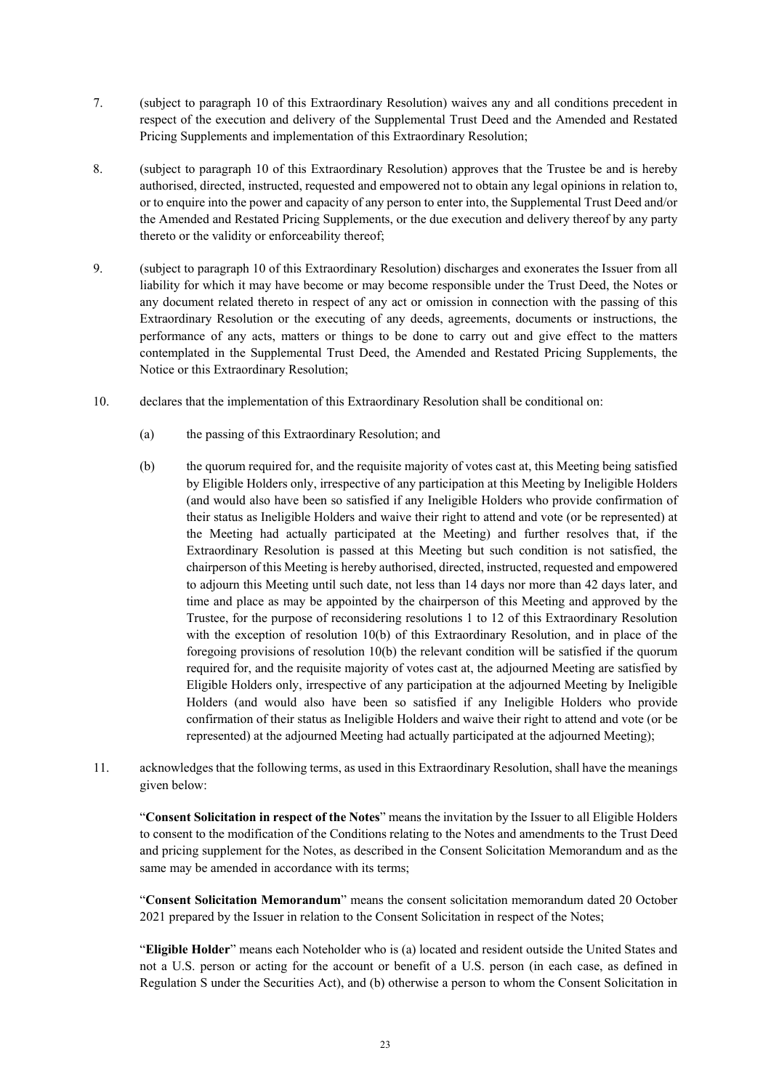- 7. (subject to paragraph 10 of this Extraordinary Resolution) waives any and all conditions precedent in respect of the execution and delivery of the Supplemental Trust Deed and the Amended and Restated Pricing Supplements and implementation of this Extraordinary Resolution;
- 8. (subject to paragraph 10 of this Extraordinary Resolution) approves that the Trustee be and is hereby authorised, directed, instructed, requested and empowered not to obtain any legal opinions in relation to, or to enquire into the power and capacity of any person to enter into, the Supplemental Trust Deed and/or the Amended and Restated Pricing Supplements, or the due execution and delivery thereof by any party thereto or the validity or enforceability thereof;
- 9. (subject to paragraph 10 of this Extraordinary Resolution) discharges and exonerates the Issuer from all liability for which it may have become or may become responsible under the Trust Deed, the Notes or any document related thereto in respect of any act or omission in connection with the passing of this Extraordinary Resolution or the executing of any deeds, agreements, documents or instructions, the performance of any acts, matters or things to be done to carry out and give effect to the matters contemplated in the Supplemental Trust Deed, the Amended and Restated Pricing Supplements, the Notice or this Extraordinary Resolution;
- 10. declares that the implementation of this Extraordinary Resolution shall be conditional on:
	- (a) the passing of this Extraordinary Resolution; and
	- (b) the quorum required for, and the requisite majority of votes cast at, this Meeting being satisfied by Eligible Holders only, irrespective of any participation at this Meeting by Ineligible Holders (and would also have been so satisfied if any Ineligible Holders who provide confirmation of their status as Ineligible Holders and waive their right to attend and vote (or be represented) at the Meeting had actually participated at the Meeting) and further resolves that, if the Extraordinary Resolution is passed at this Meeting but such condition is not satisfied, the chairperson of this Meeting is hereby authorised, directed, instructed, requested and empowered to adjourn this Meeting until such date, not less than 14 days nor more than 42 days later, and time and place as may be appointed by the chairperson of this Meeting and approved by the Trustee, for the purpose of reconsidering resolutions 1 to 12 of this Extraordinary Resolution with the exception of resolution 10(b) of this Extraordinary Resolution, and in place of the foregoing provisions of resolution 10(b) the relevant condition will be satisfied if the quorum required for, and the requisite majority of votes cast at, the adjourned Meeting are satisfied by Eligible Holders only, irrespective of any participation at the adjourned Meeting by Ineligible Holders (and would also have been so satisfied if any Ineligible Holders who provide confirmation of their status as Ineligible Holders and waive their right to attend and vote (or be represented) at the adjourned Meeting had actually participated at the adjourned Meeting);
- 11. acknowledges that the following terms, as used in this Extraordinary Resolution, shall have the meanings given below:

"**Consent Solicitation in respect of the Notes**" means the invitation by the Issuer to all Eligible Holders to consent to the modification of the Conditions relating to the Notes and amendments to the Trust Deed and pricing supplement for the Notes, as described in the Consent Solicitation Memorandum and as the same may be amended in accordance with its terms;

"**Consent Solicitation Memorandum**" means the consent solicitation memorandum dated 20 October 2021 prepared by the Issuer in relation to the Consent Solicitation in respect of the Notes;

"**Eligible Holder**" means each Noteholder who is (a) located and resident outside the United States and not a U.S. person or acting for the account or benefit of a U.S. person (in each case, as defined in Regulation S under the Securities Act), and (b) otherwise a person to whom the Consent Solicitation in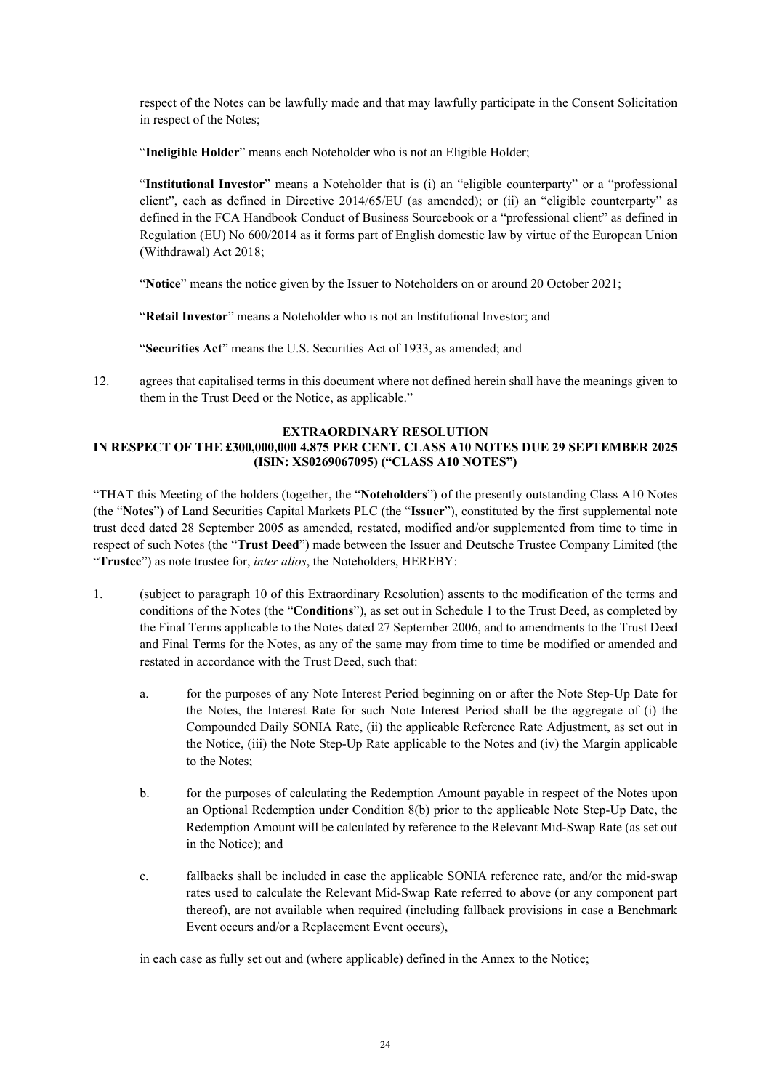respect of the Notes can be lawfully made and that may lawfully participate in the Consent Solicitation in respect of the Notes;

"**Ineligible Holder**" means each Noteholder who is not an Eligible Holder;

"**Institutional Investor**" means a Noteholder that is (i) an "eligible counterparty" or a "professional client", each as defined in Directive 2014/65/EU (as amended); or (ii) an "eligible counterparty" as defined in the FCA Handbook Conduct of Business Sourcebook or a "professional client" as defined in Regulation (EU) No 600/2014 as it forms part of English domestic law by virtue of the European Union (Withdrawal) Act 2018;

"**Notice**" means the notice given by the Issuer to Noteholders on or around 20 October 2021;

"**Retail Investor**" means a Noteholder who is not an Institutional Investor; and

"**Securities Act**" means the U.S. Securities Act of 1933, as amended; and

12. agrees that capitalised terms in this document where not defined herein shall have the meanings given to them in the Trust Deed or the Notice, as applicable."

# **EXTRAORDINARY RESOLUTION**

## **IN RESPECT OF THE £300,000,000 4.875 PER CENT. CLASS A10 NOTES DUE 29 SEPTEMBER 2025 (ISIN: XS0269067095) ("CLASS A10 NOTES")**

"THAT this Meeting of the holders (together, the "**Noteholders**") of the presently outstanding Class A10 Notes (the "**Notes**") of Land Securities Capital Markets PLC (the "**Issuer**"), constituted by the first supplemental note trust deed dated 28 September 2005 as amended, restated, modified and/or supplemented from time to time in respect of such Notes (the "**Trust Deed**") made between the Issuer and Deutsche Trustee Company Limited (the "**Trustee**") as note trustee for, *inter alios*, the Noteholders, HEREBY:

- 1. (subject to paragraph 10 of this Extraordinary Resolution) assents to the modification of the terms and conditions of the Notes (the "**Conditions**"), as set out in Schedule 1 to the Trust Deed, as completed by the Final Terms applicable to the Notes dated 27 September 2006, and to amendments to the Trust Deed and Final Terms for the Notes, as any of the same may from time to time be modified or amended and restated in accordance with the Trust Deed, such that:
	- a. for the purposes of any Note Interest Period beginning on or after the Note Step-Up Date for the Notes, the Interest Rate for such Note Interest Period shall be the aggregate of (i) the Compounded Daily SONIA Rate, (ii) the applicable Reference Rate Adjustment, as set out in the Notice, (iii) the Note Step-Up Rate applicable to the Notes and (iv) the Margin applicable to the Notes;
	- b. for the purposes of calculating the Redemption Amount payable in respect of the Notes upon an Optional Redemption under Condition 8(b) prior to the applicable Note Step-Up Date, the Redemption Amount will be calculated by reference to the Relevant Mid-Swap Rate (as set out in the Notice); and
	- c. fallbacks shall be included in case the applicable SONIA reference rate, and/or the mid-swap rates used to calculate the Relevant Mid-Swap Rate referred to above (or any component part thereof), are not available when required (including fallback provisions in case a Benchmark Event occurs and/or a Replacement Event occurs),

in each case as fully set out and (where applicable) defined in the Annex to the Notice;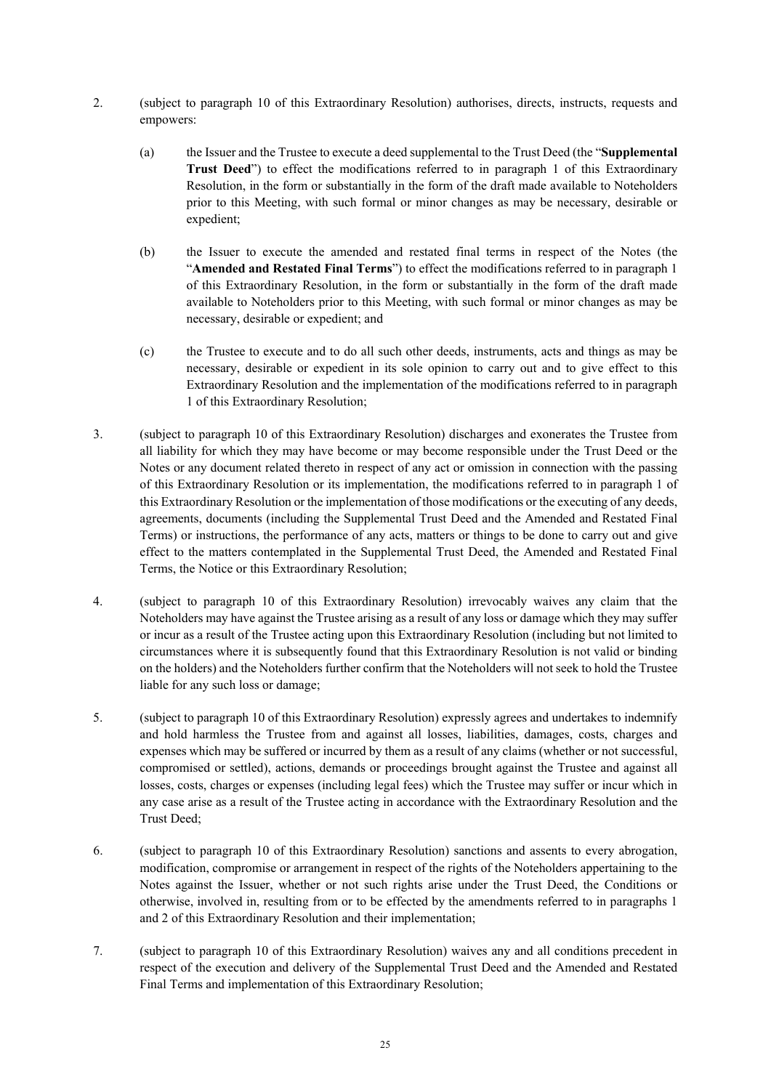- 2. (subject to paragraph 10 of this Extraordinary Resolution) authorises, directs, instructs, requests and empowers:
	- (a) the Issuer and the Trustee to execute a deed supplemental to the Trust Deed (the "**Supplemental Trust Deed**") to effect the modifications referred to in paragraph 1 of this Extraordinary Resolution, in the form or substantially in the form of the draft made available to Noteholders prior to this Meeting, with such formal or minor changes as may be necessary, desirable or expedient;
	- (b) the Issuer to execute the amended and restated final terms in respect of the Notes (the "**Amended and Restated Final Terms**") to effect the modifications referred to in paragraph 1 of this Extraordinary Resolution, in the form or substantially in the form of the draft made available to Noteholders prior to this Meeting, with such formal or minor changes as may be necessary, desirable or expedient; and
	- (c) the Trustee to execute and to do all such other deeds, instruments, acts and things as may be necessary, desirable or expedient in its sole opinion to carry out and to give effect to this Extraordinary Resolution and the implementation of the modifications referred to in paragraph 1 of this Extraordinary Resolution;
- 3. (subject to paragraph 10 of this Extraordinary Resolution) discharges and exonerates the Trustee from all liability for which they may have become or may become responsible under the Trust Deed or the Notes or any document related thereto in respect of any act or omission in connection with the passing of this Extraordinary Resolution or its implementation, the modifications referred to in paragraph 1 of this Extraordinary Resolution or the implementation of those modifications or the executing of any deeds, agreements, documents (including the Supplemental Trust Deed and the Amended and Restated Final Terms) or instructions, the performance of any acts, matters or things to be done to carry out and give effect to the matters contemplated in the Supplemental Trust Deed, the Amended and Restated Final Terms, the Notice or this Extraordinary Resolution;
- 4. (subject to paragraph 10 of this Extraordinary Resolution) irrevocably waives any claim that the Noteholders may have against the Trustee arising as a result of any loss or damage which they may suffer or incur as a result of the Trustee acting upon this Extraordinary Resolution (including but not limited to circumstances where it is subsequently found that this Extraordinary Resolution is not valid or binding on the holders) and the Noteholders further confirm that the Noteholders will not seek to hold the Trustee liable for any such loss or damage;
- 5. (subject to paragraph 10 of this Extraordinary Resolution) expressly agrees and undertakes to indemnify and hold harmless the Trustee from and against all losses, liabilities, damages, costs, charges and expenses which may be suffered or incurred by them as a result of any claims (whether or not successful, compromised or settled), actions, demands or proceedings brought against the Trustee and against all losses, costs, charges or expenses (including legal fees) which the Trustee may suffer or incur which in any case arise as a result of the Trustee acting in accordance with the Extraordinary Resolution and the Trust Deed;
- 6. (subject to paragraph 10 of this Extraordinary Resolution) sanctions and assents to every abrogation, modification, compromise or arrangement in respect of the rights of the Noteholders appertaining to the Notes against the Issuer, whether or not such rights arise under the Trust Deed, the Conditions or otherwise, involved in, resulting from or to be effected by the amendments referred to in paragraphs 1 and 2 of this Extraordinary Resolution and their implementation;
- 7. (subject to paragraph 10 of this Extraordinary Resolution) waives any and all conditions precedent in respect of the execution and delivery of the Supplemental Trust Deed and the Amended and Restated Final Terms and implementation of this Extraordinary Resolution;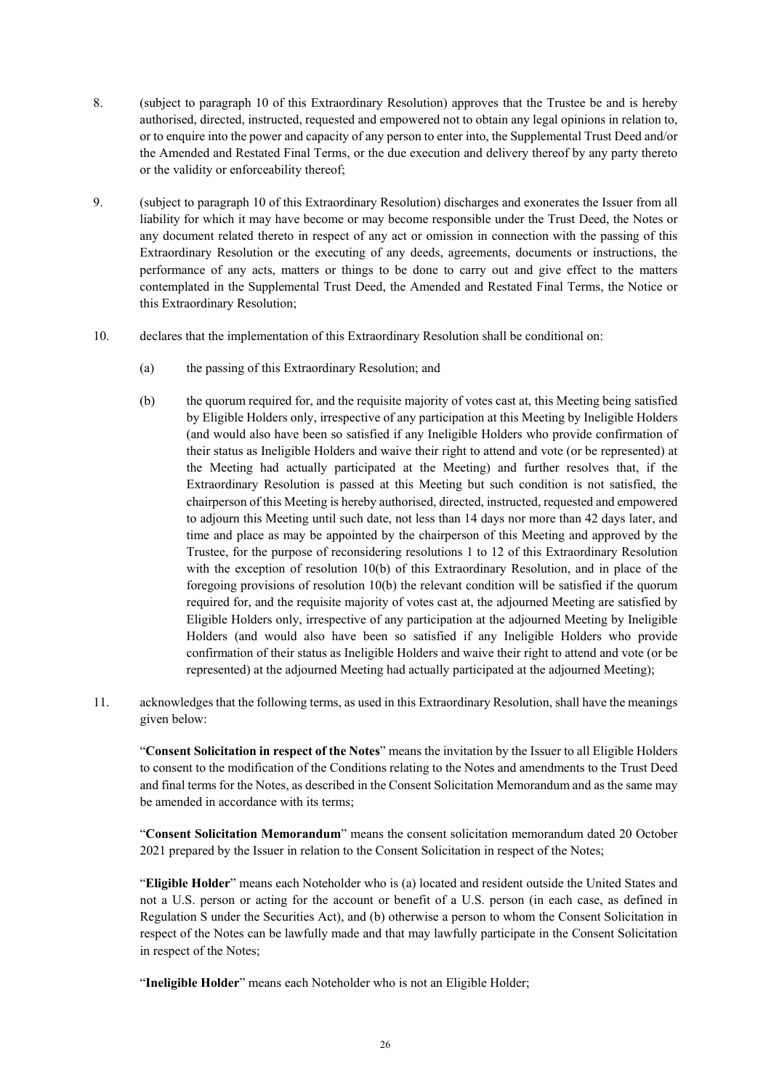- 8. (subject to paragraph 10 of this Extraordinary Resolution) approves that the Trustee be and is hereby authorised, directed, instructed, requested and empowered not to obtain any legal opinions in relation to, or to enquire into the power and capacity of any person to enter into, the Supplemental Trust Deed and/or the Amended and Restated Final Terms, or the due execution and delivery thereof by any party thereto or the validity or enforceability thereof;
- 9. (subject to paragraph 10 of this Extraordinary Resolution) discharges and exonerates the Issuer from all liability for which it may have become or may become responsible under the Trust Deed, the Notes or any document related thereto in respect of any act or omission in connection with the passing of this Extraordinary Resolution or the executing of any deeds, agreements, documents or instructions, the performance of any acts, matters or things to be done to carry out and give effect to the matters contemplated in the Supplemental Trust Deed, the Amended and Restated Final Terms, the Notice or this Extraordinary Resolution;
- 10. declares that the implementation of this Extraordinary Resolution shall be conditional on:
	- (a) the passing of this Extraordinary Resolution; and
	- (b) the quorum required for, and the requisite majority of votes cast at, this Meeting being satisfied by Eligible Holders only, irrespective of any participation at this Meeting by Ineligible Holders (and would also have been so satisfied if any Ineligible Holders who provide confirmation of their status as Ineligible Holders and waive their right to attend and vote (or be represented) at the Meeting had actually participated at the Meeting) and further resolves that, if the Extraordinary Resolution is passed at this Meeting but such condition is not satisfied, the chairperson of this Meeting is hereby authorised, directed, instructed, requested and empowered to adjourn this Meeting until such date, not less than 14 days nor more than 42 days later, and time and place as may be appointed by the chairperson of this Meeting and approved by the Trustee, for the purpose of reconsidering resolutions 1 to 12 of this Extraordinary Resolution with the exception of resolution 10(b) of this Extraordinary Resolution, and in place of the foregoing provisions of resolution 10(b) the relevant condition will be satisfied if the quorum required for, and the requisite majority of votes cast at, the adjourned Meeting are satisfied by Eligible Holders only, irrespective of any participation at the adjourned Meeting by Ineligible Holders (and would also have been so satisfied if any Ineligible Holders who provide confirmation of their status as Ineligible Holders and waive their right to attend and vote (or be represented) at the adjourned Meeting had actually participated at the adjourned Meeting);
- 11. acknowledges that the following terms, as used in this Extraordinary Resolution, shall have the meanings given below:

"**Consent Solicitation in respect of the Notes**" means the invitation by the Issuer to all Eligible Holders to consent to the modification of the Conditions relating to the Notes and amendments to the Trust Deed and final terms for the Notes, as described in the Consent Solicitation Memorandum and as the same may be amended in accordance with its terms;

"**Consent Solicitation Memorandum**" means the consent solicitation memorandum dated 20 October 2021 prepared by the Issuer in relation to the Consent Solicitation in respect of the Notes;

"**Eligible Holder**" means each Noteholder who is (a) located and resident outside the United States and not a U.S. person or acting for the account or benefit of a U.S. person (in each case, as defined in Regulation S under the Securities Act), and (b) otherwise a person to whom the Consent Solicitation in respect of the Notes can be lawfully made and that may lawfully participate in the Consent Solicitation in respect of the Notes;

"**Ineligible Holder**" means each Noteholder who is not an Eligible Holder;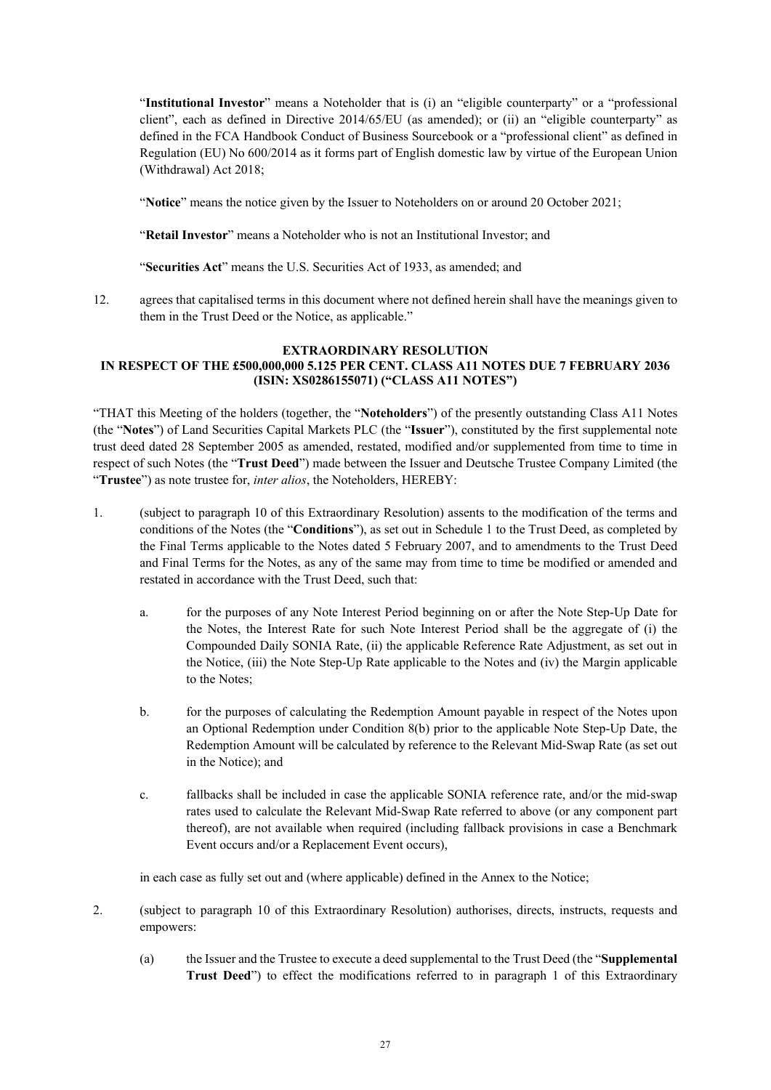"**Institutional Investor**" means a Noteholder that is (i) an "eligible counterparty" or a "professional client", each as defined in Directive 2014/65/EU (as amended); or (ii) an "eligible counterparty" as defined in the FCA Handbook Conduct of Business Sourcebook or a "professional client" as defined in Regulation (EU) No 600/2014 as it forms part of English domestic law by virtue of the European Union (Withdrawal) Act 2018;

"**Notice**" means the notice given by the Issuer to Noteholders on or around 20 October 2021;

"**Retail Investor**" means a Noteholder who is not an Institutional Investor; and

"**Securities Act**" means the U.S. Securities Act of 1933, as amended; and

12. agrees that capitalised terms in this document where not defined herein shall have the meanings given to them in the Trust Deed or the Notice, as applicable."

### **EXTRAORDINARY RESOLUTION IN RESPECT OF THE £500,000,000 5.125 PER CENT. CLASS A11 NOTES DUE 7 FEBRUARY 2036 (ISIN: XS0286155071) ("CLASS A11 NOTES")**

"THAT this Meeting of the holders (together, the "**Noteholders**") of the presently outstanding Class A11 Notes (the "**Notes**") of Land Securities Capital Markets PLC (the "**Issuer**"), constituted by the first supplemental note trust deed dated 28 September 2005 as amended, restated, modified and/or supplemented from time to time in respect of such Notes (the "**Trust Deed**") made between the Issuer and Deutsche Trustee Company Limited (the "**Trustee**") as note trustee for, *inter alios*, the Noteholders, HEREBY:

- 1. (subject to paragraph 10 of this Extraordinary Resolution) assents to the modification of the terms and conditions of the Notes (the "**Conditions**"), as set out in Schedule 1 to the Trust Deed, as completed by the Final Terms applicable to the Notes dated 5 February 2007, and to amendments to the Trust Deed and Final Terms for the Notes, as any of the same may from time to time be modified or amended and restated in accordance with the Trust Deed, such that:
	- a. for the purposes of any Note Interest Period beginning on or after the Note Step-Up Date for the Notes, the Interest Rate for such Note Interest Period shall be the aggregate of (i) the Compounded Daily SONIA Rate, (ii) the applicable Reference Rate Adjustment, as set out in the Notice, (iii) the Note Step-Up Rate applicable to the Notes and (iv) the Margin applicable to the Notes;
	- b. for the purposes of calculating the Redemption Amount payable in respect of the Notes upon an Optional Redemption under Condition 8(b) prior to the applicable Note Step-Up Date, the Redemption Amount will be calculated by reference to the Relevant Mid-Swap Rate (as set out in the Notice); and
	- c. fallbacks shall be included in case the applicable SONIA reference rate, and/or the mid-swap rates used to calculate the Relevant Mid-Swap Rate referred to above (or any component part thereof), are not available when required (including fallback provisions in case a Benchmark Event occurs and/or a Replacement Event occurs),

in each case as fully set out and (where applicable) defined in the Annex to the Notice;

- 2. (subject to paragraph 10 of this Extraordinary Resolution) authorises, directs, instructs, requests and empowers:
	- (a) the Issuer and the Trustee to execute a deed supplemental to the Trust Deed (the "**Supplemental Trust Deed**") to effect the modifications referred to in paragraph 1 of this Extraordinary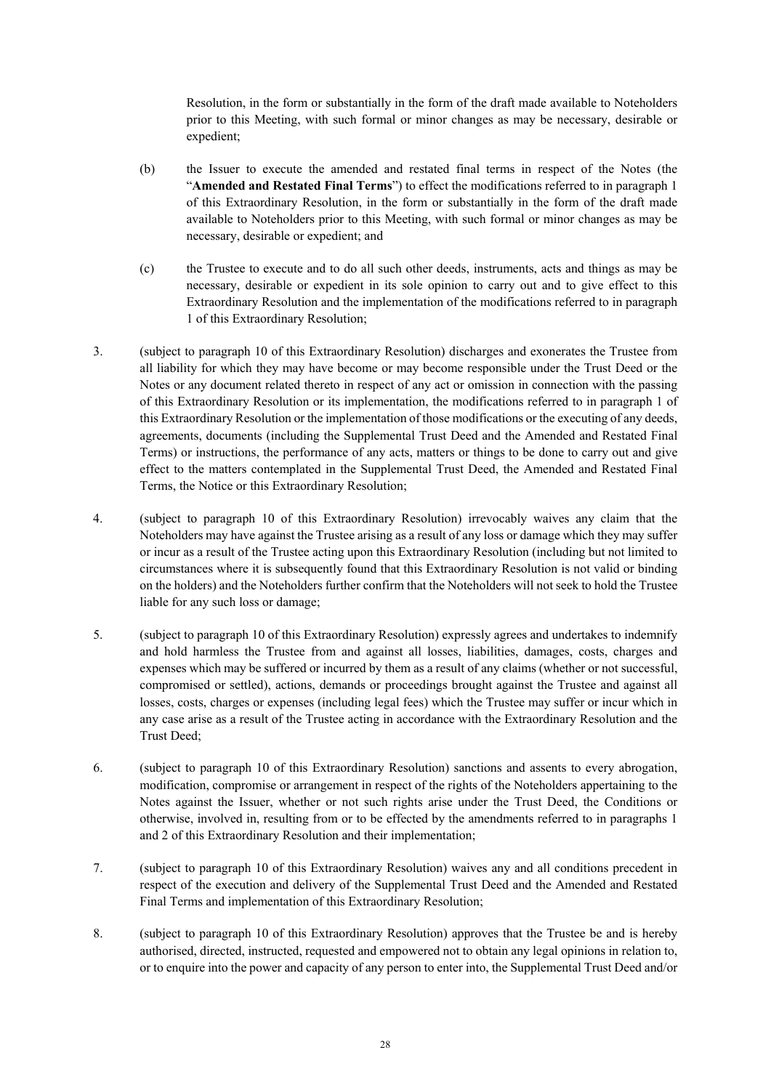Resolution, in the form or substantially in the form of the draft made available to Noteholders prior to this Meeting, with such formal or minor changes as may be necessary, desirable or expedient;

- (b) the Issuer to execute the amended and restated final terms in respect of the Notes (the "**Amended and Restated Final Terms**") to effect the modifications referred to in paragraph 1 of this Extraordinary Resolution, in the form or substantially in the form of the draft made available to Noteholders prior to this Meeting, with such formal or minor changes as may be necessary, desirable or expedient; and
- (c) the Trustee to execute and to do all such other deeds, instruments, acts and things as may be necessary, desirable or expedient in its sole opinion to carry out and to give effect to this Extraordinary Resolution and the implementation of the modifications referred to in paragraph 1 of this Extraordinary Resolution;
- 3. (subject to paragraph 10 of this Extraordinary Resolution) discharges and exonerates the Trustee from all liability for which they may have become or may become responsible under the Trust Deed or the Notes or any document related thereto in respect of any act or omission in connection with the passing of this Extraordinary Resolution or its implementation, the modifications referred to in paragraph 1 of this Extraordinary Resolution or the implementation of those modifications or the executing of any deeds, agreements, documents (including the Supplemental Trust Deed and the Amended and Restated Final Terms) or instructions, the performance of any acts, matters or things to be done to carry out and give effect to the matters contemplated in the Supplemental Trust Deed, the Amended and Restated Final Terms, the Notice or this Extraordinary Resolution;
- 4. (subject to paragraph 10 of this Extraordinary Resolution) irrevocably waives any claim that the Noteholders may have against the Trustee arising as a result of any loss or damage which they may suffer or incur as a result of the Trustee acting upon this Extraordinary Resolution (including but not limited to circumstances where it is subsequently found that this Extraordinary Resolution is not valid or binding on the holders) and the Noteholders further confirm that the Noteholders will not seek to hold the Trustee liable for any such loss or damage;
- 5. (subject to paragraph 10 of this Extraordinary Resolution) expressly agrees and undertakes to indemnify and hold harmless the Trustee from and against all losses, liabilities, damages, costs, charges and expenses which may be suffered or incurred by them as a result of any claims (whether or not successful, compromised or settled), actions, demands or proceedings brought against the Trustee and against all losses, costs, charges or expenses (including legal fees) which the Trustee may suffer or incur which in any case arise as a result of the Trustee acting in accordance with the Extraordinary Resolution and the Trust Deed;
- 6. (subject to paragraph 10 of this Extraordinary Resolution) sanctions and assents to every abrogation, modification, compromise or arrangement in respect of the rights of the Noteholders appertaining to the Notes against the Issuer, whether or not such rights arise under the Trust Deed, the Conditions or otherwise, involved in, resulting from or to be effected by the amendments referred to in paragraphs 1 and 2 of this Extraordinary Resolution and their implementation;
- 7. (subject to paragraph 10 of this Extraordinary Resolution) waives any and all conditions precedent in respect of the execution and delivery of the Supplemental Trust Deed and the Amended and Restated Final Terms and implementation of this Extraordinary Resolution;
- 8. (subject to paragraph 10 of this Extraordinary Resolution) approves that the Trustee be and is hereby authorised, directed, instructed, requested and empowered not to obtain any legal opinions in relation to, or to enquire into the power and capacity of any person to enter into, the Supplemental Trust Deed and/or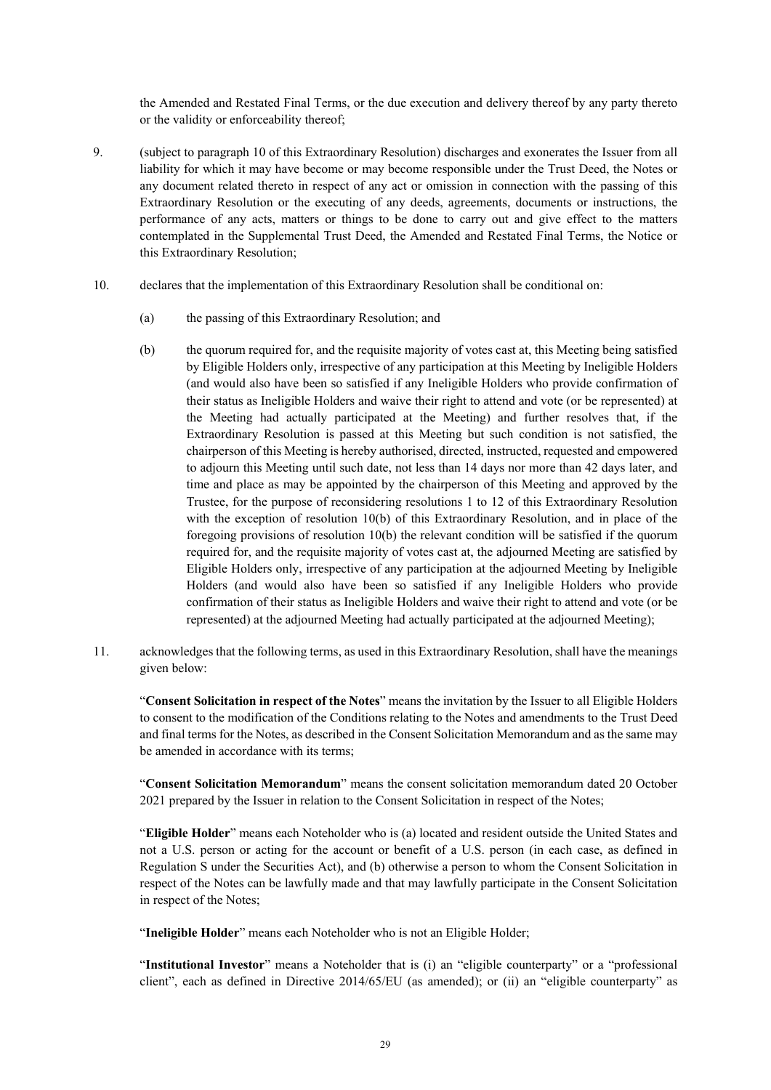the Amended and Restated Final Terms, or the due execution and delivery thereof by any party thereto or the validity or enforceability thereof;

- 9. (subject to paragraph 10 of this Extraordinary Resolution) discharges and exonerates the Issuer from all liability for which it may have become or may become responsible under the Trust Deed, the Notes or any document related thereto in respect of any act or omission in connection with the passing of this Extraordinary Resolution or the executing of any deeds, agreements, documents or instructions, the performance of any acts, matters or things to be done to carry out and give effect to the matters contemplated in the Supplemental Trust Deed, the Amended and Restated Final Terms, the Notice or this Extraordinary Resolution;
- 10. declares that the implementation of this Extraordinary Resolution shall be conditional on:
	- (a) the passing of this Extraordinary Resolution; and
	- (b) the quorum required for, and the requisite majority of votes cast at, this Meeting being satisfied by Eligible Holders only, irrespective of any participation at this Meeting by Ineligible Holders (and would also have been so satisfied if any Ineligible Holders who provide confirmation of their status as Ineligible Holders and waive their right to attend and vote (or be represented) at the Meeting had actually participated at the Meeting) and further resolves that, if the Extraordinary Resolution is passed at this Meeting but such condition is not satisfied, the chairperson of this Meeting is hereby authorised, directed, instructed, requested and empowered to adjourn this Meeting until such date, not less than 14 days nor more than 42 days later, and time and place as may be appointed by the chairperson of this Meeting and approved by the Trustee, for the purpose of reconsidering resolutions 1 to 12 of this Extraordinary Resolution with the exception of resolution 10(b) of this Extraordinary Resolution, and in place of the foregoing provisions of resolution 10(b) the relevant condition will be satisfied if the quorum required for, and the requisite majority of votes cast at, the adjourned Meeting are satisfied by Eligible Holders only, irrespective of any participation at the adjourned Meeting by Ineligible Holders (and would also have been so satisfied if any Ineligible Holders who provide confirmation of their status as Ineligible Holders and waive their right to attend and vote (or be represented) at the adjourned Meeting had actually participated at the adjourned Meeting);
- 11. acknowledges that the following terms, as used in this Extraordinary Resolution, shall have the meanings given below:

"**Consent Solicitation in respect of the Notes**" means the invitation by the Issuer to all Eligible Holders to consent to the modification of the Conditions relating to the Notes and amendments to the Trust Deed and final terms for the Notes, as described in the Consent Solicitation Memorandum and as the same may be amended in accordance with its terms;

"**Consent Solicitation Memorandum**" means the consent solicitation memorandum dated 20 October 2021 prepared by the Issuer in relation to the Consent Solicitation in respect of the Notes;

"**Eligible Holder**" means each Noteholder who is (a) located and resident outside the United States and not a U.S. person or acting for the account or benefit of a U.S. person (in each case, as defined in Regulation S under the Securities Act), and (b) otherwise a person to whom the Consent Solicitation in respect of the Notes can be lawfully made and that may lawfully participate in the Consent Solicitation in respect of the Notes;

"**Ineligible Holder**" means each Noteholder who is not an Eligible Holder;

"**Institutional Investor**" means a Noteholder that is (i) an "eligible counterparty" or a "professional client", each as defined in Directive 2014/65/EU (as amended); or (ii) an "eligible counterparty" as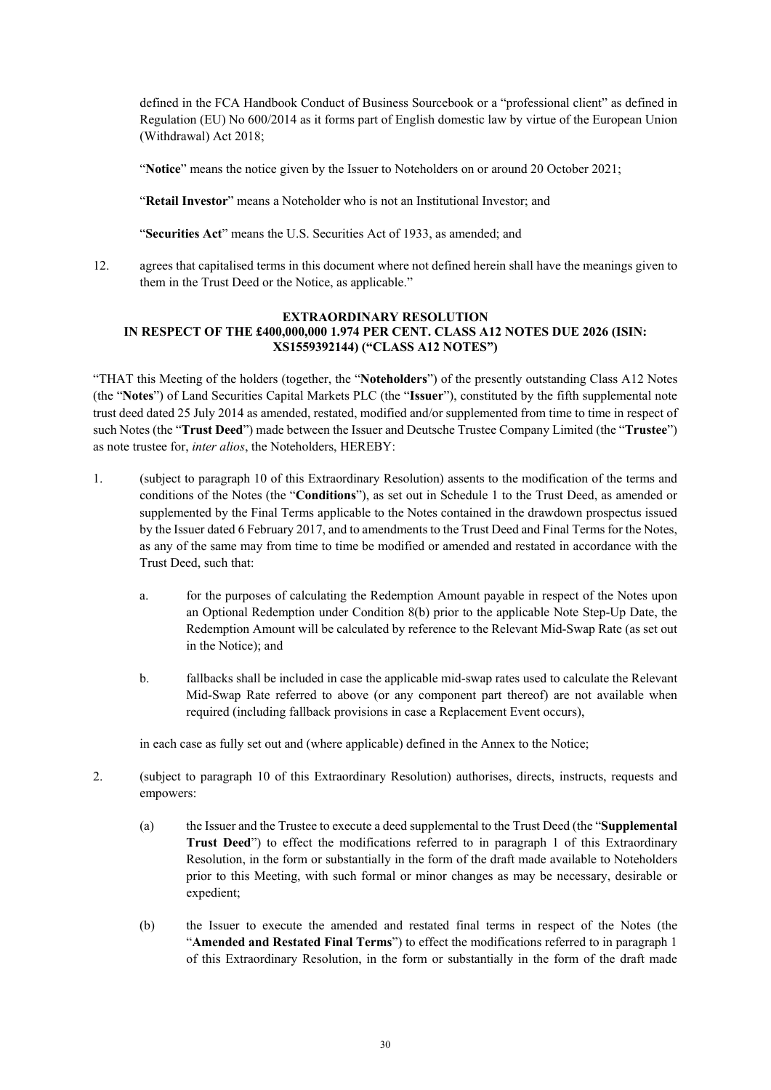defined in the FCA Handbook Conduct of Business Sourcebook or a "professional client" as defined in Regulation (EU) No 600/2014 as it forms part of English domestic law by virtue of the European Union (Withdrawal) Act 2018;

"**Notice**" means the notice given by the Issuer to Noteholders on or around 20 October 2021;

"**Retail Investor**" means a Noteholder who is not an Institutional Investor; and

"**Securities Act**" means the U.S. Securities Act of 1933, as amended; and

12. agrees that capitalised terms in this document where not defined herein shall have the meanings given to them in the Trust Deed or the Notice, as applicable."

## **EXTRAORDINARY RESOLUTION IN RESPECT OF THE £400,000,000 1.974 PER CENT. CLASS A12 NOTES DUE 2026 (ISIN: XS1559392144) ("CLASS A12 NOTES")**

"THAT this Meeting of the holders (together, the "**Noteholders**") of the presently outstanding Class A12 Notes (the "**Notes**") of Land Securities Capital Markets PLC (the "**Issuer**"), constituted by the fifth supplemental note trust deed dated 25 July 2014 as amended, restated, modified and/or supplemented from time to time in respect of such Notes (the "**Trust Deed**") made between the Issuer and Deutsche Trustee Company Limited (the "**Trustee**") as note trustee for, *inter alios*, the Noteholders, HEREBY:

- 1. (subject to paragraph 10 of this Extraordinary Resolution) assents to the modification of the terms and conditions of the Notes (the "**Conditions**"), as set out in Schedule 1 to the Trust Deed, as amended or supplemented by the Final Terms applicable to the Notes contained in the drawdown prospectus issued by the Issuer dated 6 February 2017, and to amendments to the Trust Deed and Final Terms for the Notes, as any of the same may from time to time be modified or amended and restated in accordance with the Trust Deed, such that:
	- a. for the purposes of calculating the Redemption Amount payable in respect of the Notes upon an Optional Redemption under Condition 8(b) prior to the applicable Note Step-Up Date, the Redemption Amount will be calculated by reference to the Relevant Mid-Swap Rate (as set out in the Notice); and
	- b. fallbacks shall be included in case the applicable mid-swap rates used to calculate the Relevant Mid-Swap Rate referred to above (or any component part thereof) are not available when required (including fallback provisions in case a Replacement Event occurs),

in each case as fully set out and (where applicable) defined in the Annex to the Notice;

- 2. (subject to paragraph 10 of this Extraordinary Resolution) authorises, directs, instructs, requests and empowers:
	- (a) the Issuer and the Trustee to execute a deed supplemental to the Trust Deed (the "**Supplemental Trust Deed**") to effect the modifications referred to in paragraph 1 of this Extraordinary Resolution, in the form or substantially in the form of the draft made available to Noteholders prior to this Meeting, with such formal or minor changes as may be necessary, desirable or expedient;
	- (b) the Issuer to execute the amended and restated final terms in respect of the Notes (the "**Amended and Restated Final Terms**") to effect the modifications referred to in paragraph 1 of this Extraordinary Resolution, in the form or substantially in the form of the draft made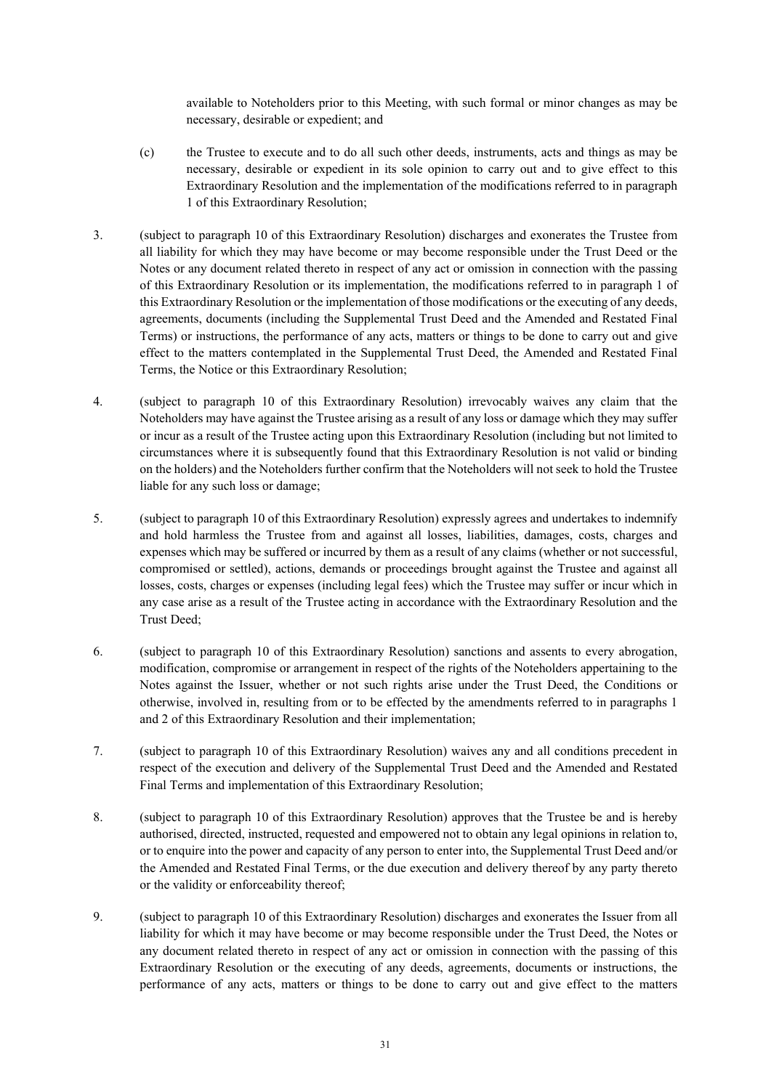available to Noteholders prior to this Meeting, with such formal or minor changes as may be necessary, desirable or expedient; and

- (c) the Trustee to execute and to do all such other deeds, instruments, acts and things as may be necessary, desirable or expedient in its sole opinion to carry out and to give effect to this Extraordinary Resolution and the implementation of the modifications referred to in paragraph 1 of this Extraordinary Resolution;
- 3. (subject to paragraph 10 of this Extraordinary Resolution) discharges and exonerates the Trustee from all liability for which they may have become or may become responsible under the Trust Deed or the Notes or any document related thereto in respect of any act or omission in connection with the passing of this Extraordinary Resolution or its implementation, the modifications referred to in paragraph 1 of this Extraordinary Resolution or the implementation of those modifications or the executing of any deeds, agreements, documents (including the Supplemental Trust Deed and the Amended and Restated Final Terms) or instructions, the performance of any acts, matters or things to be done to carry out and give effect to the matters contemplated in the Supplemental Trust Deed, the Amended and Restated Final Terms, the Notice or this Extraordinary Resolution;
- 4. (subject to paragraph 10 of this Extraordinary Resolution) irrevocably waives any claim that the Noteholders may have against the Trustee arising as a result of any loss or damage which they may suffer or incur as a result of the Trustee acting upon this Extraordinary Resolution (including but not limited to circumstances where it is subsequently found that this Extraordinary Resolution is not valid or binding on the holders) and the Noteholders further confirm that the Noteholders will not seek to hold the Trustee liable for any such loss or damage;
- 5. (subject to paragraph 10 of this Extraordinary Resolution) expressly agrees and undertakes to indemnify and hold harmless the Trustee from and against all losses, liabilities, damages, costs, charges and expenses which may be suffered or incurred by them as a result of any claims (whether or not successful, compromised or settled), actions, demands or proceedings brought against the Trustee and against all losses, costs, charges or expenses (including legal fees) which the Trustee may suffer or incur which in any case arise as a result of the Trustee acting in accordance with the Extraordinary Resolution and the Trust Deed;
- 6. (subject to paragraph 10 of this Extraordinary Resolution) sanctions and assents to every abrogation, modification, compromise or arrangement in respect of the rights of the Noteholders appertaining to the Notes against the Issuer, whether or not such rights arise under the Trust Deed, the Conditions or otherwise, involved in, resulting from or to be effected by the amendments referred to in paragraphs 1 and 2 of this Extraordinary Resolution and their implementation;
- 7. (subject to paragraph 10 of this Extraordinary Resolution) waives any and all conditions precedent in respect of the execution and delivery of the Supplemental Trust Deed and the Amended and Restated Final Terms and implementation of this Extraordinary Resolution;
- 8. (subject to paragraph 10 of this Extraordinary Resolution) approves that the Trustee be and is hereby authorised, directed, instructed, requested and empowered not to obtain any legal opinions in relation to, or to enquire into the power and capacity of any person to enter into, the Supplemental Trust Deed and/or the Amended and Restated Final Terms, or the due execution and delivery thereof by any party thereto or the validity or enforceability thereof;
- 9. (subject to paragraph 10 of this Extraordinary Resolution) discharges and exonerates the Issuer from all liability for which it may have become or may become responsible under the Trust Deed, the Notes or any document related thereto in respect of any act or omission in connection with the passing of this Extraordinary Resolution or the executing of any deeds, agreements, documents or instructions, the performance of any acts, matters or things to be done to carry out and give effect to the matters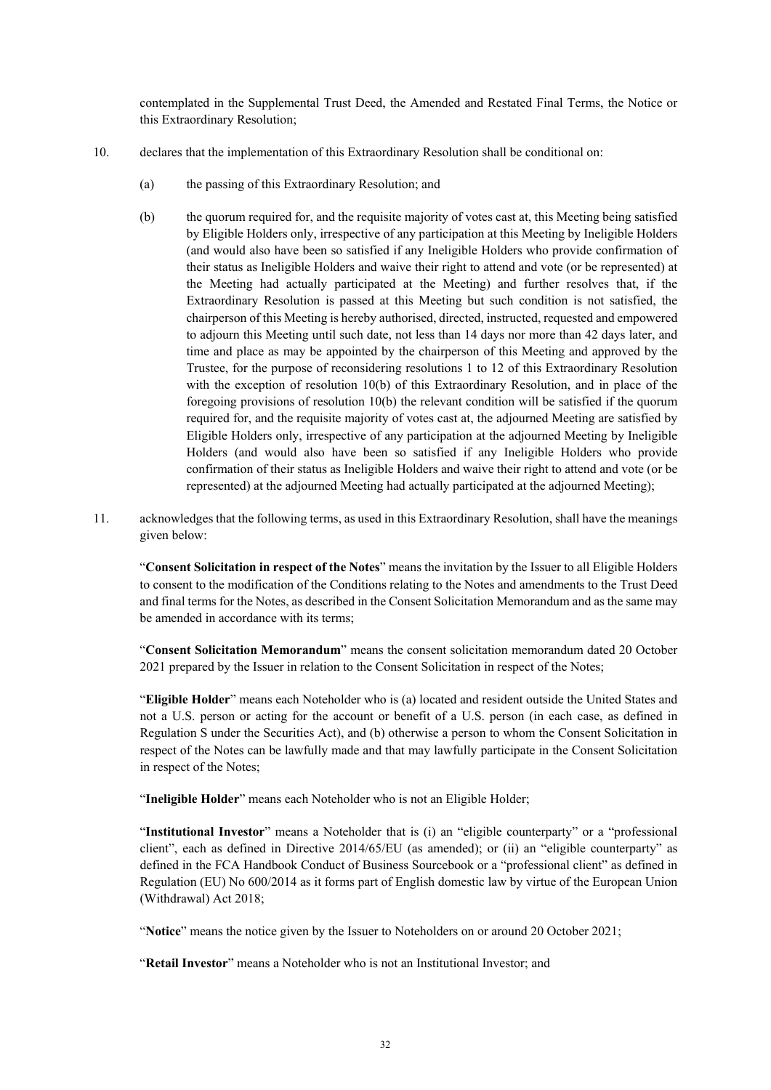contemplated in the Supplemental Trust Deed, the Amended and Restated Final Terms, the Notice or this Extraordinary Resolution;

- 10. declares that the implementation of this Extraordinary Resolution shall be conditional on:
	- (a) the passing of this Extraordinary Resolution; and
	- (b) the quorum required for, and the requisite majority of votes cast at, this Meeting being satisfied by Eligible Holders only, irrespective of any participation at this Meeting by Ineligible Holders (and would also have been so satisfied if any Ineligible Holders who provide confirmation of their status as Ineligible Holders and waive their right to attend and vote (or be represented) at the Meeting had actually participated at the Meeting) and further resolves that, if the Extraordinary Resolution is passed at this Meeting but such condition is not satisfied, the chairperson of this Meeting is hereby authorised, directed, instructed, requested and empowered to adjourn this Meeting until such date, not less than 14 days nor more than 42 days later, and time and place as may be appointed by the chairperson of this Meeting and approved by the Trustee, for the purpose of reconsidering resolutions 1 to 12 of this Extraordinary Resolution with the exception of resolution 10(b) of this Extraordinary Resolution, and in place of the foregoing provisions of resolution 10(b) the relevant condition will be satisfied if the quorum required for, and the requisite majority of votes cast at, the adjourned Meeting are satisfied by Eligible Holders only, irrespective of any participation at the adjourned Meeting by Ineligible Holders (and would also have been so satisfied if any Ineligible Holders who provide confirmation of their status as Ineligible Holders and waive their right to attend and vote (or be represented) at the adjourned Meeting had actually participated at the adjourned Meeting);
- 11. acknowledges that the following terms, as used in this Extraordinary Resolution, shall have the meanings given below:

"**Consent Solicitation in respect of the Notes**" means the invitation by the Issuer to all Eligible Holders to consent to the modification of the Conditions relating to the Notes and amendments to the Trust Deed and final terms for the Notes, as described in the Consent Solicitation Memorandum and as the same may be amended in accordance with its terms;

"**Consent Solicitation Memorandum**" means the consent solicitation memorandum dated 20 October 2021 prepared by the Issuer in relation to the Consent Solicitation in respect of the Notes;

"**Eligible Holder**" means each Noteholder who is (a) located and resident outside the United States and not a U.S. person or acting for the account or benefit of a U.S. person (in each case, as defined in Regulation S under the Securities Act), and (b) otherwise a person to whom the Consent Solicitation in respect of the Notes can be lawfully made and that may lawfully participate in the Consent Solicitation in respect of the Notes;

"Ineligible Holder" means each Noteholder who is not an Eligible Holder;

"**Institutional Investor**" means a Noteholder that is (i) an "eligible counterparty" or a "professional client", each as defined in Directive 2014/65/EU (as amended); or (ii) an "eligible counterparty" as defined in the FCA Handbook Conduct of Business Sourcebook or a "professional client" as defined in Regulation (EU) No 600/2014 as it forms part of English domestic law by virtue of the European Union (Withdrawal) Act 2018;

"**Notice**" means the notice given by the Issuer to Noteholders on or around 20 October 2021;

"**Retail Investor**" means a Noteholder who is not an Institutional Investor; and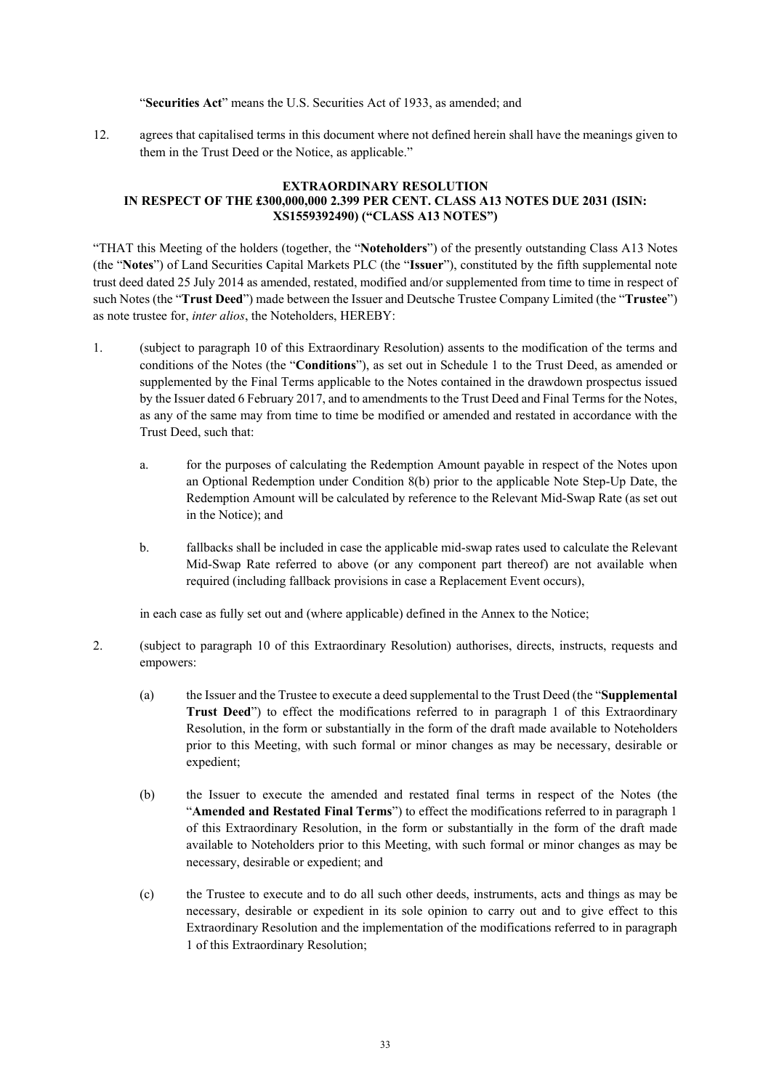#### "**Securities Act**" means the U.S. Securities Act of 1933, as amended; and

12. agrees that capitalised terms in this document where not defined herein shall have the meanings given to them in the Trust Deed or the Notice, as applicable."

### **EXTRAORDINARY RESOLUTION IN RESPECT OF THE £300,000,000 2.399 PER CENT. CLASS A13 NOTES DUE 2031 (ISIN: XS1559392490) ("CLASS A13 NOTES")**

"THAT this Meeting of the holders (together, the "**Noteholders**") of the presently outstanding Class A13 Notes (the "**Notes**") of Land Securities Capital Markets PLC (the "**Issuer**"), constituted by the fifth supplemental note trust deed dated 25 July 2014 as amended, restated, modified and/or supplemented from time to time in respect of such Notes (the "**Trust Deed**") made between the Issuer and Deutsche Trustee Company Limited (the "**Trustee**") as note trustee for, *inter alios*, the Noteholders, HEREBY:

- 1. (subject to paragraph 10 of this Extraordinary Resolution) assents to the modification of the terms and conditions of the Notes (the "**Conditions**"), as set out in Schedule 1 to the Trust Deed, as amended or supplemented by the Final Terms applicable to the Notes contained in the drawdown prospectus issued by the Issuer dated 6 February 2017, and to amendments to the Trust Deed and Final Terms for the Notes, as any of the same may from time to time be modified or amended and restated in accordance with the Trust Deed, such that:
	- a. for the purposes of calculating the Redemption Amount payable in respect of the Notes upon an Optional Redemption under Condition 8(b) prior to the applicable Note Step-Up Date, the Redemption Amount will be calculated by reference to the Relevant Mid-Swap Rate (as set out in the Notice); and
	- b. fallbacks shall be included in case the applicable mid-swap rates used to calculate the Relevant Mid-Swap Rate referred to above (or any component part thereof) are not available when required (including fallback provisions in case a Replacement Event occurs),

in each case as fully set out and (where applicable) defined in the Annex to the Notice;

- 2. (subject to paragraph 10 of this Extraordinary Resolution) authorises, directs, instructs, requests and empowers:
	- (a) the Issuer and the Trustee to execute a deed supplemental to the Trust Deed (the "**Supplemental Trust Deed**") to effect the modifications referred to in paragraph 1 of this Extraordinary Resolution, in the form or substantially in the form of the draft made available to Noteholders prior to this Meeting, with such formal or minor changes as may be necessary, desirable or expedient;
	- (b) the Issuer to execute the amended and restated final terms in respect of the Notes (the "**Amended and Restated Final Terms**") to effect the modifications referred to in paragraph 1 of this Extraordinary Resolution, in the form or substantially in the form of the draft made available to Noteholders prior to this Meeting, with such formal or minor changes as may be necessary, desirable or expedient; and
	- (c) the Trustee to execute and to do all such other deeds, instruments, acts and things as may be necessary, desirable or expedient in its sole opinion to carry out and to give effect to this Extraordinary Resolution and the implementation of the modifications referred to in paragraph 1 of this Extraordinary Resolution;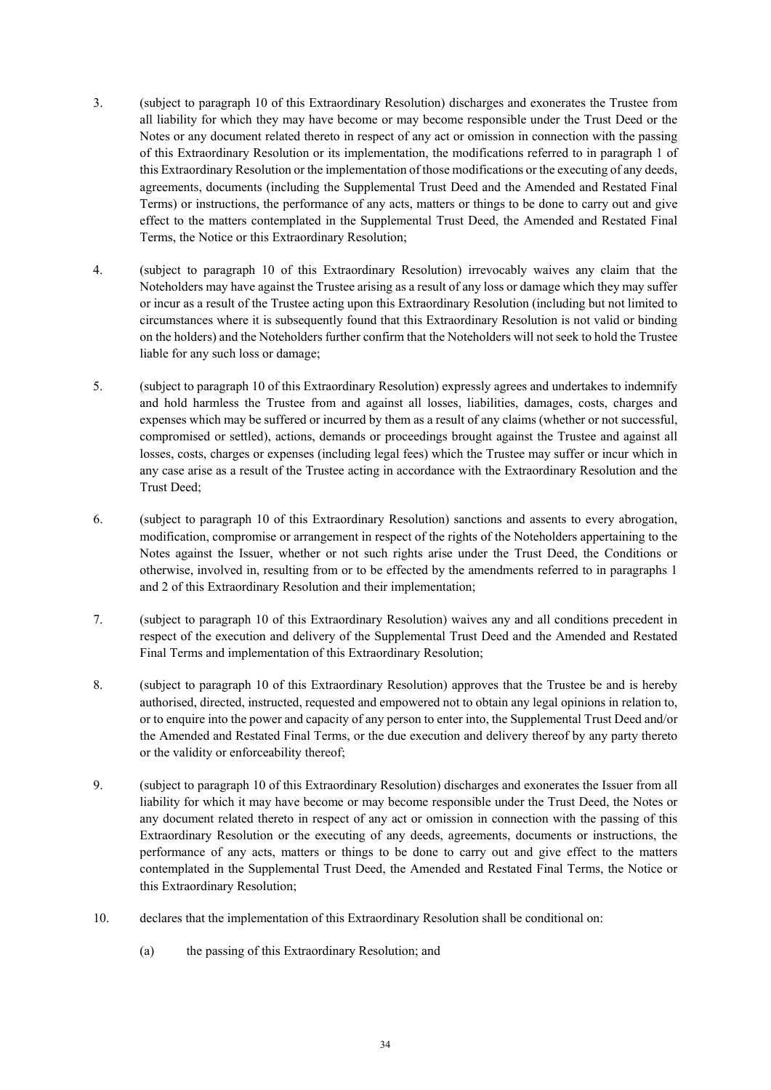- 3. (subject to paragraph 10 of this Extraordinary Resolution) discharges and exonerates the Trustee from all liability for which they may have become or may become responsible under the Trust Deed or the Notes or any document related thereto in respect of any act or omission in connection with the passing of this Extraordinary Resolution or its implementation, the modifications referred to in paragraph 1 of this Extraordinary Resolution or the implementation of those modifications or the executing of any deeds, agreements, documents (including the Supplemental Trust Deed and the Amended and Restated Final Terms) or instructions, the performance of any acts, matters or things to be done to carry out and give effect to the matters contemplated in the Supplemental Trust Deed, the Amended and Restated Final Terms, the Notice or this Extraordinary Resolution;
- 4. (subject to paragraph 10 of this Extraordinary Resolution) irrevocably waives any claim that the Noteholders may have against the Trustee arising as a result of any loss or damage which they may suffer or incur as a result of the Trustee acting upon this Extraordinary Resolution (including but not limited to circumstances where it is subsequently found that this Extraordinary Resolution is not valid or binding on the holders) and the Noteholders further confirm that the Noteholders will not seek to hold the Trustee liable for any such loss or damage;
- 5. (subject to paragraph 10 of this Extraordinary Resolution) expressly agrees and undertakes to indemnify and hold harmless the Trustee from and against all losses, liabilities, damages, costs, charges and expenses which may be suffered or incurred by them as a result of any claims (whether or not successful, compromised or settled), actions, demands or proceedings brought against the Trustee and against all losses, costs, charges or expenses (including legal fees) which the Trustee may suffer or incur which in any case arise as a result of the Trustee acting in accordance with the Extraordinary Resolution and the Trust Deed;
- 6. (subject to paragraph 10 of this Extraordinary Resolution) sanctions and assents to every abrogation, modification, compromise or arrangement in respect of the rights of the Noteholders appertaining to the Notes against the Issuer, whether or not such rights arise under the Trust Deed, the Conditions or otherwise, involved in, resulting from or to be effected by the amendments referred to in paragraphs 1 and 2 of this Extraordinary Resolution and their implementation;
- 7. (subject to paragraph 10 of this Extraordinary Resolution) waives any and all conditions precedent in respect of the execution and delivery of the Supplemental Trust Deed and the Amended and Restated Final Terms and implementation of this Extraordinary Resolution;
- 8. (subject to paragraph 10 of this Extraordinary Resolution) approves that the Trustee be and is hereby authorised, directed, instructed, requested and empowered not to obtain any legal opinions in relation to, or to enquire into the power and capacity of any person to enter into, the Supplemental Trust Deed and/or the Amended and Restated Final Terms, or the due execution and delivery thereof by any party thereto or the validity or enforceability thereof;
- 9. (subject to paragraph 10 of this Extraordinary Resolution) discharges and exonerates the Issuer from all liability for which it may have become or may become responsible under the Trust Deed, the Notes or any document related thereto in respect of any act or omission in connection with the passing of this Extraordinary Resolution or the executing of any deeds, agreements, documents or instructions, the performance of any acts, matters or things to be done to carry out and give effect to the matters contemplated in the Supplemental Trust Deed, the Amended and Restated Final Terms, the Notice or this Extraordinary Resolution;
- 10. declares that the implementation of this Extraordinary Resolution shall be conditional on:
	- (a) the passing of this Extraordinary Resolution; and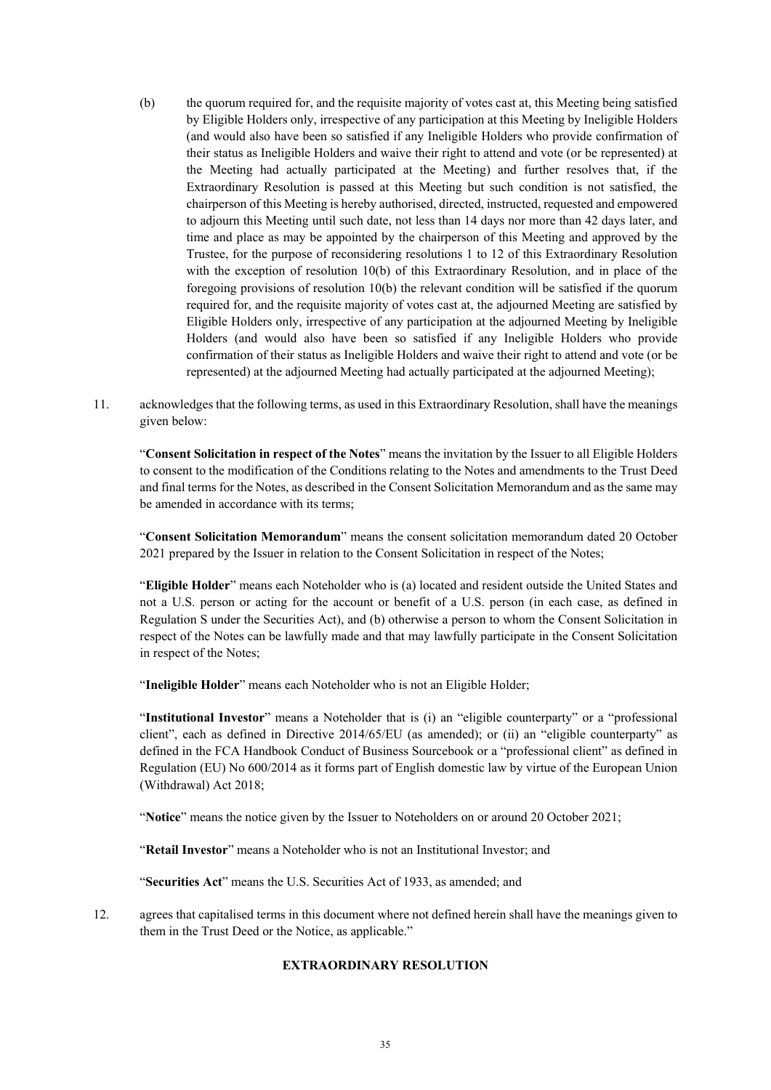- (b) the quorum required for, and the requisite majority of votes cast at, this Meeting being satisfied by Eligible Holders only, irrespective of any participation at this Meeting by Ineligible Holders (and would also have been so satisfied if any Ineligible Holders who provide confirmation of their status as Ineligible Holders and waive their right to attend and vote (or be represented) at the Meeting had actually participated at the Meeting) and further resolves that, if the Extraordinary Resolution is passed at this Meeting but such condition is not satisfied, the chairperson of this Meeting is hereby authorised, directed, instructed, requested and empowered to adjourn this Meeting until such date, not less than 14 days nor more than 42 days later, and time and place as may be appointed by the chairperson of this Meeting and approved by the Trustee, for the purpose of reconsidering resolutions 1 to 12 of this Extraordinary Resolution with the exception of resolution 10(b) of this Extraordinary Resolution, and in place of the foregoing provisions of resolution 10(b) the relevant condition will be satisfied if the quorum required for, and the requisite majority of votes cast at, the adjourned Meeting are satisfied by Eligible Holders only, irrespective of any participation at the adjourned Meeting by Ineligible Holders (and would also have been so satisfied if any Ineligible Holders who provide confirmation of their status as Ineligible Holders and waive their right to attend and vote (or be represented) at the adjourned Meeting had actually participated at the adjourned Meeting);
- 11. acknowledges that the following terms, as used in this Extraordinary Resolution, shall have the meanings given below:

"**Consent Solicitation in respect of the Notes**" means the invitation by the Issuer to all Eligible Holders to consent to the modification of the Conditions relating to the Notes and amendments to the Trust Deed and final terms for the Notes, as described in the Consent Solicitation Memorandum and as the same may be amended in accordance with its terms;

"**Consent Solicitation Memorandum**" means the consent solicitation memorandum dated 20 October 2021 prepared by the Issuer in relation to the Consent Solicitation in respect of the Notes;

"**Eligible Holder**" means each Noteholder who is (a) located and resident outside the United States and not a U.S. person or acting for the account or benefit of a U.S. person (in each case, as defined in Regulation S under the Securities Act), and (b) otherwise a person to whom the Consent Solicitation in respect of the Notes can be lawfully made and that may lawfully participate in the Consent Solicitation in respect of the Notes;

"**Ineligible Holder**" means each Noteholder who is not an Eligible Holder;

"**Institutional Investor**" means a Noteholder that is (i) an "eligible counterparty" or a "professional client", each as defined in Directive 2014/65/EU (as amended); or (ii) an "eligible counterparty" as defined in the FCA Handbook Conduct of Business Sourcebook or a "professional client" as defined in Regulation (EU) No 600/2014 as it forms part of English domestic law by virtue of the European Union (Withdrawal) Act 2018;

"**Notice**" means the notice given by the Issuer to Noteholders on or around 20 October 2021;

"**Retail Investor**" means a Noteholder who is not an Institutional Investor; and

"**Securities Act**" means the U.S. Securities Act of 1933, as amended; and

12. agrees that capitalised terms in this document where not defined herein shall have the meanings given to them in the Trust Deed or the Notice, as applicable."

#### **EXTRAORDINARY RESOLUTION**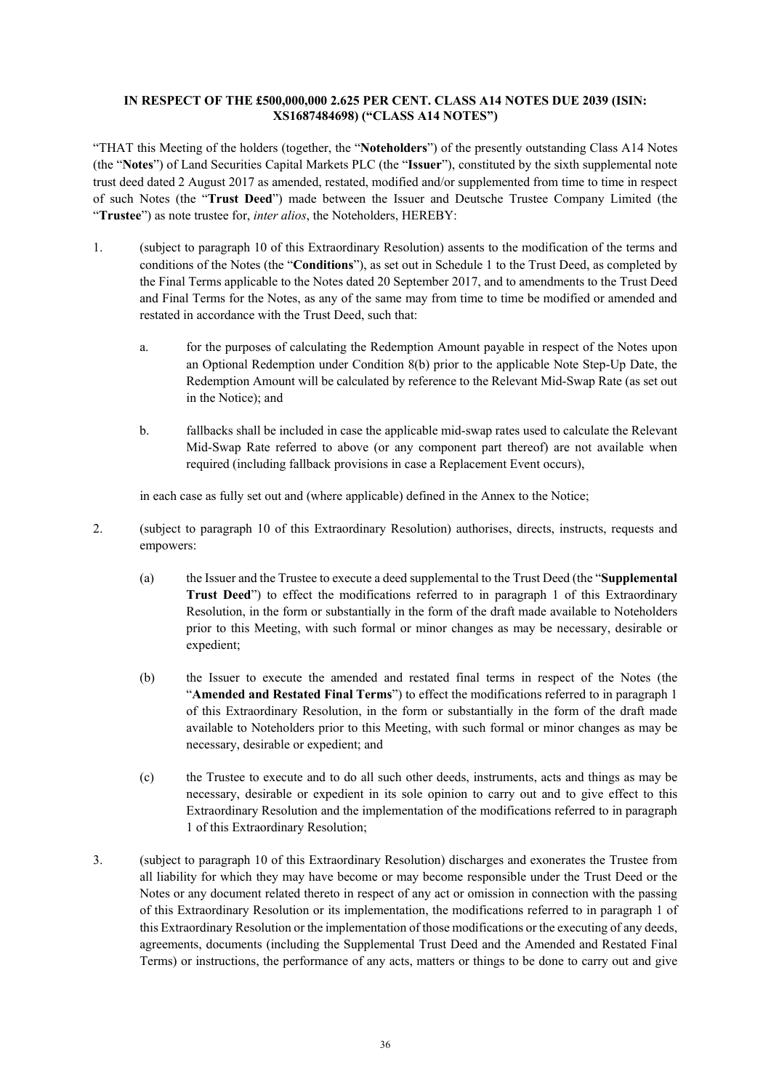### **IN RESPECT OF THE £500,000,000 2.625 PER CENT. CLASS A14 NOTES DUE 2039 (ISIN: XS1687484698) ("CLASS A14 NOTES")**

"THAT this Meeting of the holders (together, the "**Noteholders**") of the presently outstanding Class A14 Notes (the "**Notes**") of Land Securities Capital Markets PLC (the "**Issuer**"), constituted by the sixth supplemental note trust deed dated 2 August 2017 as amended, restated, modified and/or supplemented from time to time in respect of such Notes (the "**Trust Deed**") made between the Issuer and Deutsche Trustee Company Limited (the "**Trustee**") as note trustee for, *inter alios*, the Noteholders, HEREBY:

- 1. (subject to paragraph 10 of this Extraordinary Resolution) assents to the modification of the terms and conditions of the Notes (the "**Conditions**"), as set out in Schedule 1 to the Trust Deed, as completed by the Final Terms applicable to the Notes dated 20 September 2017, and to amendments to the Trust Deed and Final Terms for the Notes, as any of the same may from time to time be modified or amended and restated in accordance with the Trust Deed, such that:
	- a. for the purposes of calculating the Redemption Amount payable in respect of the Notes upon an Optional Redemption under Condition 8(b) prior to the applicable Note Step-Up Date, the Redemption Amount will be calculated by reference to the Relevant Mid-Swap Rate (as set out in the Notice); and
	- b. fallbacks shall be included in case the applicable mid-swap rates used to calculate the Relevant Mid-Swap Rate referred to above (or any component part thereof) are not available when required (including fallback provisions in case a Replacement Event occurs),

in each case as fully set out and (where applicable) defined in the Annex to the Notice;

- 2. (subject to paragraph 10 of this Extraordinary Resolution) authorises, directs, instructs, requests and empowers:
	- (a) the Issuer and the Trustee to execute a deed supplemental to the Trust Deed (the "**Supplemental Trust Deed**") to effect the modifications referred to in paragraph 1 of this Extraordinary Resolution, in the form or substantially in the form of the draft made available to Noteholders prior to this Meeting, with such formal or minor changes as may be necessary, desirable or expedient;
	- (b) the Issuer to execute the amended and restated final terms in respect of the Notes (the "**Amended and Restated Final Terms**") to effect the modifications referred to in paragraph 1 of this Extraordinary Resolution, in the form or substantially in the form of the draft made available to Noteholders prior to this Meeting, with such formal or minor changes as may be necessary, desirable or expedient; and
	- (c) the Trustee to execute and to do all such other deeds, instruments, acts and things as may be necessary, desirable or expedient in its sole opinion to carry out and to give effect to this Extraordinary Resolution and the implementation of the modifications referred to in paragraph 1 of this Extraordinary Resolution;
- 3. (subject to paragraph 10 of this Extraordinary Resolution) discharges and exonerates the Trustee from all liability for which they may have become or may become responsible under the Trust Deed or the Notes or any document related thereto in respect of any act or omission in connection with the passing of this Extraordinary Resolution or its implementation, the modifications referred to in paragraph 1 of this Extraordinary Resolution or the implementation of those modifications or the executing of any deeds, agreements, documents (including the Supplemental Trust Deed and the Amended and Restated Final Terms) or instructions, the performance of any acts, matters or things to be done to carry out and give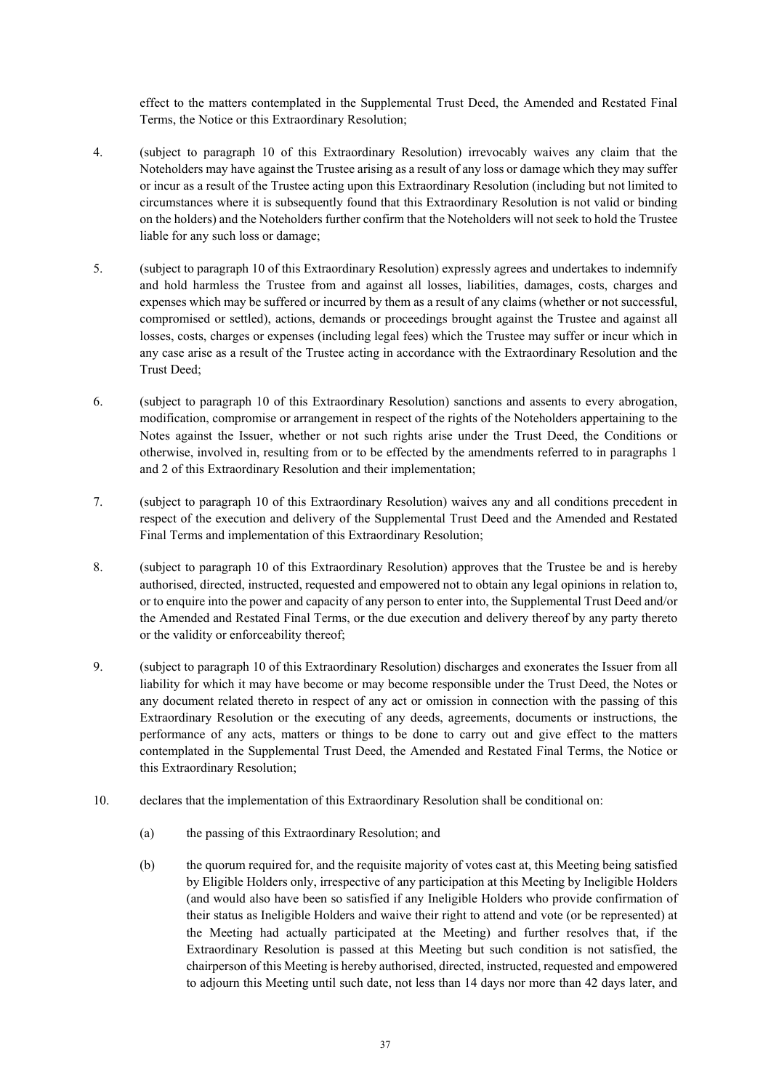effect to the matters contemplated in the Supplemental Trust Deed, the Amended and Restated Final Terms, the Notice or this Extraordinary Resolution;

- 4. (subject to paragraph 10 of this Extraordinary Resolution) irrevocably waives any claim that the Noteholders may have against the Trustee arising as a result of any loss or damage which they may suffer or incur as a result of the Trustee acting upon this Extraordinary Resolution (including but not limited to circumstances where it is subsequently found that this Extraordinary Resolution is not valid or binding on the holders) and the Noteholders further confirm that the Noteholders will not seek to hold the Trustee liable for any such loss or damage;
- 5. (subject to paragraph 10 of this Extraordinary Resolution) expressly agrees and undertakes to indemnify and hold harmless the Trustee from and against all losses, liabilities, damages, costs, charges and expenses which may be suffered or incurred by them as a result of any claims (whether or not successful, compromised or settled), actions, demands or proceedings brought against the Trustee and against all losses, costs, charges or expenses (including legal fees) which the Trustee may suffer or incur which in any case arise as a result of the Trustee acting in accordance with the Extraordinary Resolution and the Trust Deed;
- 6. (subject to paragraph 10 of this Extraordinary Resolution) sanctions and assents to every abrogation, modification, compromise or arrangement in respect of the rights of the Noteholders appertaining to the Notes against the Issuer, whether or not such rights arise under the Trust Deed, the Conditions or otherwise, involved in, resulting from or to be effected by the amendments referred to in paragraphs 1 and 2 of this Extraordinary Resolution and their implementation;
- 7. (subject to paragraph 10 of this Extraordinary Resolution) waives any and all conditions precedent in respect of the execution and delivery of the Supplemental Trust Deed and the Amended and Restated Final Terms and implementation of this Extraordinary Resolution;
- 8. (subject to paragraph 10 of this Extraordinary Resolution) approves that the Trustee be and is hereby authorised, directed, instructed, requested and empowered not to obtain any legal opinions in relation to, or to enquire into the power and capacity of any person to enter into, the Supplemental Trust Deed and/or the Amended and Restated Final Terms, or the due execution and delivery thereof by any party thereto or the validity or enforceability thereof;
- 9. (subject to paragraph 10 of this Extraordinary Resolution) discharges and exonerates the Issuer from all liability for which it may have become or may become responsible under the Trust Deed, the Notes or any document related thereto in respect of any act or omission in connection with the passing of this Extraordinary Resolution or the executing of any deeds, agreements, documents or instructions, the performance of any acts, matters or things to be done to carry out and give effect to the matters contemplated in the Supplemental Trust Deed, the Amended and Restated Final Terms, the Notice or this Extraordinary Resolution;
- 10. declares that the implementation of this Extraordinary Resolution shall be conditional on:
	- (a) the passing of this Extraordinary Resolution; and
	- (b) the quorum required for, and the requisite majority of votes cast at, this Meeting being satisfied by Eligible Holders only, irrespective of any participation at this Meeting by Ineligible Holders (and would also have been so satisfied if any Ineligible Holders who provide confirmation of their status as Ineligible Holders and waive their right to attend and vote (or be represented) at the Meeting had actually participated at the Meeting) and further resolves that, if the Extraordinary Resolution is passed at this Meeting but such condition is not satisfied, the chairperson of this Meeting is hereby authorised, directed, instructed, requested and empowered to adjourn this Meeting until such date, not less than 14 days nor more than 42 days later, and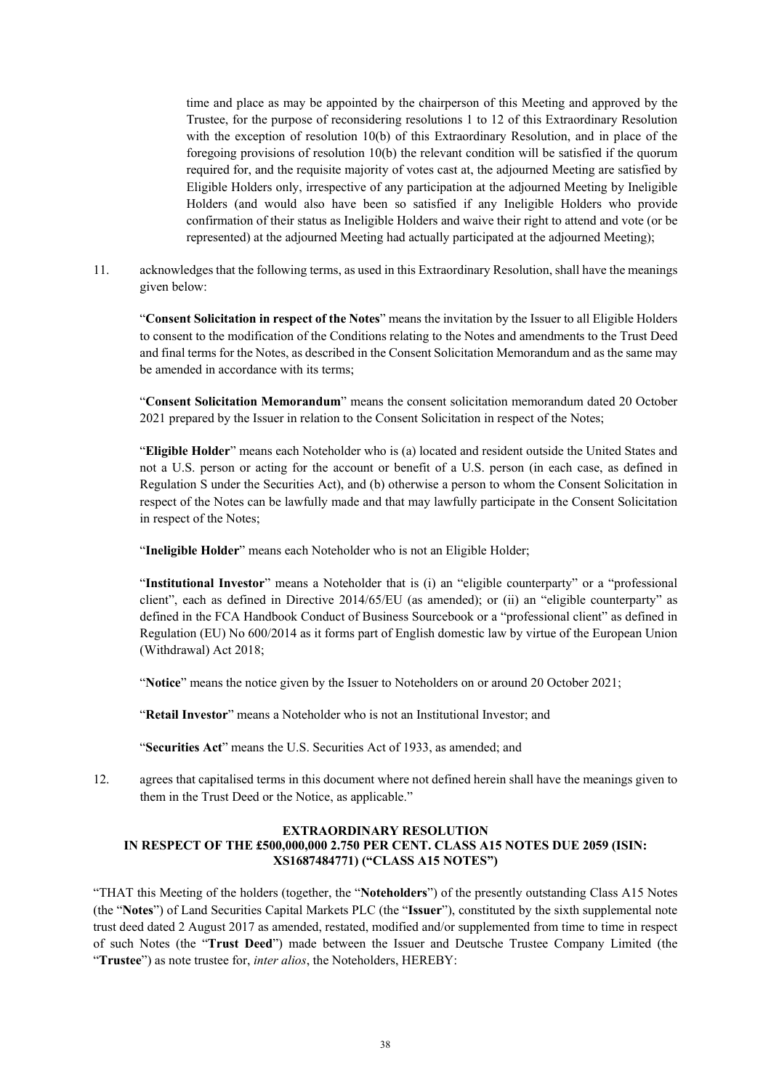time and place as may be appointed by the chairperson of this Meeting and approved by the Trustee, for the purpose of reconsidering resolutions 1 to 12 of this Extraordinary Resolution with the exception of resolution 10(b) of this Extraordinary Resolution, and in place of the foregoing provisions of resolution 10(b) the relevant condition will be satisfied if the quorum required for, and the requisite majority of votes cast at, the adjourned Meeting are satisfied by Eligible Holders only, irrespective of any participation at the adjourned Meeting by Ineligible Holders (and would also have been so satisfied if any Ineligible Holders who provide confirmation of their status as Ineligible Holders and waive their right to attend and vote (or be represented) at the adjourned Meeting had actually participated at the adjourned Meeting);

11. acknowledges that the following terms, as used in this Extraordinary Resolution, shall have the meanings given below:

"**Consent Solicitation in respect of the Notes**" means the invitation by the Issuer to all Eligible Holders to consent to the modification of the Conditions relating to the Notes and amendments to the Trust Deed and final terms for the Notes, as described in the Consent Solicitation Memorandum and as the same may be amended in accordance with its terms;

"**Consent Solicitation Memorandum**" means the consent solicitation memorandum dated 20 October 2021 prepared by the Issuer in relation to the Consent Solicitation in respect of the Notes;

"**Eligible Holder**" means each Noteholder who is (a) located and resident outside the United States and not a U.S. person or acting for the account or benefit of a U.S. person (in each case, as defined in Regulation S under the Securities Act), and (b) otherwise a person to whom the Consent Solicitation in respect of the Notes can be lawfully made and that may lawfully participate in the Consent Solicitation in respect of the Notes;

"**Ineligible Holder**" means each Noteholder who is not an Eligible Holder;

"**Institutional Investor**" means a Noteholder that is (i) an "eligible counterparty" or a "professional client", each as defined in Directive 2014/65/EU (as amended); or (ii) an "eligible counterparty" as defined in the FCA Handbook Conduct of Business Sourcebook or a "professional client" as defined in Regulation (EU) No 600/2014 as it forms part of English domestic law by virtue of the European Union (Withdrawal) Act 2018;

"**Notice**" means the notice given by the Issuer to Noteholders on or around 20 October 2021;

"**Retail Investor**" means a Noteholder who is not an Institutional Investor; and

"**Securities Act**" means the U.S. Securities Act of 1933, as amended; and

12. agrees that capitalised terms in this document where not defined herein shall have the meanings given to them in the Trust Deed or the Notice, as applicable."

#### **EXTRAORDINARY RESOLUTION IN RESPECT OF THE £500,000,000 2.750 PER CENT. CLASS A15 NOTES DUE 2059 (ISIN: XS1687484771) ("CLASS A15 NOTES")**

"THAT this Meeting of the holders (together, the "**Noteholders**") of the presently outstanding Class A15 Notes (the "**Notes**") of Land Securities Capital Markets PLC (the "**Issuer**"), constituted by the sixth supplemental note trust deed dated 2 August 2017 as amended, restated, modified and/or supplemented from time to time in respect of such Notes (the "**Trust Deed**") made between the Issuer and Deutsche Trustee Company Limited (the "**Trustee**") as note trustee for, *inter alios*, the Noteholders, HEREBY: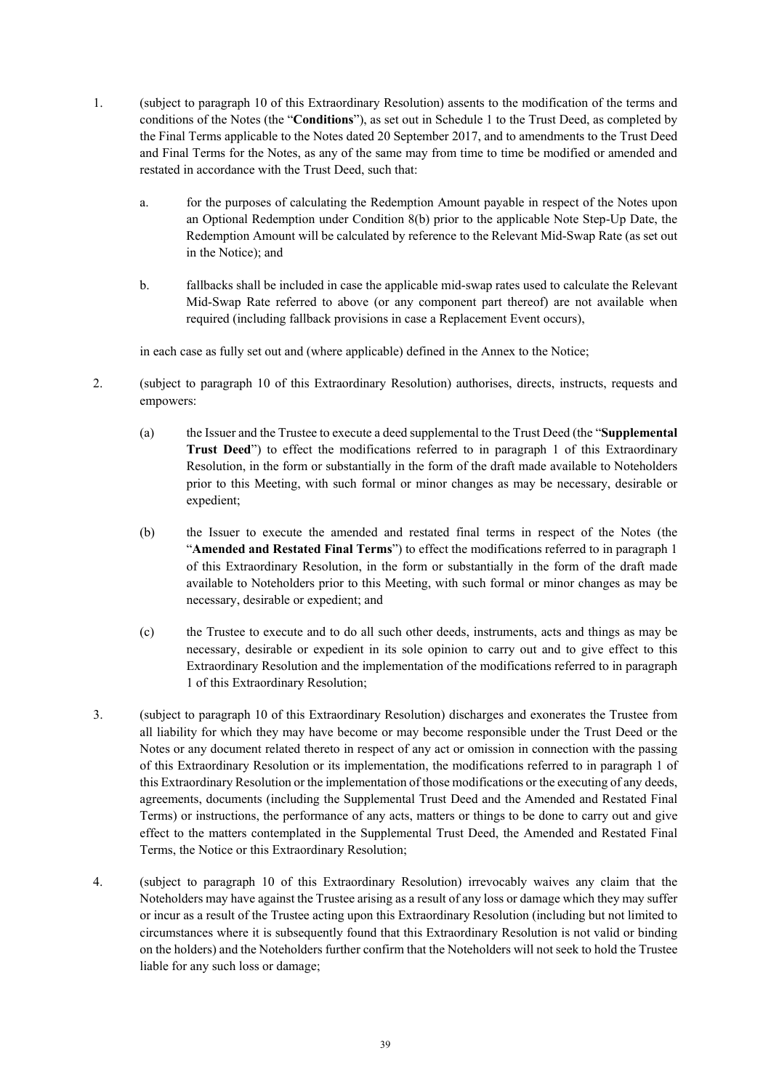- 1. (subject to paragraph 10 of this Extraordinary Resolution) assents to the modification of the terms and conditions of the Notes (the "**Conditions**"), as set out in Schedule 1 to the Trust Deed, as completed by the Final Terms applicable to the Notes dated 20 September 2017, and to amendments to the Trust Deed and Final Terms for the Notes, as any of the same may from time to time be modified or amended and restated in accordance with the Trust Deed, such that:
	- a. for the purposes of calculating the Redemption Amount payable in respect of the Notes upon an Optional Redemption under Condition 8(b) prior to the applicable Note Step-Up Date, the Redemption Amount will be calculated by reference to the Relevant Mid-Swap Rate (as set out in the Notice); and
	- b. fallbacks shall be included in case the applicable mid-swap rates used to calculate the Relevant Mid-Swap Rate referred to above (or any component part thereof) are not available when required (including fallback provisions in case a Replacement Event occurs),

in each case as fully set out and (where applicable) defined in the Annex to the Notice;

- 2. (subject to paragraph 10 of this Extraordinary Resolution) authorises, directs, instructs, requests and empowers:
	- (a) the Issuer and the Trustee to execute a deed supplemental to the Trust Deed (the "**Supplemental Trust Deed**") to effect the modifications referred to in paragraph 1 of this Extraordinary Resolution, in the form or substantially in the form of the draft made available to Noteholders prior to this Meeting, with such formal or minor changes as may be necessary, desirable or expedient;
	- (b) the Issuer to execute the amended and restated final terms in respect of the Notes (the "**Amended and Restated Final Terms**") to effect the modifications referred to in paragraph 1 of this Extraordinary Resolution, in the form or substantially in the form of the draft made available to Noteholders prior to this Meeting, with such formal or minor changes as may be necessary, desirable or expedient; and
	- (c) the Trustee to execute and to do all such other deeds, instruments, acts and things as may be necessary, desirable or expedient in its sole opinion to carry out and to give effect to this Extraordinary Resolution and the implementation of the modifications referred to in paragraph 1 of this Extraordinary Resolution;
- 3. (subject to paragraph 10 of this Extraordinary Resolution) discharges and exonerates the Trustee from all liability for which they may have become or may become responsible under the Trust Deed or the Notes or any document related thereto in respect of any act or omission in connection with the passing of this Extraordinary Resolution or its implementation, the modifications referred to in paragraph 1 of this Extraordinary Resolution or the implementation of those modifications or the executing of any deeds, agreements, documents (including the Supplemental Trust Deed and the Amended and Restated Final Terms) or instructions, the performance of any acts, matters or things to be done to carry out and give effect to the matters contemplated in the Supplemental Trust Deed, the Amended and Restated Final Terms, the Notice or this Extraordinary Resolution;
- 4. (subject to paragraph 10 of this Extraordinary Resolution) irrevocably waives any claim that the Noteholders may have against the Trustee arising as a result of any loss or damage which they may suffer or incur as a result of the Trustee acting upon this Extraordinary Resolution (including but not limited to circumstances where it is subsequently found that this Extraordinary Resolution is not valid or binding on the holders) and the Noteholders further confirm that the Noteholders will not seek to hold the Trustee liable for any such loss or damage;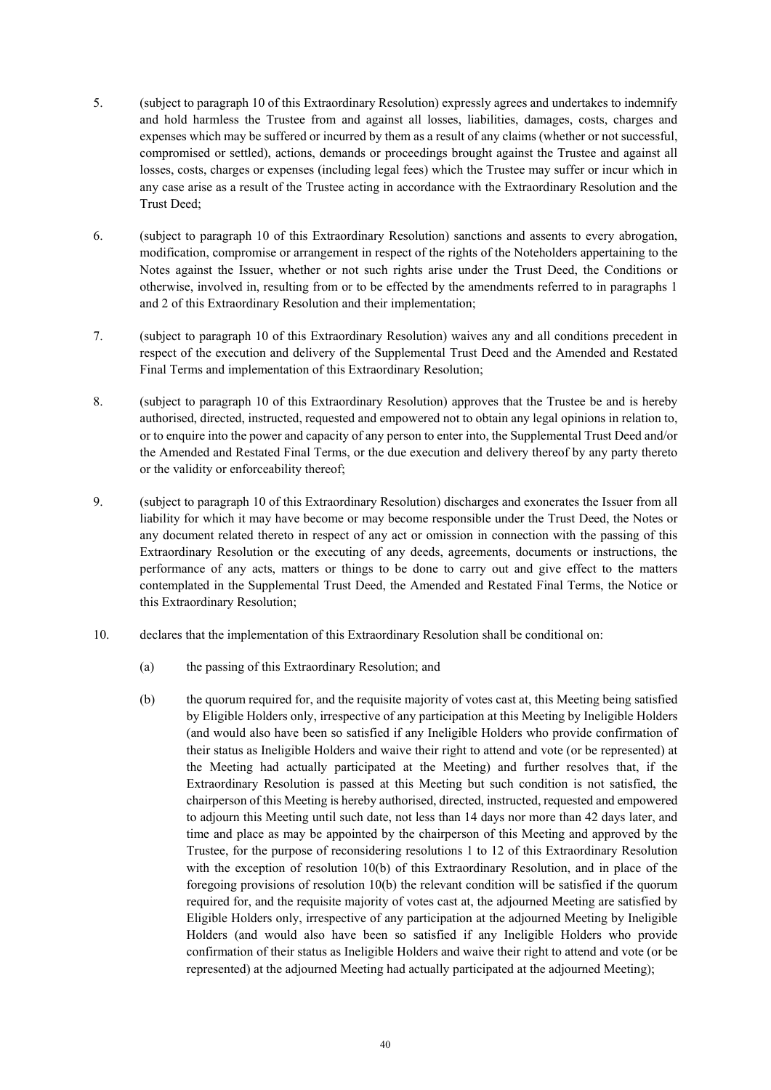- 5. (subject to paragraph 10 of this Extraordinary Resolution) expressly agrees and undertakes to indemnify and hold harmless the Trustee from and against all losses, liabilities, damages, costs, charges and expenses which may be suffered or incurred by them as a result of any claims (whether or not successful, compromised or settled), actions, demands or proceedings brought against the Trustee and against all losses, costs, charges or expenses (including legal fees) which the Trustee may suffer or incur which in any case arise as a result of the Trustee acting in accordance with the Extraordinary Resolution and the Trust Deed;
- 6. (subject to paragraph 10 of this Extraordinary Resolution) sanctions and assents to every abrogation, modification, compromise or arrangement in respect of the rights of the Noteholders appertaining to the Notes against the Issuer, whether or not such rights arise under the Trust Deed, the Conditions or otherwise, involved in, resulting from or to be effected by the amendments referred to in paragraphs 1 and 2 of this Extraordinary Resolution and their implementation;
- 7. (subject to paragraph 10 of this Extraordinary Resolution) waives any and all conditions precedent in respect of the execution and delivery of the Supplemental Trust Deed and the Amended and Restated Final Terms and implementation of this Extraordinary Resolution;
- 8. (subject to paragraph 10 of this Extraordinary Resolution) approves that the Trustee be and is hereby authorised, directed, instructed, requested and empowered not to obtain any legal opinions in relation to, or to enquire into the power and capacity of any person to enter into, the Supplemental Trust Deed and/or the Amended and Restated Final Terms, or the due execution and delivery thereof by any party thereto or the validity or enforceability thereof;
- 9. (subject to paragraph 10 of this Extraordinary Resolution) discharges and exonerates the Issuer from all liability for which it may have become or may become responsible under the Trust Deed, the Notes or any document related thereto in respect of any act or omission in connection with the passing of this Extraordinary Resolution or the executing of any deeds, agreements, documents or instructions, the performance of any acts, matters or things to be done to carry out and give effect to the matters contemplated in the Supplemental Trust Deed, the Amended and Restated Final Terms, the Notice or this Extraordinary Resolution;
- 10. declares that the implementation of this Extraordinary Resolution shall be conditional on:
	- (a) the passing of this Extraordinary Resolution; and
	- (b) the quorum required for, and the requisite majority of votes cast at, this Meeting being satisfied by Eligible Holders only, irrespective of any participation at this Meeting by Ineligible Holders (and would also have been so satisfied if any Ineligible Holders who provide confirmation of their status as Ineligible Holders and waive their right to attend and vote (or be represented) at the Meeting had actually participated at the Meeting) and further resolves that, if the Extraordinary Resolution is passed at this Meeting but such condition is not satisfied, the chairperson of this Meeting is hereby authorised, directed, instructed, requested and empowered to adjourn this Meeting until such date, not less than 14 days nor more than 42 days later, and time and place as may be appointed by the chairperson of this Meeting and approved by the Trustee, for the purpose of reconsidering resolutions 1 to 12 of this Extraordinary Resolution with the exception of resolution 10(b) of this Extraordinary Resolution, and in place of the foregoing provisions of resolution 10(b) the relevant condition will be satisfied if the quorum required for, and the requisite majority of votes cast at, the adjourned Meeting are satisfied by Eligible Holders only, irrespective of any participation at the adjourned Meeting by Ineligible Holders (and would also have been so satisfied if any Ineligible Holders who provide confirmation of their status as Ineligible Holders and waive their right to attend and vote (or be represented) at the adjourned Meeting had actually participated at the adjourned Meeting);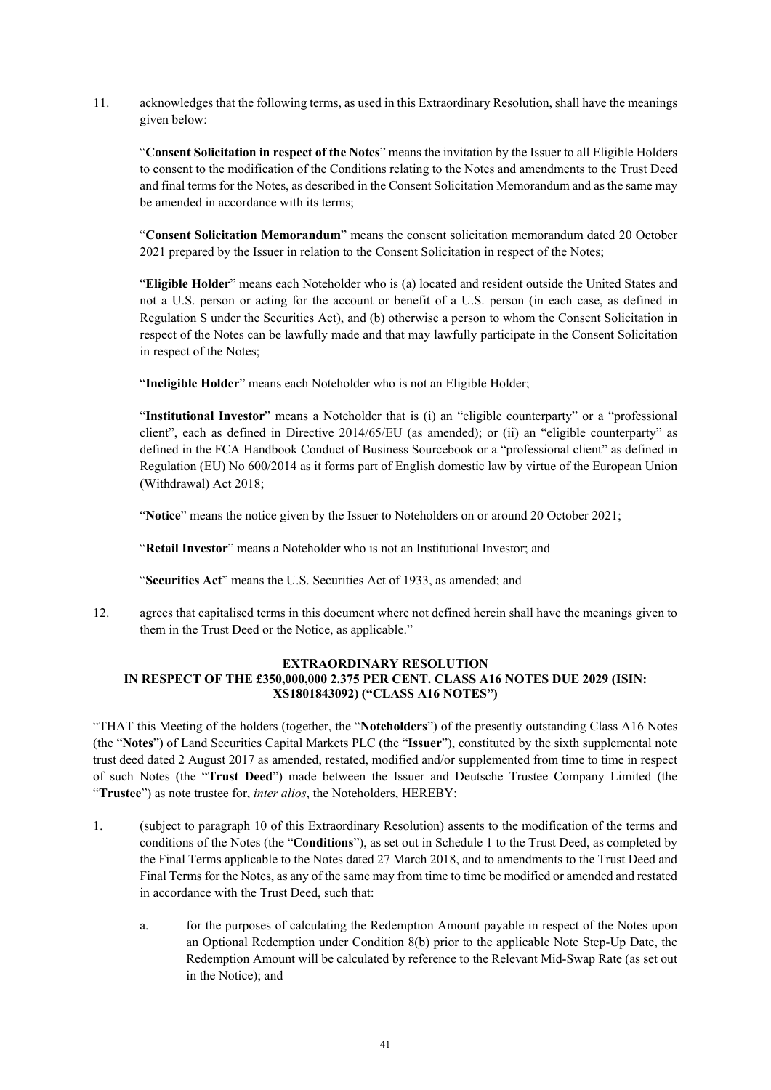11. acknowledges that the following terms, as used in this Extraordinary Resolution, shall have the meanings given below:

"**Consent Solicitation in respect of the Notes**" means the invitation by the Issuer to all Eligible Holders to consent to the modification of the Conditions relating to the Notes and amendments to the Trust Deed and final terms for the Notes, as described in the Consent Solicitation Memorandum and as the same may be amended in accordance with its terms;

"**Consent Solicitation Memorandum**" means the consent solicitation memorandum dated 20 October 2021 prepared by the Issuer in relation to the Consent Solicitation in respect of the Notes;

"**Eligible Holder**" means each Noteholder who is (a) located and resident outside the United States and not a U.S. person or acting for the account or benefit of a U.S. person (in each case, as defined in Regulation S under the Securities Act), and (b) otherwise a person to whom the Consent Solicitation in respect of the Notes can be lawfully made and that may lawfully participate in the Consent Solicitation in respect of the Notes;

"**Ineligible Holder**" means each Noteholder who is not an Eligible Holder;

"**Institutional Investor**" means a Noteholder that is (i) an "eligible counterparty" or a "professional client", each as defined in Directive 2014/65/EU (as amended); or (ii) an "eligible counterparty" as defined in the FCA Handbook Conduct of Business Sourcebook or a "professional client" as defined in Regulation (EU) No 600/2014 as it forms part of English domestic law by virtue of the European Union (Withdrawal) Act 2018;

"**Notice**" means the notice given by the Issuer to Noteholders on or around 20 October 2021;

"**Retail Investor**" means a Noteholder who is not an Institutional Investor; and

"**Securities Act**" means the U.S. Securities Act of 1933, as amended; and

12. agrees that capitalised terms in this document where not defined herein shall have the meanings given to them in the Trust Deed or the Notice, as applicable."

### **EXTRAORDINARY RESOLUTION IN RESPECT OF THE £350,000,000 2.375 PER CENT. CLASS A16 NOTES DUE 2029 (ISIN: XS1801843092) ("CLASS A16 NOTES")**

"THAT this Meeting of the holders (together, the "**Noteholders**") of the presently outstanding Class A16 Notes (the "**Notes**") of Land Securities Capital Markets PLC (the "**Issuer**"), constituted by the sixth supplemental note trust deed dated 2 August 2017 as amended, restated, modified and/or supplemented from time to time in respect of such Notes (the "**Trust Deed**") made between the Issuer and Deutsche Trustee Company Limited (the "**Trustee**") as note trustee for, *inter alios*, the Noteholders, HEREBY:

- 1. (subject to paragraph 10 of this Extraordinary Resolution) assents to the modification of the terms and conditions of the Notes (the "**Conditions**"), as set out in Schedule 1 to the Trust Deed, as completed by the Final Terms applicable to the Notes dated 27 March 2018, and to amendments to the Trust Deed and Final Terms for the Notes, as any of the same may from time to time be modified or amended and restated in accordance with the Trust Deed, such that:
	- a. for the purposes of calculating the Redemption Amount payable in respect of the Notes upon an Optional Redemption under Condition 8(b) prior to the applicable Note Step-Up Date, the Redemption Amount will be calculated by reference to the Relevant Mid-Swap Rate (as set out in the Notice); and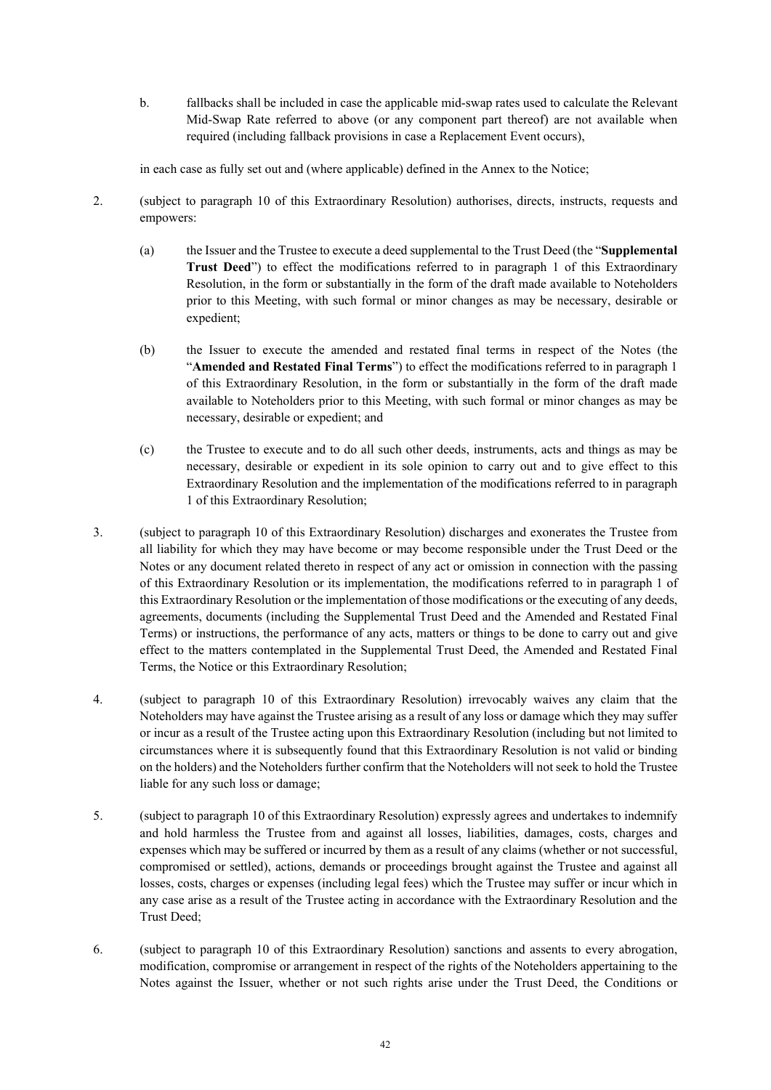b. fallbacks shall be included in case the applicable mid-swap rates used to calculate the Relevant Mid-Swap Rate referred to above (or any component part thereof) are not available when required (including fallback provisions in case a Replacement Event occurs),

in each case as fully set out and (where applicable) defined in the Annex to the Notice;

- 2. (subject to paragraph 10 of this Extraordinary Resolution) authorises, directs, instructs, requests and empowers:
	- (a) the Issuer and the Trustee to execute a deed supplemental to the Trust Deed (the "**Supplemental Trust Deed**") to effect the modifications referred to in paragraph 1 of this Extraordinary Resolution, in the form or substantially in the form of the draft made available to Noteholders prior to this Meeting, with such formal or minor changes as may be necessary, desirable or expedient;
	- (b) the Issuer to execute the amended and restated final terms in respect of the Notes (the "**Amended and Restated Final Terms**") to effect the modifications referred to in paragraph 1 of this Extraordinary Resolution, in the form or substantially in the form of the draft made available to Noteholders prior to this Meeting, with such formal or minor changes as may be necessary, desirable or expedient; and
	- (c) the Trustee to execute and to do all such other deeds, instruments, acts and things as may be necessary, desirable or expedient in its sole opinion to carry out and to give effect to this Extraordinary Resolution and the implementation of the modifications referred to in paragraph 1 of this Extraordinary Resolution;
- 3. (subject to paragraph 10 of this Extraordinary Resolution) discharges and exonerates the Trustee from all liability for which they may have become or may become responsible under the Trust Deed or the Notes or any document related thereto in respect of any act or omission in connection with the passing of this Extraordinary Resolution or its implementation, the modifications referred to in paragraph 1 of this Extraordinary Resolution or the implementation of those modifications or the executing of any deeds, agreements, documents (including the Supplemental Trust Deed and the Amended and Restated Final Terms) or instructions, the performance of any acts, matters or things to be done to carry out and give effect to the matters contemplated in the Supplemental Trust Deed, the Amended and Restated Final Terms, the Notice or this Extraordinary Resolution;
- 4. (subject to paragraph 10 of this Extraordinary Resolution) irrevocably waives any claim that the Noteholders may have against the Trustee arising as a result of any loss or damage which they may suffer or incur as a result of the Trustee acting upon this Extraordinary Resolution (including but not limited to circumstances where it is subsequently found that this Extraordinary Resolution is not valid or binding on the holders) and the Noteholders further confirm that the Noteholders will not seek to hold the Trustee liable for any such loss or damage;
- 5. (subject to paragraph 10 of this Extraordinary Resolution) expressly agrees and undertakes to indemnify and hold harmless the Trustee from and against all losses, liabilities, damages, costs, charges and expenses which may be suffered or incurred by them as a result of any claims (whether or not successful, compromised or settled), actions, demands or proceedings brought against the Trustee and against all losses, costs, charges or expenses (including legal fees) which the Trustee may suffer or incur which in any case arise as a result of the Trustee acting in accordance with the Extraordinary Resolution and the Trust Deed;
- 6. (subject to paragraph 10 of this Extraordinary Resolution) sanctions and assents to every abrogation, modification, compromise or arrangement in respect of the rights of the Noteholders appertaining to the Notes against the Issuer, whether or not such rights arise under the Trust Deed, the Conditions or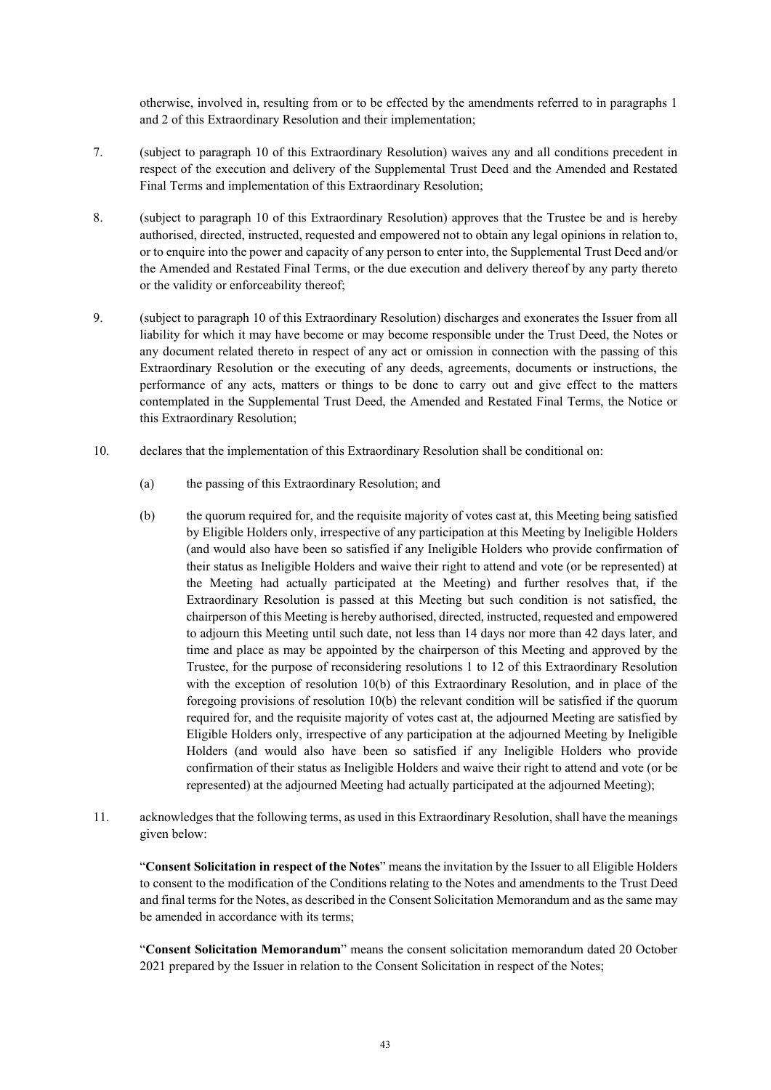otherwise, involved in, resulting from or to be effected by the amendments referred to in paragraphs 1 and 2 of this Extraordinary Resolution and their implementation;

- 7. (subject to paragraph 10 of this Extraordinary Resolution) waives any and all conditions precedent in respect of the execution and delivery of the Supplemental Trust Deed and the Amended and Restated Final Terms and implementation of this Extraordinary Resolution;
- 8. (subject to paragraph 10 of this Extraordinary Resolution) approves that the Trustee be and is hereby authorised, directed, instructed, requested and empowered not to obtain any legal opinions in relation to, or to enquire into the power and capacity of any person to enter into, the Supplemental Trust Deed and/or the Amended and Restated Final Terms, or the due execution and delivery thereof by any party thereto or the validity or enforceability thereof;
- 9. (subject to paragraph 10 of this Extraordinary Resolution) discharges and exonerates the Issuer from all liability for which it may have become or may become responsible under the Trust Deed, the Notes or any document related thereto in respect of any act or omission in connection with the passing of this Extraordinary Resolution or the executing of any deeds, agreements, documents or instructions, the performance of any acts, matters or things to be done to carry out and give effect to the matters contemplated in the Supplemental Trust Deed, the Amended and Restated Final Terms, the Notice or this Extraordinary Resolution;
- 10. declares that the implementation of this Extraordinary Resolution shall be conditional on:
	- (a) the passing of this Extraordinary Resolution; and
	- (b) the quorum required for, and the requisite majority of votes cast at, this Meeting being satisfied by Eligible Holders only, irrespective of any participation at this Meeting by Ineligible Holders (and would also have been so satisfied if any Ineligible Holders who provide confirmation of their status as Ineligible Holders and waive their right to attend and vote (or be represented) at the Meeting had actually participated at the Meeting) and further resolves that, if the Extraordinary Resolution is passed at this Meeting but such condition is not satisfied, the chairperson of this Meeting is hereby authorised, directed, instructed, requested and empowered to adjourn this Meeting until such date, not less than 14 days nor more than 42 days later, and time and place as may be appointed by the chairperson of this Meeting and approved by the Trustee, for the purpose of reconsidering resolutions 1 to 12 of this Extraordinary Resolution with the exception of resolution 10(b) of this Extraordinary Resolution, and in place of the foregoing provisions of resolution 10(b) the relevant condition will be satisfied if the quorum required for, and the requisite majority of votes cast at, the adjourned Meeting are satisfied by Eligible Holders only, irrespective of any participation at the adjourned Meeting by Ineligible Holders (and would also have been so satisfied if any Ineligible Holders who provide confirmation of their status as Ineligible Holders and waive their right to attend and vote (or be represented) at the adjourned Meeting had actually participated at the adjourned Meeting);
- 11. acknowledges that the following terms, as used in this Extraordinary Resolution, shall have the meanings given below:

"**Consent Solicitation in respect of the Notes**" means the invitation by the Issuer to all Eligible Holders to consent to the modification of the Conditions relating to the Notes and amendments to the Trust Deed and final terms for the Notes, as described in the Consent Solicitation Memorandum and as the same may be amended in accordance with its terms:

"**Consent Solicitation Memorandum**" means the consent solicitation memorandum dated 20 October 2021 prepared by the Issuer in relation to the Consent Solicitation in respect of the Notes;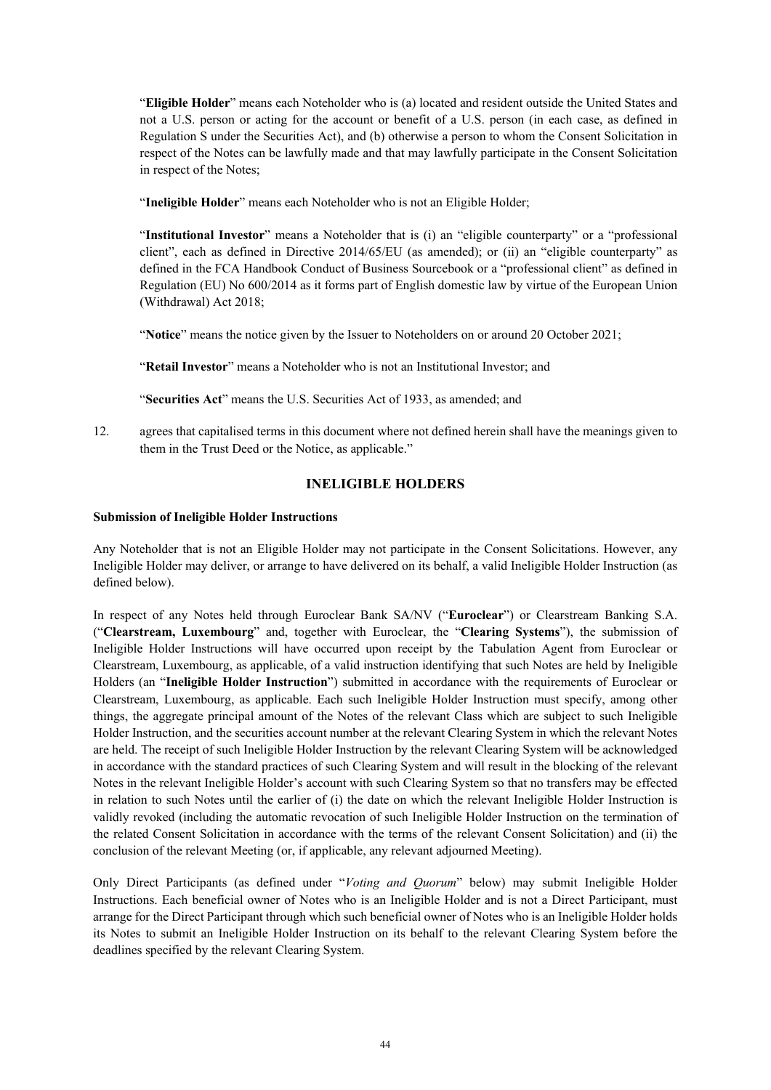"**Eligible Holder**" means each Noteholder who is (a) located and resident outside the United States and not a U.S. person or acting for the account or benefit of a U.S. person (in each case, as defined in Regulation S under the Securities Act), and (b) otherwise a person to whom the Consent Solicitation in respect of the Notes can be lawfully made and that may lawfully participate in the Consent Solicitation in respect of the Notes;

"**Ineligible Holder**" means each Noteholder who is not an Eligible Holder;

"**Institutional Investor**" means a Noteholder that is (i) an "eligible counterparty" or a "professional client", each as defined in Directive 2014/65/EU (as amended); or (ii) an "eligible counterparty" as defined in the FCA Handbook Conduct of Business Sourcebook or a "professional client" as defined in Regulation (EU) No 600/2014 as it forms part of English domestic law by virtue of the European Union (Withdrawal) Act 2018;

"**Notice**" means the notice given by the Issuer to Noteholders on or around 20 October 2021;

"**Retail Investor**" means a Noteholder who is not an Institutional Investor; and

"**Securities Act**" means the U.S. Securities Act of 1933, as amended; and

12. agrees that capitalised terms in this document where not defined herein shall have the meanings given to them in the Trust Deed or the Notice, as applicable."

### **INELIGIBLE HOLDERS**

#### **Submission of Ineligible Holder Instructions**

Any Noteholder that is not an Eligible Holder may not participate in the Consent Solicitations. However, any Ineligible Holder may deliver, or arrange to have delivered on its behalf, a valid Ineligible Holder Instruction (as defined below).

In respect of any Notes held through Euroclear Bank SA/NV ("**Euroclear**") or Clearstream Banking S.A. ("**Clearstream, Luxembourg**" and, together with Euroclear, the "**Clearing Systems**"), the submission of Ineligible Holder Instructions will have occurred upon receipt by the Tabulation Agent from Euroclear or Clearstream, Luxembourg, as applicable, of a valid instruction identifying that such Notes are held by Ineligible Holders (an "**Ineligible Holder Instruction**") submitted in accordance with the requirements of Euroclear or Clearstream, Luxembourg, as applicable. Each such Ineligible Holder Instruction must specify, among other things, the aggregate principal amount of the Notes of the relevant Class which are subject to such Ineligible Holder Instruction, and the securities account number at the relevant Clearing System in which the relevant Notes are held. The receipt of such Ineligible Holder Instruction by the relevant Clearing System will be acknowledged in accordance with the standard practices of such Clearing System and will result in the blocking of the relevant Notes in the relevant Ineligible Holder's account with such Clearing System so that no transfers may be effected in relation to such Notes until the earlier of (i) the date on which the relevant Ineligible Holder Instruction is validly revoked (including the automatic revocation of such Ineligible Holder Instruction on the termination of the related Consent Solicitation in accordance with the terms of the relevant Consent Solicitation) and (ii) the conclusion of the relevant Meeting (or, if applicable, any relevant adjourned Meeting).

Only Direct Participants (as defined under "*[Voting and Quorum](#page-47-0)*" below) may submit Ineligible Holder Instructions. Each beneficial owner of Notes who is an Ineligible Holder and is not a Direct Participant, must arrange for the Direct Participant through which such beneficial owner of Notes who is an Ineligible Holder holds its Notes to submit an Ineligible Holder Instruction on its behalf to the relevant Clearing System before the deadlines specified by the relevant Clearing System.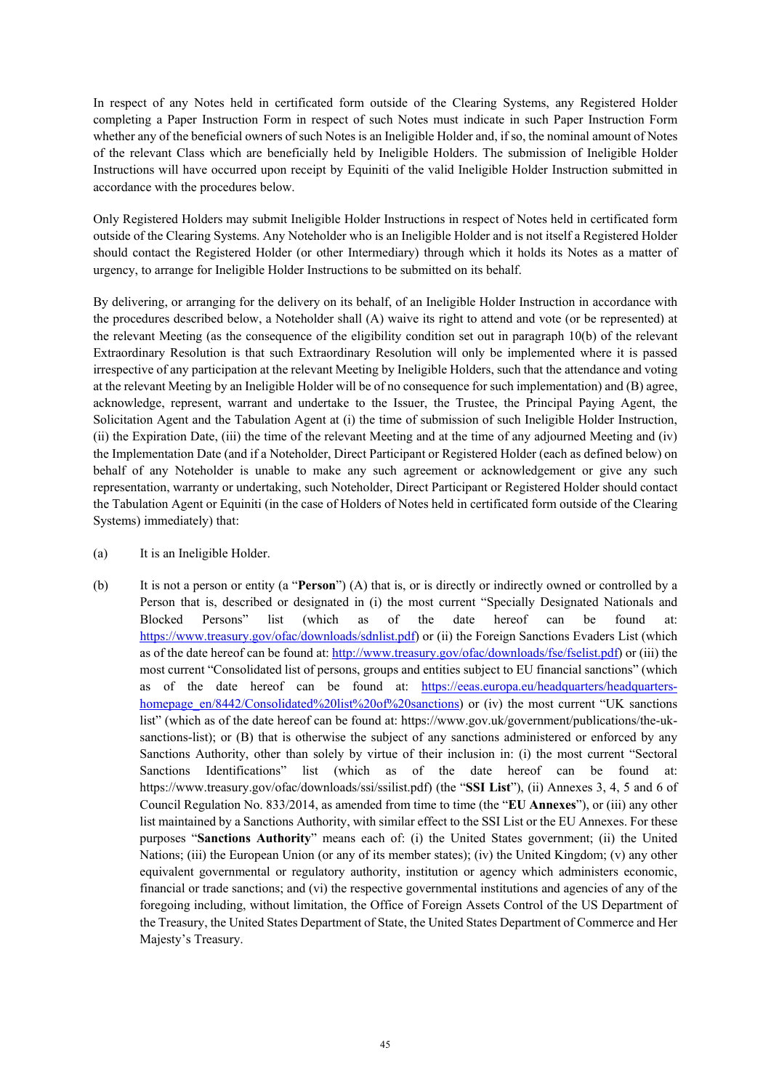In respect of any Notes held in certificated form outside of the Clearing Systems, any Registered Holder completing a Paper Instruction Form in respect of such Notes must indicate in such Paper Instruction Form whether any of the beneficial owners of such Notes is an Ineligible Holder and, if so, the nominal amount of Notes of the relevant Class which are beneficially held by Ineligible Holders. The submission of Ineligible Holder Instructions will have occurred upon receipt by Equiniti of the valid Ineligible Holder Instruction submitted in accordance with the procedures below.

Only Registered Holders may submit Ineligible Holder Instructions in respect of Notes held in certificated form outside of the Clearing Systems. Any Noteholder who is an Ineligible Holder and is not itself a Registered Holder should contact the Registered Holder (or other Intermediary) through which it holds its Notes as a matter of urgency, to arrange for Ineligible Holder Instructions to be submitted on its behalf.

By delivering, or arranging for the delivery on its behalf, of an Ineligible Holder Instruction in accordance with the procedures described below, a Noteholder shall (A) waive its right to attend and vote (or be represented) at the relevant Meeting (as the consequence of the eligibility condition set out in paragraph 10(b) of the relevant Extraordinary Resolution is that such Extraordinary Resolution will only be implemented where it is passed irrespective of any participation at the relevant Meeting by Ineligible Holders, such that the attendance and voting at the relevant Meeting by an Ineligible Holder will be of no consequence for such implementation) and (B) agree, acknowledge, represent, warrant and undertake to the Issuer, the Trustee, the Principal Paying Agent, the Solicitation Agent and the Tabulation Agent at (i) the time of submission of such Ineligible Holder Instruction, (ii) the Expiration Date, (iii) the time of the relevant Meeting and at the time of any adjourned Meeting and (iv) the Implementation Date (and if a Noteholder, Direct Participant or Registered Holder (each as defined below) on behalf of any Noteholder is unable to make any such agreement or acknowledgement or give any such representation, warranty or undertaking, such Noteholder, Direct Participant or Registered Holder should contact the Tabulation Agent or Equiniti (in the case of Holders of Notes held in certificated form outside of the Clearing Systems) immediately) that:

- (a) It is an Ineligible Holder.
- (b) It is not a person or entity (a "**Person**") (A) that is, or is directly or indirectly owned or controlled by a Person that is, described or designated in (i) the most current "Specially Designated Nationals and Blocked Persons" list (which as of the date hereof can be found at: [https://www.treasury.gov/ofac/downloads/sdnlist.pdf\)](https://www.treasury.gov/ofac/downloads/sdnlist.pdf) or (ii) the Foreign Sanctions Evaders List (which as of the date hereof can be found at[: http://www.treasury.gov/ofac/downloads/fse/fselist.pdf\)](http://www.treasury.gov/ofac/downloads/fse/fselist.pdf) or (iii) the most current "Consolidated list of persons, groups and entities subject to EU financial sanctions" (which as of the date hereof can be found at: [https://eeas.europa.eu/headquarters/headquarters](https://eeas.europa.eu/headquarters/headquarters-homepage_en/8442/Consolidated%20list%20of%20sanctions)[homepage\\_en/8442/Consolidated%20list%20of%20sanctions\)](https://eeas.europa.eu/headquarters/headquarters-homepage_en/8442/Consolidated%20list%20of%20sanctions) or (iv) the most current "UK sanctions list" (which as of the date hereof can be found at: https://www.gov.uk/government/publications/the-uksanctions-list); or (B) that is otherwise the subject of any sanctions administered or enforced by any Sanctions Authority, other than solely by virtue of their inclusion in: (i) the most current "Sectoral Sanctions Identifications" list (which as of the date hereof can be found at: [https://www.treasury.gov/ofac/downloads/ssi/ssilist.pdf\) \(](http://www.treasury.gov/ofac/downloads/ssi/ssilist.pdf))the "**SSI List**"), (ii) Annexes 3, 4, 5 and 6 of Council Regulation No. 833/2014, as amended from time to time (the "**EU Annexes**"), or (iii) any other list maintained by a Sanctions Authority, with similar effect to the SSI List or the EU Annexes. For these purposes "**Sanctions Authority**" means each of: (i) the United States government; (ii) the United Nations; (iii) the European Union (or any of its member states); (iv) the United Kingdom; (v) any other equivalent governmental or regulatory authority, institution or agency which administers economic, financial or trade sanctions; and (vi) the respective governmental institutions and agencies of any of the foregoing including, without limitation, the Office of Foreign Assets Control of the US Department of the Treasury, the United States Department of State, the United States Department of Commerce and Her Majesty's Treasury.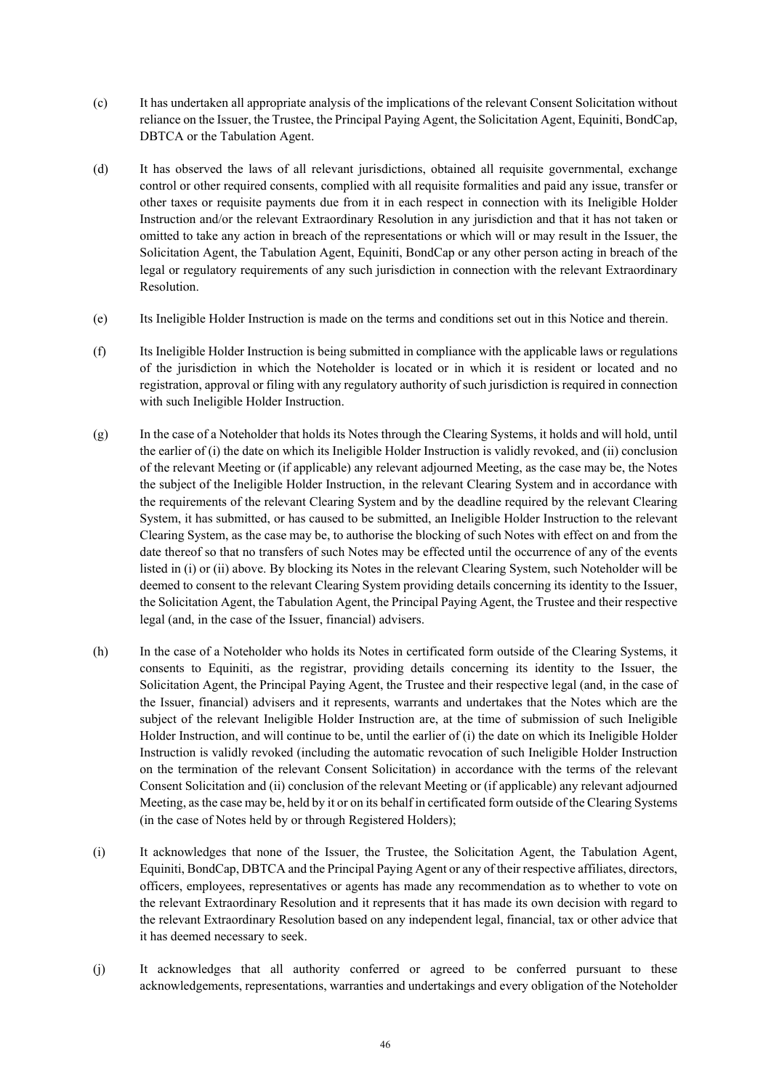- (c) It has undertaken all appropriate analysis of the implications of the relevant Consent Solicitation without reliance on the Issuer, the Trustee, the Principal Paying Agent, the Solicitation Agent, Equiniti, BondCap, DBTCA or the Tabulation Agent.
- (d) It has observed the laws of all relevant jurisdictions, obtained all requisite governmental, exchange control or other required consents, complied with all requisite formalities and paid any issue, transfer or other taxes or requisite payments due from it in each respect in connection with its Ineligible Holder Instruction and/or the relevant Extraordinary Resolution in any jurisdiction and that it has not taken or omitted to take any action in breach of the representations or which will or may result in the Issuer, the Solicitation Agent, the Tabulation Agent, Equiniti, BondCap or any other person acting in breach of the legal or regulatory requirements of any such jurisdiction in connection with the relevant Extraordinary Resolution.
- (e) Its Ineligible Holder Instruction is made on the terms and conditions set out in this Notice and therein.
- (f) Its Ineligible Holder Instruction is being submitted in compliance with the applicable laws or regulations of the jurisdiction in which the Noteholder is located or in which it is resident or located and no registration, approval or filing with any regulatory authority of such jurisdiction is required in connection with such Ineligible Holder Instruction.
- (g) In the case of a Noteholder that holds its Notes through the Clearing Systems, it holds and will hold, until the earlier of (i) the date on which its Ineligible Holder Instruction is validly revoked, and (ii) conclusion of the relevant Meeting or (if applicable) any relevant adjourned Meeting, as the case may be, the Notes the subject of the Ineligible Holder Instruction, in the relevant Clearing System and in accordance with the requirements of the relevant Clearing System and by the deadline required by the relevant Clearing System, it has submitted, or has caused to be submitted, an Ineligible Holder Instruction to the relevant Clearing System, as the case may be, to authorise the blocking of such Notes with effect on and from the date thereof so that no transfers of such Notes may be effected until the occurrence of any of the events listed in (i) or (ii) above. By blocking its Notes in the relevant Clearing System, such Noteholder will be deemed to consent to the relevant Clearing System providing details concerning its identity to the Issuer, the Solicitation Agent, the Tabulation Agent, the Principal Paying Agent, the Trustee and their respective legal (and, in the case of the Issuer, financial) advisers.
- (h) In the case of a Noteholder who holds its Notes in certificated form outside of the Clearing Systems, it consents to Equiniti, as the registrar, providing details concerning its identity to the Issuer, the Solicitation Agent, the Principal Paying Agent, the Trustee and their respective legal (and, in the case of the Issuer, financial) advisers and it represents, warrants and undertakes that the Notes which are the subject of the relevant Ineligible Holder Instruction are, at the time of submission of such Ineligible Holder Instruction, and will continue to be, until the earlier of (i) the date on which its Ineligible Holder Instruction is validly revoked (including the automatic revocation of such Ineligible Holder Instruction on the termination of the relevant Consent Solicitation) in accordance with the terms of the relevant Consent Solicitation and (ii) conclusion of the relevant Meeting or (if applicable) any relevant adjourned Meeting, as the case may be, held by it or on its behalf in certificated form outside of the Clearing Systems (in the case of Notes held by or through Registered Holders);
- (i) It acknowledges that none of the Issuer, the Trustee, the Solicitation Agent, the Tabulation Agent, Equiniti, BondCap, DBTCA and the Principal Paying Agent or any of their respective affiliates, directors, officers, employees, representatives or agents has made any recommendation as to whether to vote on the relevant Extraordinary Resolution and it represents that it has made its own decision with regard to the relevant Extraordinary Resolution based on any independent legal, financial, tax or other advice that it has deemed necessary to seek.
- (j) It acknowledges that all authority conferred or agreed to be conferred pursuant to these acknowledgements, representations, warranties and undertakings and every obligation of the Noteholder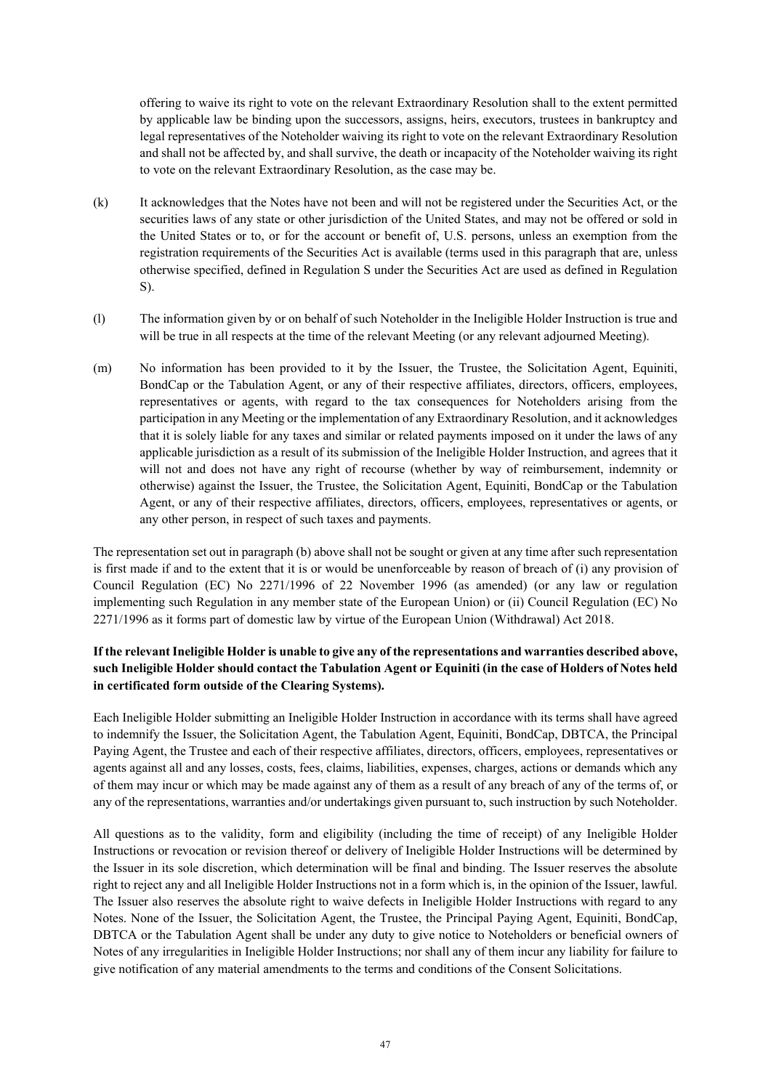offering to waive its right to vote on the relevant Extraordinary Resolution shall to the extent permitted by applicable law be binding upon the successors, assigns, heirs, executors, trustees in bankruptcy and legal representatives of the Noteholder waiving its right to vote on the relevant Extraordinary Resolution and shall not be affected by, and shall survive, the death or incapacity of the Noteholder waiving its right to vote on the relevant Extraordinary Resolution, as the case may be.

- (k) It acknowledges that the Notes have not been and will not be registered under the Securities Act, or the securities laws of any state or other jurisdiction of the United States, and may not be offered or sold in the United States or to, or for the account or benefit of, U.S. persons, unless an exemption from the registration requirements of the Securities Act is available (terms used in this paragraph that are, unless otherwise specified, defined in Regulation S under the Securities Act are used as defined in Regulation S).
- (l) The information given by or on behalf of such Noteholder in the Ineligible Holder Instruction is true and will be true in all respects at the time of the relevant Meeting (or any relevant adjourned Meeting).
- (m) No information has been provided to it by the Issuer, the Trustee, the Solicitation Agent, Equiniti, BondCap or the Tabulation Agent, or any of their respective affiliates, directors, officers, employees, representatives or agents, with regard to the tax consequences for Noteholders arising from the participation in any Meeting or the implementation of any Extraordinary Resolution, and it acknowledges that it is solely liable for any taxes and similar or related payments imposed on it under the laws of any applicable jurisdiction as a result of its submission of the Ineligible Holder Instruction, and agrees that it will not and does not have any right of recourse (whether by way of reimbursement, indemnity or otherwise) against the Issuer, the Trustee, the Solicitation Agent, Equiniti, BondCap or the Tabulation Agent, or any of their respective affiliates, directors, officers, employees, representatives or agents, or any other person, in respect of such taxes and payments.

The representation set out in paragraph (b) above shall not be sought or given at any time after such representation is first made if and to the extent that it is or would be unenforceable by reason of breach of (i) any provision of Council Regulation (EC) No 2271/1996 of 22 November 1996 (as amended) (or any law or regulation implementing such Regulation in any member state of the European Union) or (ii) Council Regulation (EC) No 2271/1996 as it forms part of domestic law by virtue of the European Union (Withdrawal) Act 2018.

## **If the relevant Ineligible Holder is unable to give any of the representations and warranties described above, such Ineligible Holder should contact the Tabulation Agent or Equiniti (in the case of Holders of Notes held in certificated form outside of the Clearing Systems).**

Each Ineligible Holder submitting an Ineligible Holder Instruction in accordance with its terms shall have agreed to indemnify the Issuer, the Solicitation Agent, the Tabulation Agent, Equiniti, BondCap, DBTCA, the Principal Paying Agent, the Trustee and each of their respective affiliates, directors, officers, employees, representatives or agents against all and any losses, costs, fees, claims, liabilities, expenses, charges, actions or demands which any of them may incur or which may be made against any of them as a result of any breach of any of the terms of, or any of the representations, warranties and/or undertakings given pursuant to, such instruction by such Noteholder.

All questions as to the validity, form and eligibility (including the time of receipt) of any Ineligible Holder Instructions or revocation or revision thereof or delivery of Ineligible Holder Instructions will be determined by the Issuer in its sole discretion, which determination will be final and binding. The Issuer reserves the absolute right to reject any and all Ineligible Holder Instructions not in a form which is, in the opinion of the Issuer, lawful. The Issuer also reserves the absolute right to waive defects in Ineligible Holder Instructions with regard to any Notes. None of the Issuer, the Solicitation Agent, the Trustee, the Principal Paying Agent, Equiniti, BondCap, DBTCA or the Tabulation Agent shall be under any duty to give notice to Noteholders or beneficial owners of Notes of any irregularities in Ineligible Holder Instructions; nor shall any of them incur any liability for failure to give notification of any material amendments to the terms and conditions of the Consent Solicitations.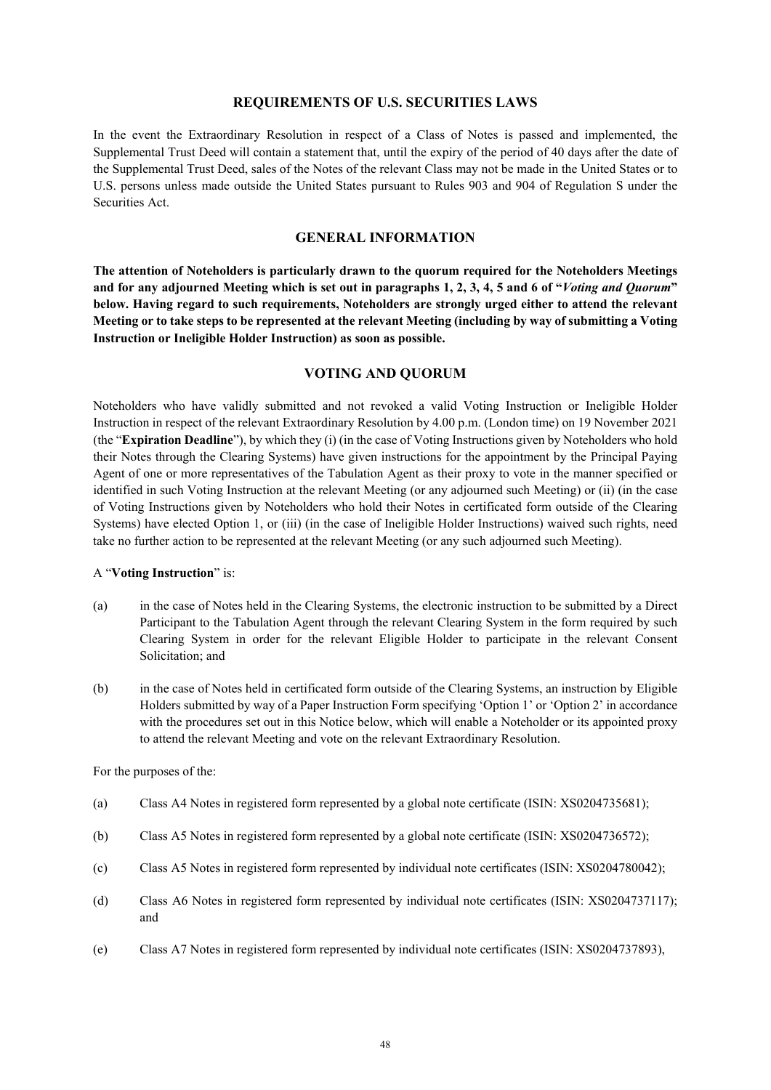#### **REQUIREMENTS OF U.S. SECURITIES LAWS**

In the event the Extraordinary Resolution in respect of a Class of Notes is passed and implemented, the Supplemental Trust Deed will contain a statement that, until the expiry of the period of 40 days after the date of the Supplemental Trust Deed, sales of the Notes of the relevant Class may not be made in the United States or to U.S. persons unless made outside the United States pursuant to Rules 903 and 904 of Regulation S under the Securities Act.

## **GENERAL INFORMATION**

**The attention of Noteholders is particularly drawn to the quorum required for the Noteholders Meetings and for any adjourned Meeting which is set out in paragraphs [1,](#page-48-0) [2,](#page-49-0) [3,](#page-50-0) [4,](#page-50-1) [5](#page-50-2) and [6](#page-51-0) of "***Voting and Quorum***" below. Having regard to such requirements, Noteholders are strongly urged either to attend the relevant Meeting or to take steps to be represented at the relevant Meeting (including by way of submitting a Voting Instruction or Ineligible Holder Instruction) as soon as possible.**

#### **VOTING AND QUORUM**

<span id="page-47-0"></span>Noteholders who have validly submitted and not revoked a valid Voting Instruction or Ineligible Holder Instruction in respect of the relevant Extraordinary Resolution by 4.00 p.m. (London time) on 19 November 2021 (the "**Expiration Deadline**"), by which they (i) (in the case of Voting Instructions given by Noteholders who hold their Notes through the Clearing Systems) have given instructions for the appointment by the Principal Paying Agent of one or more representatives of the Tabulation Agent as their proxy to vote in the manner specified or identified in such Voting Instruction at the relevant Meeting (or any adjourned such Meeting) or (ii) (in the case of Voting Instructions given by Noteholders who hold their Notes in certificated form outside of the Clearing Systems) have elected Option 1, or (iii) (in the case of Ineligible Holder Instructions) waived such rights, need take no further action to be represented at the relevant Meeting (or any such adjourned such Meeting).

#### A "**Voting Instruction**" is:

- (a) in the case of Notes held in the Clearing Systems, the electronic instruction to be submitted by a Direct Participant to the Tabulation Agent through the relevant Clearing System in the form required by such Clearing System in order for the relevant Eligible Holder to participate in the relevant Consent Solicitation; and
- (b) in the case of Notes held in certificated form outside of the Clearing Systems, an instruction by Eligible Holders submitted by way of a Paper Instruction Form specifying 'Option 1' or 'Option 2' in accordance with the procedures set out in this Notice below, which will enable a Noteholder or its appointed proxy to attend the relevant Meeting and vote on the relevant Extraordinary Resolution.

For the purposes of the:

- (a) Class A4 Notes in registered form represented by a global note certificate (ISIN: XS0204735681);
- (b) Class A5 Notes in registered form represented by a global note certificate (ISIN: XS0204736572);
- (c) Class A5 Notes in registered form represented by individual note certificates (ISIN: XS0204780042);
- (d) Class A6 Notes in registered form represented by individual note certificates (ISIN: XS0204737117); and
- (e) Class A7 Notes in registered form represented by individual note certificates (ISIN: XS0204737893),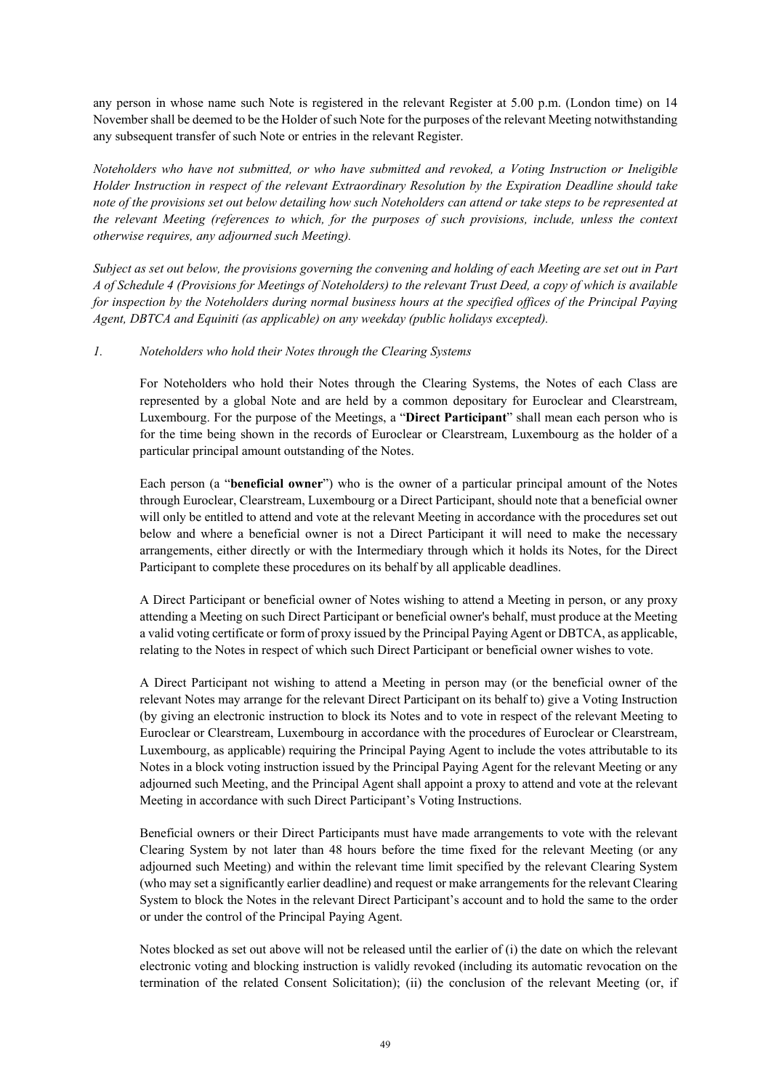any person in whose name such Note is registered in the relevant Register at 5.00 p.m. (London time) on 14 November shall be deemed to be the Holder of such Note for the purposes of the relevant Meeting notwithstanding any subsequent transfer of such Note or entries in the relevant Register.

*Noteholders who have not submitted, or who have submitted and revoked, a Voting Instruction or Ineligible Holder Instruction in respect of the relevant Extraordinary Resolution by the Expiration Deadline should take note of the provisions set out below detailing how such Noteholders can attend or take steps to be represented at the relevant Meeting (references to which, for the purposes of such provisions, include, unless the context otherwise requires, any adjourned such Meeting).* 

*Subject as set out below, the provisions governing the convening and holding of each Meeting are set out in Part A of Schedule 4 (Provisions for Meetings of Noteholders) to the relevant Trust Deed, a copy of which is available for inspection by the Noteholders during normal business hours at the specified offices of the Principal Paying Agent, DBTCA and Equiniti (as applicable) on any weekday (public holidays excepted).*

#### <span id="page-48-0"></span>*1. Noteholders who hold their Notes through the Clearing Systems*

For Noteholders who hold their Notes through the Clearing Systems, the Notes of each Class are represented by a global Note and are held by a common depositary for Euroclear and Clearstream, Luxembourg. For the purpose of the Meetings, a "**Direct Participant**" shall mean each person who is for the time being shown in the records of Euroclear or Clearstream, Luxembourg as the holder of a particular principal amount outstanding of the Notes.

Each person (a "**beneficial owner**") who is the owner of a particular principal amount of the Notes through Euroclear, Clearstream, Luxembourg or a Direct Participant, should note that a beneficial owner will only be entitled to attend and vote at the relevant Meeting in accordance with the procedures set out below and where a beneficial owner is not a Direct Participant it will need to make the necessary arrangements, either directly or with the Intermediary through which it holds its Notes, for the Direct Participant to complete these procedures on its behalf by all applicable deadlines.

A Direct Participant or beneficial owner of Notes wishing to attend a Meeting in person, or any proxy attending a Meeting on such Direct Participant or beneficial owner's behalf, must produce at the Meeting a valid voting certificate or form of proxy issued by the Principal Paying Agent or DBTCA, as applicable, relating to the Notes in respect of which such Direct Participant or beneficial owner wishes to vote.

A Direct Participant not wishing to attend a Meeting in person may (or the beneficial owner of the relevant Notes may arrange for the relevant Direct Participant on its behalf to) give a Voting Instruction (by giving an electronic instruction to block its Notes and to vote in respect of the relevant Meeting to Euroclear or Clearstream, Luxembourg in accordance with the procedures of Euroclear or Clearstream, Luxembourg, as applicable) requiring the Principal Paying Agent to include the votes attributable to its Notes in a block voting instruction issued by the Principal Paying Agent for the relevant Meeting or any adjourned such Meeting, and the Principal Agent shall appoint a proxy to attend and vote at the relevant Meeting in accordance with such Direct Participant's Voting Instructions.

Beneficial owners or their Direct Participants must have made arrangements to vote with the relevant Clearing System by not later than 48 hours before the time fixed for the relevant Meeting (or any adjourned such Meeting) and within the relevant time limit specified by the relevant Clearing System (who may set a significantly earlier deadline) and request or make arrangements for the relevant Clearing System to block the Notes in the relevant Direct Participant's account and to hold the same to the order or under the control of the Principal Paying Agent.

Notes blocked as set out above will not be released until the earlier of (i) the date on which the relevant electronic voting and blocking instruction is validly revoked (including its automatic revocation on the termination of the related Consent Solicitation); (ii) the conclusion of the relevant Meeting (or, if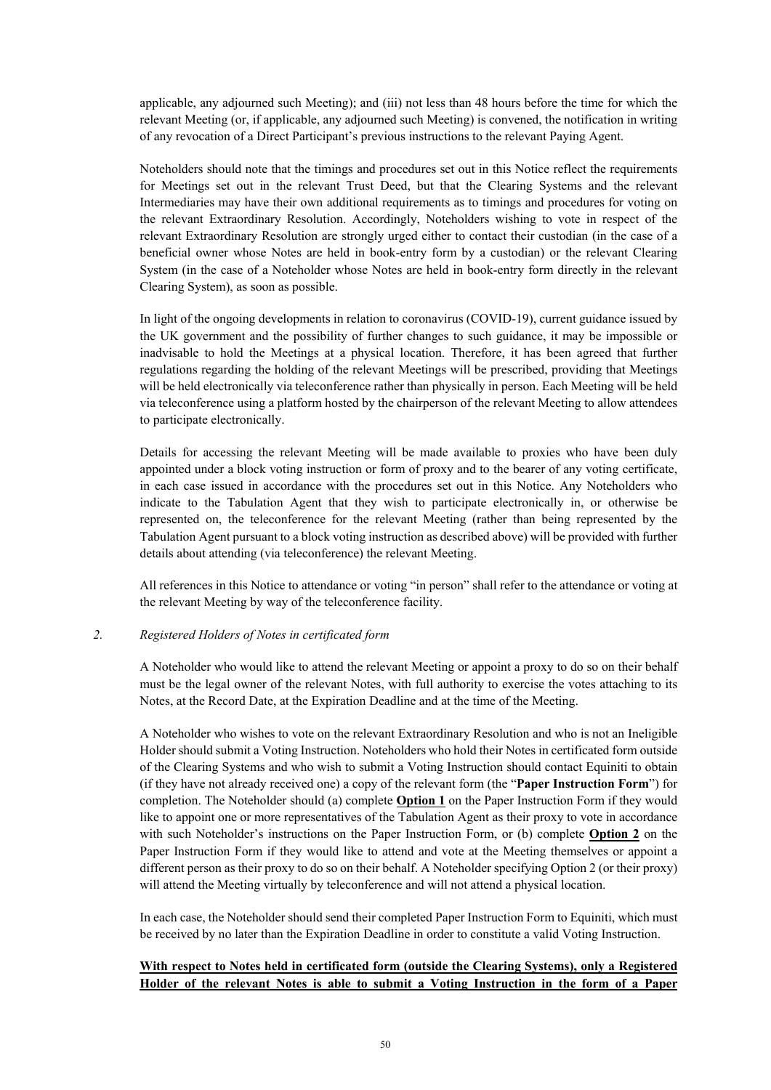applicable, any adjourned such Meeting); and (iii) not less than 48 hours before the time for which the relevant Meeting (or, if applicable, any adjourned such Meeting) is convened, the notification in writing of any revocation of a Direct Participant's previous instructions to the relevant Paying Agent.

Noteholders should note that the timings and procedures set out in this Notice reflect the requirements for Meetings set out in the relevant Trust Deed, but that the Clearing Systems and the relevant Intermediaries may have their own additional requirements as to timings and procedures for voting on the relevant Extraordinary Resolution. Accordingly, Noteholders wishing to vote in respect of the relevant Extraordinary Resolution are strongly urged either to contact their custodian (in the case of a beneficial owner whose Notes are held in book-entry form by a custodian) or the relevant Clearing System (in the case of a Noteholder whose Notes are held in book-entry form directly in the relevant Clearing System), as soon as possible.

In light of the ongoing developments in relation to coronavirus (COVID-19), current guidance issued by the UK government and the possibility of further changes to such guidance, it may be impossible or inadvisable to hold the Meetings at a physical location. Therefore, it has been agreed that further regulations regarding the holding of the relevant Meetings will be prescribed, providing that Meetings will be held electronically via teleconference rather than physically in person. Each Meeting will be held via teleconference using a platform hosted by the chairperson of the relevant Meeting to allow attendees to participate electronically.

Details for accessing the relevant Meeting will be made available to proxies who have been duly appointed under a block voting instruction or form of proxy and to the bearer of any voting certificate, in each case issued in accordance with the procedures set out in this Notice. Any Noteholders who indicate to the Tabulation Agent that they wish to participate electronically in, or otherwise be represented on, the teleconference for the relevant Meeting (rather than being represented by the Tabulation Agent pursuant to a block voting instruction as described above) will be provided with further details about attending (via teleconference) the relevant Meeting.

All references in this Notice to attendance or voting "in person" shall refer to the attendance or voting at the relevant Meeting by way of the teleconference facility.

#### <span id="page-49-0"></span>*2. Registered Holders of Notes in certificated form*

A Noteholder who would like to attend the relevant Meeting or appoint a proxy to do so on their behalf must be the legal owner of the relevant Notes, with full authority to exercise the votes attaching to its Notes, at the Record Date, at the Expiration Deadline and at the time of the Meeting.

A Noteholder who wishes to vote on the relevant Extraordinary Resolution and who is not an Ineligible Holder should submit a Voting Instruction. Noteholders who hold their Notes in certificated form outside of the Clearing Systems and who wish to submit a Voting Instruction should contact Equiniti to obtain (if they have not already received one) a copy of the relevant form (the "**Paper Instruction Form**") for completion. The Noteholder should (a) complete **Option 1** on the Paper Instruction Form if they would like to appoint one or more representatives of the Tabulation Agent as their proxy to vote in accordance with such Noteholder's instructions on the Paper Instruction Form, or (b) complete **Option 2** on the Paper Instruction Form if they would like to attend and vote at the Meeting themselves or appoint a different person as their proxy to do so on their behalf. A Noteholder specifying Option 2 (or their proxy) will attend the Meeting virtually by teleconference and will not attend a physical location.

In each case, the Noteholder should send their completed Paper Instruction Form to Equiniti, which must be received by no later than the Expiration Deadline in order to constitute a valid Voting Instruction.

## **With respect to Notes held in certificated form (outside the Clearing Systems), only a Registered Holder of the relevant Notes is able to submit a Voting Instruction in the form of a Paper**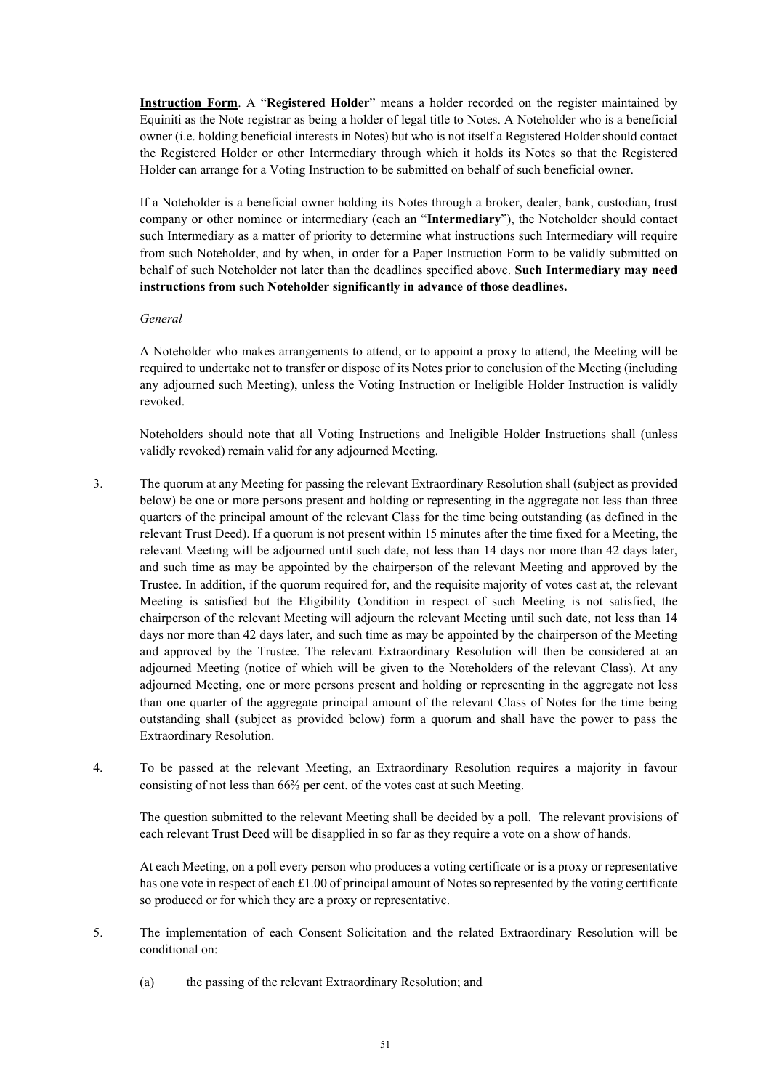**Instruction Form**. A "**Registered Holder**" means a holder recorded on the register maintained by Equiniti as the Note registrar as being a holder of legal title to Notes. A Noteholder who is a beneficial owner (i.e. holding beneficial interests in Notes) but who is not itself a Registered Holder should contact the Registered Holder or other Intermediary through which it holds its Notes so that the Registered Holder can arrange for a Voting Instruction to be submitted on behalf of such beneficial owner.

If a Noteholder is a beneficial owner holding its Notes through a broker, dealer, bank, custodian, trust company or other nominee or intermediary (each an "**Intermediary**"), the Noteholder should contact such Intermediary as a matter of priority to determine what instructions such Intermediary will require from such Noteholder, and by when, in order for a Paper Instruction Form to be validly submitted on behalf of such Noteholder not later than the deadlines specified above. **Such Intermediary may need instructions from such Noteholder significantly in advance of those deadlines.** 

#### *General*

A Noteholder who makes arrangements to attend, or to appoint a proxy to attend, the Meeting will be required to undertake not to transfer or dispose of its Notes prior to conclusion of the Meeting (including any adjourned such Meeting), unless the Voting Instruction or Ineligible Holder Instruction is validly revoked.

Noteholders should note that all Voting Instructions and Ineligible Holder Instructions shall (unless validly revoked) remain valid for any adjourned Meeting.

- <span id="page-50-0"></span>3. The quorum at any Meeting for passing the relevant Extraordinary Resolution shall (subject as provided below) be one or more persons present and holding or representing in the aggregate not less than three quarters of the principal amount of the relevant Class for the time being outstanding (as defined in the relevant Trust Deed). If a quorum is not present within 15 minutes after the time fixed for a Meeting, the relevant Meeting will be adjourned until such date, not less than 14 days nor more than 42 days later, and such time as may be appointed by the chairperson of the relevant Meeting and approved by the Trustee. In addition, if the quorum required for, and the requisite majority of votes cast at, the relevant Meeting is satisfied but the Eligibility Condition in respect of such Meeting is not satisfied, the chairperson of the relevant Meeting will adjourn the relevant Meeting until such date, not less than 14 days nor more than 42 days later, and such time as may be appointed by the chairperson of the Meeting and approved by the Trustee. The relevant Extraordinary Resolution will then be considered at an adjourned Meeting (notice of which will be given to the Noteholders of the relevant Class). At any adjourned Meeting, one or more persons present and holding or representing in the aggregate not less than one quarter of the aggregate principal amount of the relevant Class of Notes for the time being outstanding shall (subject as provided below) form a quorum and shall have the power to pass the Extraordinary Resolution.
- <span id="page-50-1"></span>4. To be passed at the relevant Meeting, an Extraordinary Resolution requires a majority in favour consisting of not less than 66⅔ per cent. of the votes cast at such Meeting.

The question submitted to the relevant Meeting shall be decided by a poll. The relevant provisions of each relevant Trust Deed will be disapplied in so far as they require a vote on a show of hands.

At each Meeting, on a poll every person who produces a voting certificate or is a proxy or representative has one vote in respect of each £1.00 of principal amount of Notes so represented by the voting certificate so produced or for which they are a proxy or representative.

- <span id="page-50-2"></span>5. The implementation of each Consent Solicitation and the related Extraordinary Resolution will be conditional on:
	- (a) the passing of the relevant Extraordinary Resolution; and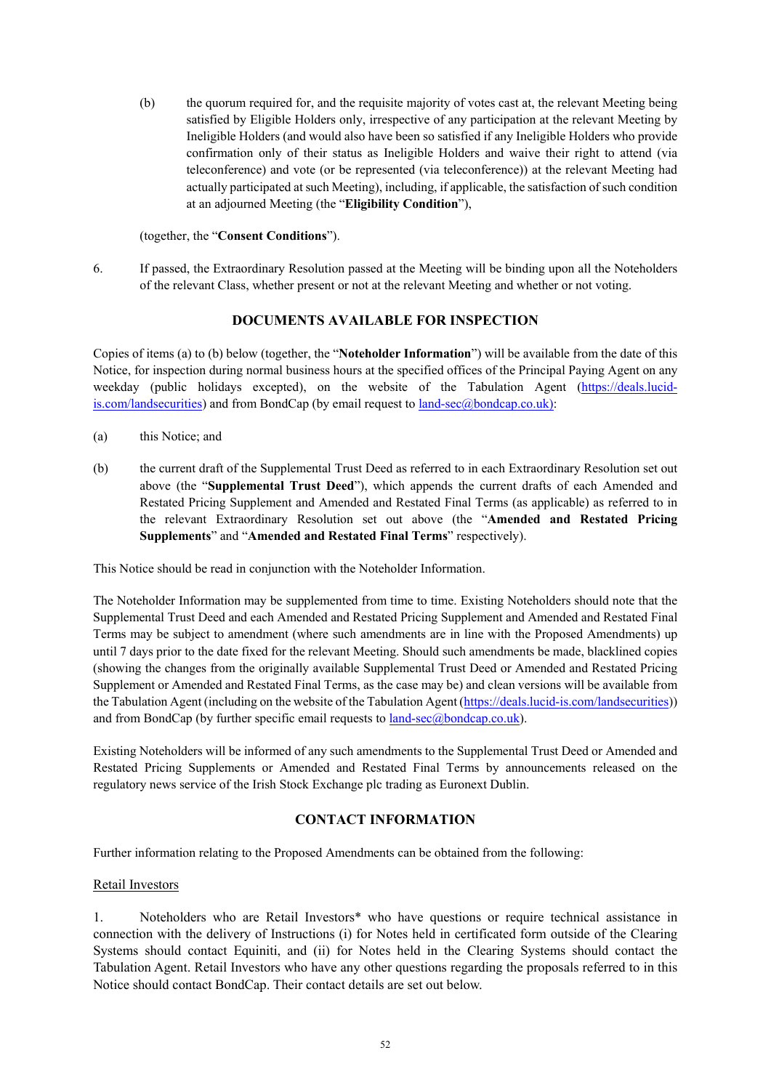(b) the quorum required for, and the requisite majority of votes cast at, the relevant Meeting being satisfied by Eligible Holders only, irrespective of any participation at the relevant Meeting by Ineligible Holders (and would also have been so satisfied if any Ineligible Holders who provide confirmation only of their status as Ineligible Holders and waive their right to attend (via teleconference) and vote (or be represented (via teleconference)) at the relevant Meeting had actually participated at such Meeting), including, if applicable, the satisfaction of such condition at an adjourned Meeting (the "**Eligibility Condition**"),

(together, the "**Consent Conditions**").

<span id="page-51-0"></span>6. If passed, the Extraordinary Resolution passed at the Meeting will be binding upon all the Noteholders of the relevant Class, whether present or not at the relevant Meeting and whether or not voting.

## **DOCUMENTS AVAILABLE FOR INSPECTION**

Copies of items [\(a\)](#page-51-1) [t](#page-51-1)[o \(b\)](#page-51-2) below (together, the "**Noteholder Information**") will be available from the date of this Notice, for inspection during normal business hours at the specified offices of the Principal Paying Agent on any weekday (public holidays excepted), on the website of the Tabulation Agent [\(https://deals.lucid](https://deals.lucid-is.com/landsecurities)[is.com/landsecurities\)](https://deals.lucid-is.com/landsecurities) and from BondCap (by email request to [land-sec@bondcap.co.uk\)](mailto:land-sec@bondcap.co.uk):

- <span id="page-51-2"></span><span id="page-51-1"></span>(a) this Notice; and
- (b) the current draft of the Supplemental Trust Deed as referred to in each Extraordinary Resolution set out above (the "**Supplemental Trust Deed**"), which appends the current drafts of each Amended and Restated Pricing Supplement and Amended and Restated Final Terms (as applicable) as referred to in the relevant Extraordinary Resolution set out above (the "**Amended and Restated Pricing Supplements**" and "**Amended and Restated Final Terms**" respectively).

This Notice should be read in conjunction with the Noteholder Information.

The Noteholder Information may be supplemented from time to time. Existing Noteholders should note that the Supplemental Trust Deed and each Amended and Restated Pricing Supplement and Amended and Restated Final Terms may be subject to amendment (where such amendments are in line with the Proposed Amendments) up until 7 days prior to the date fixed for the relevant Meeting. Should such amendments be made, blacklined copies (showing the changes from the originally available Supplemental Trust Deed or Amended and Restated Pricing Supplement or Amended and Restated Final Terms, as the case may be) and clean versions will be available from the Tabulation Agent (including on the website of the Tabulation Agent [\(https://deals.lucid-is.com/landsecurities\)](https://deals.lucid-is.com/landsecurities)) and from BondCap (by further specific email requests t[o land-sec@bondcap.co.uk\)](mailto:land-sec@bondcap.co.uk).

Existing Noteholders will be informed of any such amendments to the Supplemental Trust Deed or Amended and Restated Pricing Supplements or Amended and Restated Final Terms by announcements released on the regulatory news service of the Irish Stock Exchange plc trading as Euronext Dublin.

## **CONTACT INFORMATION**

Further information relating to the Proposed Amendments can be obtained from the following:

## Retail Investors

1. Noteholders who are Retail Investors\* who have questions or require technical assistance in connection with the delivery of Instructions (i) for Notes held in certificated form outside of the Clearing Systems should contact Equiniti, and (ii) for Notes held in the Clearing Systems should contact the Tabulation Agent. Retail Investors who have any other questions regarding the proposals referred to in this Notice should contact BondCap. Their contact details are set out below.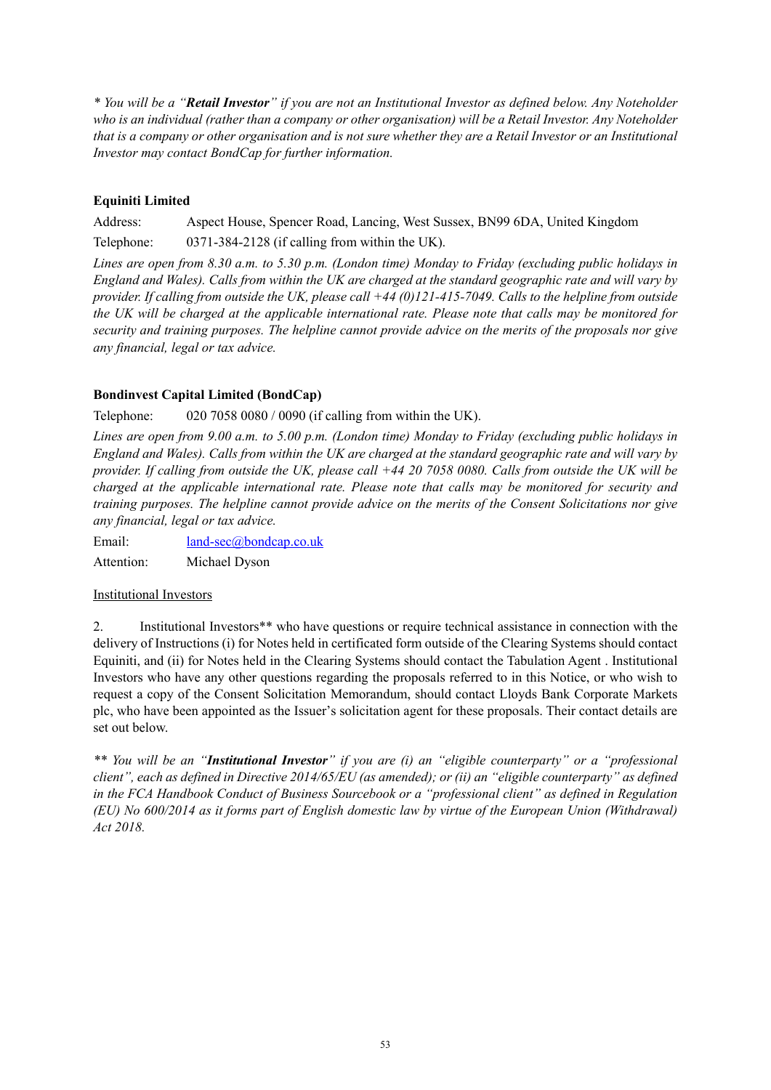*\* You will be a "Retail Investor" if you are not an Institutional Investor as defined below. Any Noteholder who is an individual (rather than a company or other organisation) will be a Retail Investor. Any Noteholder that is a company or other organisation and is not sure whether they are a Retail Investor or an Institutional Investor may contact BondCap for further information.*

# **Equiniti Limited**

Address: Aspect House, Spencer Road, Lancing, West Sussex, BN99 6DA, United Kingdom Telephone: 0371-384-2128 (if calling from within the UK).

*Lines are open from 8.30 a.m. to 5.30 p.m. (London time) Monday to Friday (excluding public holidays in England and Wales). Calls from within the UK are charged at the standard geographic rate and will vary by provider. If calling from outside the UK, please call +44 (0)121-415-7049. Calls to the helpline from outside the UK will be charged at the applicable international rate. Please note that calls may be monitored for security and training purposes. The helpline cannot provide advice on the merits of the proposals nor give any financial, legal or tax advice.*

## **Bondinvest Capital Limited (BondCap)**

Telephone: 020 7058 0080 / 0090 (if calling from within the UK).

*Lines are open from 9.00 a.m. to 5.00 p.m. (London time) Monday to Friday (excluding public holidays in England and Wales). Calls from within the UK are charged at the standard geographic rate and will vary by provider. If calling from outside the UK, please call +44 20 7058 0080. Calls from outside the UK will be charged at the applicable international rate. Please note that calls may be monitored for security and training purposes. The helpline cannot provide advice on the merits of the Consent Solicitations nor give any financial, legal or tax advice.*

Email: [land-sec@bondcap.co.uk](mailto:land-sec@bondcap.co.uk)

Attention: Michael Dyson

## Institutional Investors

2. Institutional Investors\*\* who have questions or require technical assistance in connection with the delivery of Instructions (i) for Notes held in certificated form outside of the Clearing Systems should contact Equiniti, and (ii) for Notes held in the Clearing Systems should contact the Tabulation Agent . Institutional Investors who have any other questions regarding the proposals referred to in this Notice, or who wish to request a copy of the Consent Solicitation Memorandum, should contact Lloyds Bank Corporate Markets plc, who have been appointed as the Issuer's solicitation agent for these proposals. Their contact details are set out below.

*\*\* You will be an "Institutional Investor" if you are (i) an "eligible counterparty" or a "professional client", each as defined in Directive 2014/65/EU (as amended); or (ii) an "eligible counterparty" as defined in the FCA Handbook Conduct of Business Sourcebook or a "professional client" as defined in Regulation (EU) No 600/2014 as it forms part of English domestic law by virtue of the European Union (Withdrawal) Act 2018.*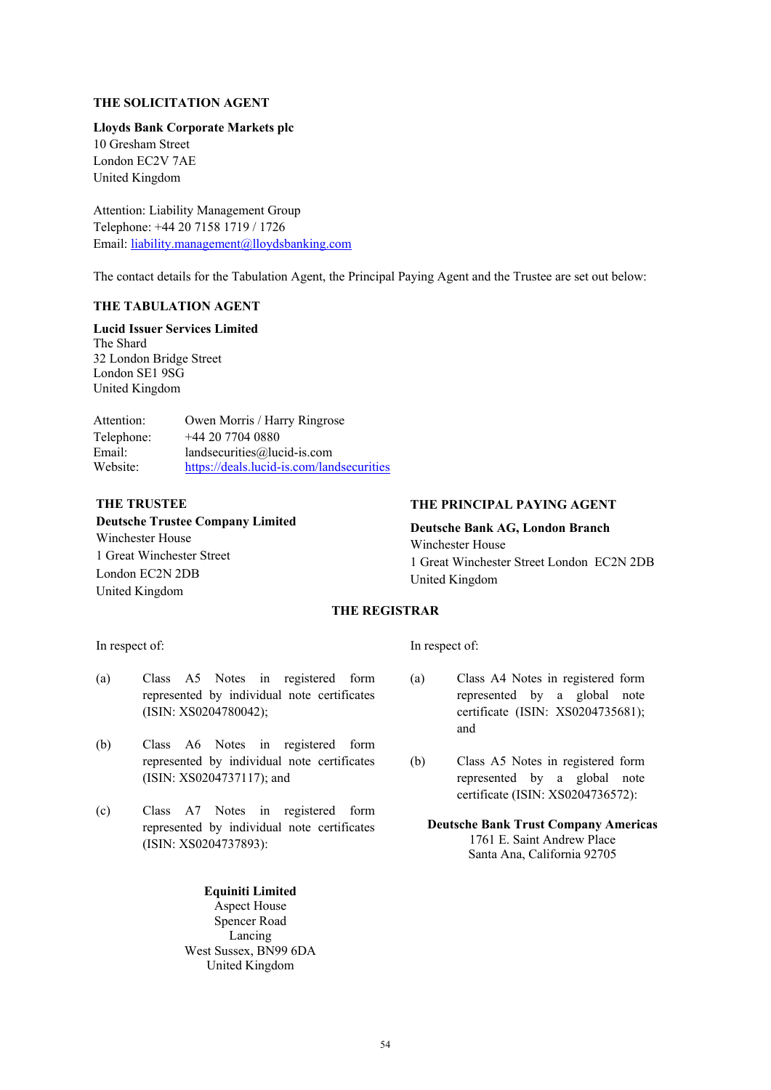#### **THE SOLICITATION AGENT**

### **Lloyds Bank Corporate Markets plc**

10 Gresham Street London EC2V 7AE United Kingdom

Attention: Liability Management Group Telephone: +44 20 7158 1719 / 1726 Email: [liability.management@lloydsbanking.com](mailto:liability.management@lloydsbanking.com)

The contact details for the Tabulation Agent, the Principal Paying Agent and the Trustee are set out below:

## **THE TABULATION AGENT**

**Lucid Issuer Services Limited** The Shard 32 London Bridge Street London SE1 9SG United Kingdom

Attention: Owen Morris / Harry Ringrose Telephone: +44 20 7704 0880 Email: landsecurities@lucid-is.com Website: <https://deals.lucid-is.com/landsecurities>

#### **THE TRUSTEE**

**Deutsche Trustee Company Limited** Winchester House 1 Great Winchester Street London EC2N 2DB United Kingdom

### **THE PRINCIPAL PAYING AGENT**

**Deutsche Bank AG, London Branch** Winchester House 1 Great Winchester Street London EC2N 2DB United Kingdom

#### **THE REGISTRAR**

In respect of:

- (a) Class A5 Notes in registered form represented by individual note certificates (ISIN: XS0204780042);
- (b) Class A6 Notes in registered form represented by individual note certificates (ISIN: XS0204737117); and
- (c) Class A7 Notes in registered form represented by individual note certificates (ISIN: XS0204737893):

**Equiniti Limited** Aspect House Spencer Road Lancing West Sussex, BN99 6DA United Kingdom

In respect of:

- (a) Class A4 Notes in registered form represented by a global note certificate (ISIN: XS0204735681); and
- (b) Class A5 Notes in registered form represented by a global note certificate (ISIN: XS0204736572):
	- **Deutsche Bank Trust Company Americas** 1761 E. Saint Andrew Place Santa Ana, California 92705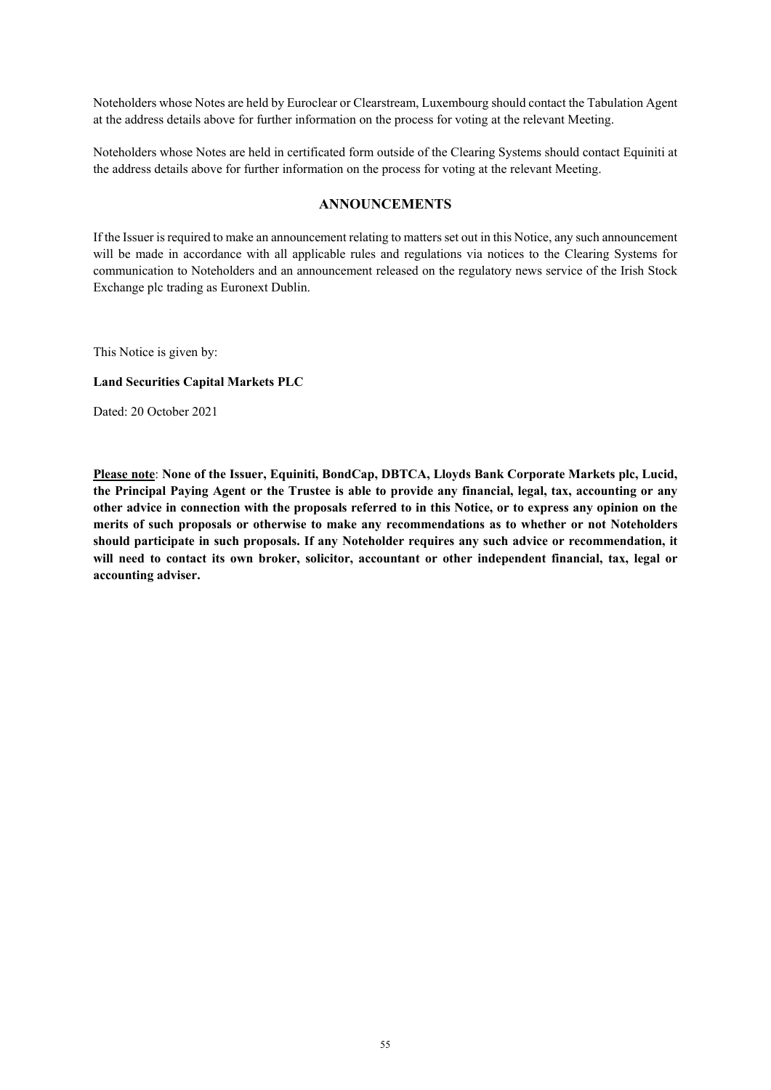Noteholders whose Notes are held by Euroclear or Clearstream, Luxembourg should contact the Tabulation Agent at the address details above for further information on the process for voting at the relevant Meeting.

Noteholders whose Notes are held in certificated form outside of the Clearing Systems should contact Equiniti at the address details above for further information on the process for voting at the relevant Meeting.

### **ANNOUNCEMENTS**

If the Issuer is required to make an announcement relating to matters set out in this Notice, any such announcement will be made in accordance with all applicable rules and regulations via notices to the Clearing Systems for communication to Noteholders and an announcement released on the regulatory news service of the Irish Stock Exchange plc trading as Euronext Dublin.

This Notice is given by:

#### **Land Securities Capital Markets PLC**

Dated: 20 October 2021

**Please note**: **None of the Issuer, Equiniti, BondCap, DBTCA, Lloyds Bank Corporate Markets plc, Lucid, the Principal Paying Agent or the Trustee is able to provide any financial, legal, tax, accounting or any other advice in connection with the proposals referred to in this Notice, or to express any opinion on the merits of such proposals or otherwise to make any recommendations as to whether or not Noteholders should participate in such proposals. If any Noteholder requires any such advice or recommendation, it will need to contact its own broker, solicitor, accountant or other independent financial, tax, legal or accounting adviser.**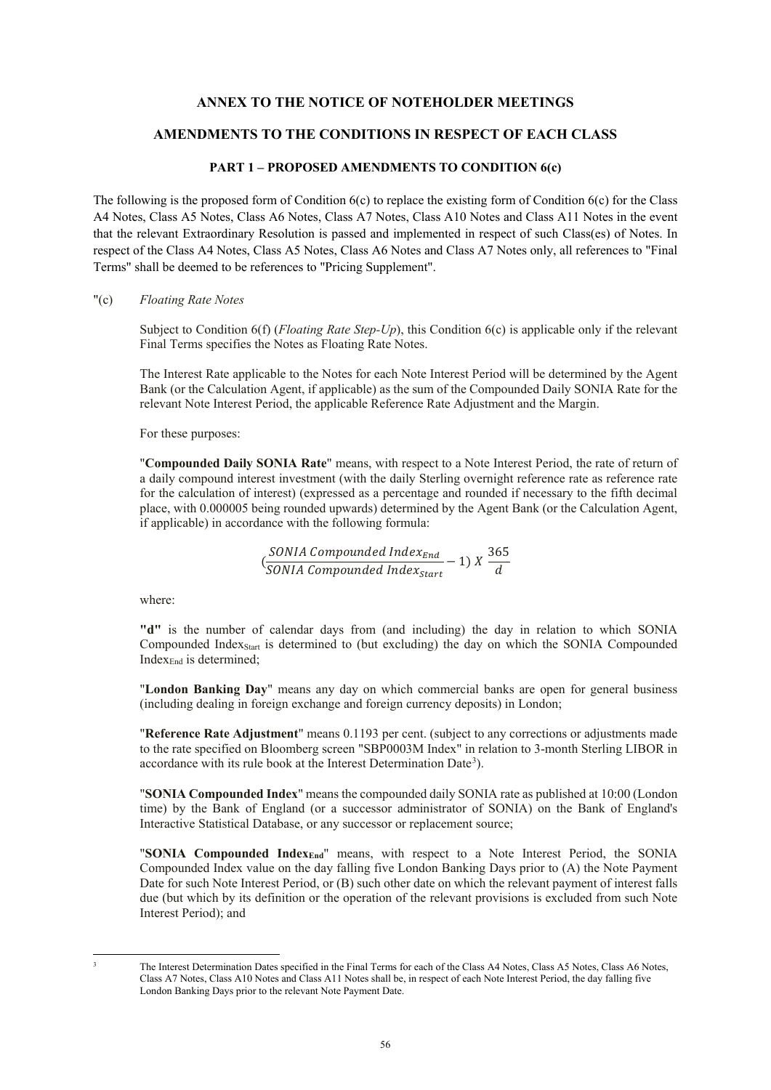## **ANNEX TO THE NOTICE OF NOTEHOLDER MEETINGS**

## **AMENDMENTS TO THE CONDITIONS IN RESPECT OF EACH CLASS**

#### **PART 1 – PROPOSED AMENDMENTS TO CONDITION 6(c)**

The following is the proposed form of Condition  $6(c)$  to replace the existing form of Condition  $6(c)$  for the Class A4 Notes, Class A5 Notes, Class A6 Notes, Class A7 Notes, Class A10 Notes and Class A11 Notes in the event that the relevant Extraordinary Resolution is passed and implemented in respect of such Class(es) of Notes. In respect of the Class A4 Notes, Class A5 Notes, Class A6 Notes and Class A7 Notes only, all references to "Final Terms" shall be deemed to be references to "Pricing Supplement".

"(c) *Floating Rate Notes*

Subject to Condition 6(f) (*Floating Rate Step-Up*), this Condition 6(c) is applicable only if the relevant Final Terms specifies the Notes as Floating Rate Notes.

The Interest Rate applicable to the Notes for each Note Interest Period will be determined by the Agent Bank (or the Calculation Agent, if applicable) as the sum of the Compounded Daily SONIA Rate for the relevant Note Interest Period, the applicable Reference Rate Adjustment and the Margin.

For these purposes:

"**Compounded Daily SONIA Rate**" means, with respect to a Note Interest Period, the rate of return of a daily compound interest investment (with the daily Sterling overnight reference rate as reference rate for the calculation of interest) (expressed as a percentage and rounded if necessary to the fifth decimal place, with 0.000005 being rounded upwards) determined by the Agent Bank (or the Calculation Agent, if applicable) in accordance with the following formula:

$$
(\frac{SONIA\ Compounded\ Index_{End}}{SONIA\ Compounded\ Index_{Start}} - 1)\ X\ \frac{365}{d}
$$

where:

**"d"** is the number of calendar days from (and including) the day in relation to which SONIA Compounded Index<sub>Start</sub> is determined to (but excluding) the day on which the SONIA Compounded Index $_{End}$  is determined;

"**London Banking Day**" means any day on which commercial banks are open for general business (including dealing in foreign exchange and foreign currency deposits) in London;

"**Reference Rate Adjustment**" means 0.1193 per cent. (subject to any corrections or adjustments made to the rate specified on Bloomberg screen "SBP0003M Index" in relation to 3-month Sterling LIBOR in accordance with its rule book at the Interest Determination Date<sup>[3](#page-55-0)</sup>).

"**SONIA Compounded Index**" means the compounded daily SONIA rate as published at 10:00 (London time) by the Bank of England (or a successor administrator of SONIA) on the Bank of England's Interactive Statistical Database, or any successor or replacement source;

"**SONIA Compounded IndexEnd**" means, with respect to a Note Interest Period, the SONIA Compounded Index value on the day falling five London Banking Days prior to (A) the Note Payment Date for such Note Interest Period, or (B) such other date on which the relevant payment of interest falls due (but which by its definition or the operation of the relevant provisions is excluded from such Note Interest Period); and

<span id="page-55-0"></span>

 <sup>3</sup> The Interest Determination Dates specified in the Final Terms for each of the Class A4 Notes, Class A5 Notes, Class A6 Notes, Class A7 Notes, Class A10 Notes and Class A11 Notes shall be, in respect of each Note Interest Period, the day falling five London Banking Days prior to the relevant Note Payment Date.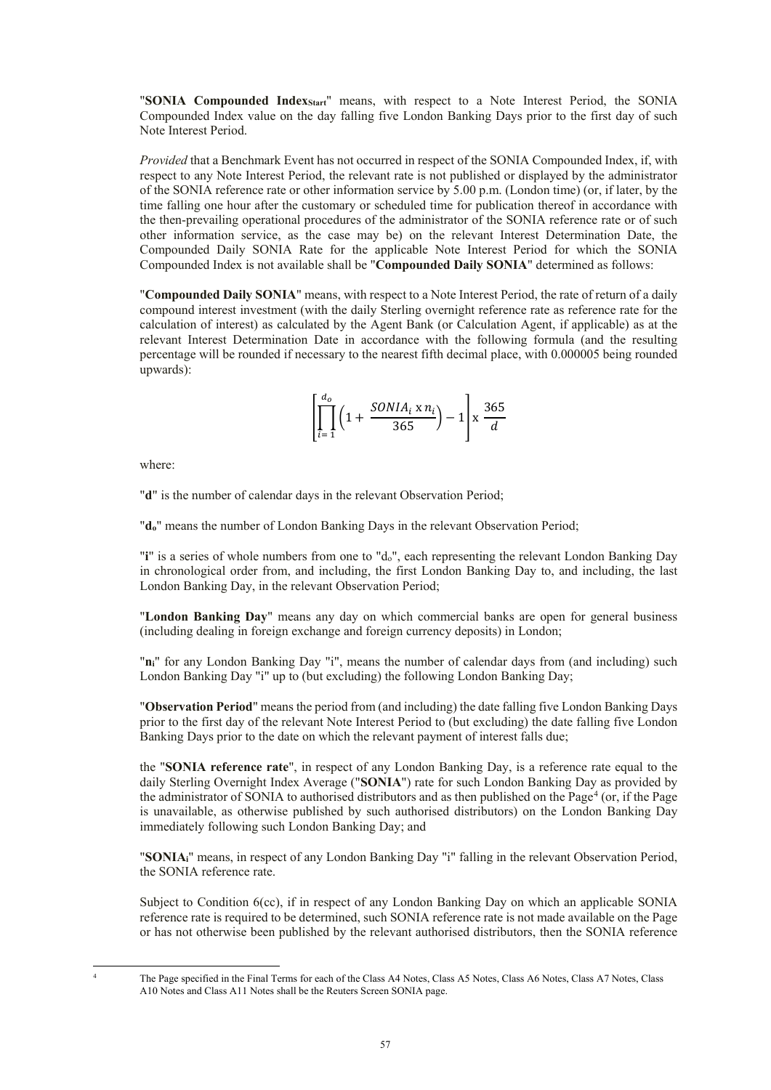"**SONIA Compounded IndexStart**" means, with respect to a Note Interest Period, the SONIA Compounded Index value on the day falling five London Banking Days prior to the first day of such Note Interest Period.

*Provided* that a Benchmark Event has not occurred in respect of the SONIA Compounded Index, if, with respect to any Note Interest Period, the relevant rate is not published or displayed by the administrator of the SONIA reference rate or other information service by 5.00 p.m. (London time) (or, if later, by the time falling one hour after the customary or scheduled time for publication thereof in accordance with the then-prevailing operational procedures of the administrator of the SONIA reference rate or of such other information service, as the case may be) on the relevant Interest Determination Date, the Compounded Daily SONIA Rate for the applicable Note Interest Period for which the SONIA Compounded Index is not available shall be "**Compounded Daily SONIA**" determined as follows:

"**Compounded Daily SONIA**" means, with respect to a Note Interest Period, the rate of return of a daily compound interest investment (with the daily Sterling overnight reference rate as reference rate for the calculation of interest) as calculated by the Agent Bank (or Calculation Agent, if applicable) as at the relevant Interest Determination Date in accordance with the following formula (and the resulting percentage will be rounded if necessary to the nearest fifth decimal place, with 0.000005 being rounded upwards):

$$
\left[\prod_{i=1}^{d_o} \left(1 + \frac{SONIA_i \times n_i}{365}\right) - 1\right] \times \frac{365}{d}
$$

where:

"**d**" is the number of calendar days in the relevant Observation Period;

"**do**" means the number of London Banking Days in the relevant Observation Period;

"**i**" is a series of whole numbers from one to "do", each representing the relevant London Banking Day in chronological order from, and including, the first London Banking Day to, and including, the last London Banking Day, in the relevant Observation Period;

"**London Banking Day**" means any day on which commercial banks are open for general business (including dealing in foreign exchange and foreign currency deposits) in London;

"**ni**" for any London Banking Day "i", means the number of calendar days from (and including) such London Banking Day "i" up to (but excluding) the following London Banking Day;

"**Observation Period**" means the period from (and including) the date falling five London Banking Days prior to the first day of the relevant Note Interest Period to (but excluding) the date falling five London Banking Days prior to the date on which the relevant payment of interest falls due;

the "**SONIA reference rate**", in respect of any London Banking Day, is a reference rate equal to the daily Sterling Overnight Index Average ("**SONIA**") rate for such London Banking Day as provided by the administrator of SONIA to authorised distributors and as then published on the Page<sup>[4](#page-56-0)</sup> (or, if the Page is unavailable, as otherwise published by such authorised distributors) on the London Banking Day immediately following such London Banking Day; and

"**SONIAi**" means, in respect of any London Banking Day "i" falling in the relevant Observation Period, the SONIA reference rate.

Subject to Condition 6(cc), if in respect of any London Banking Day on which an applicable SONIA reference rate is required to be determined, such SONIA reference rate is not made available on the Page or has not otherwise been published by the relevant authorised distributors, then the SONIA reference

<span id="page-56-0"></span>

 <sup>4</sup> The Page specified in the Final Terms for each of the Class A4 Notes, Class A5 Notes, Class A6 Notes, Class A7 Notes, Class A10 Notes and Class A11 Notes shall be the Reuters Screen SONIA page.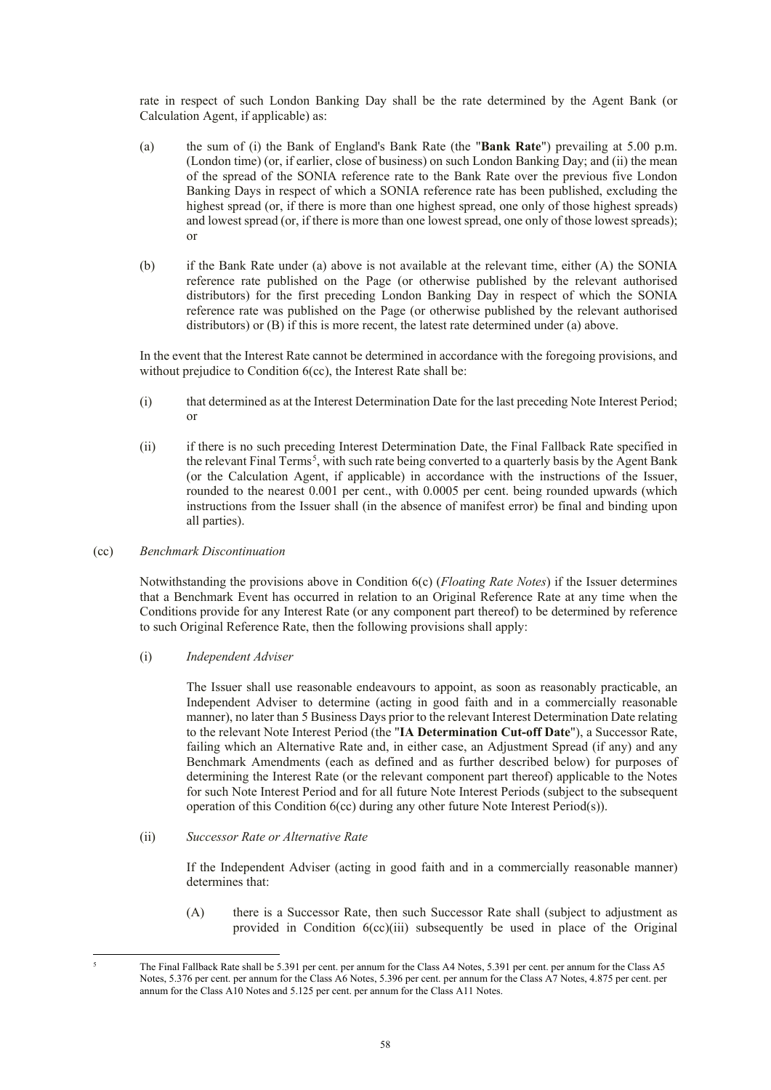rate in respect of such London Banking Day shall be the rate determined by the Agent Bank (or Calculation Agent, if applicable) as:

- (a) the sum of (i) the Bank of England's Bank Rate (the "**Bank Rate**") prevailing at 5.00 p.m. (London time) (or, if earlier, close of business) on such London Banking Day; and (ii) the mean of the spread of the SONIA reference rate to the Bank Rate over the previous five London Banking Days in respect of which a SONIA reference rate has been published, excluding the highest spread (or, if there is more than one highest spread, one only of those highest spreads) and lowest spread (or, if there is more than one lowest spread, one only of those lowest spreads); or
- (b) if the Bank Rate under (a) above is not available at the relevant time, either (A) the SONIA reference rate published on the Page (or otherwise published by the relevant authorised distributors) for the first preceding London Banking Day in respect of which the SONIA reference rate was published on the Page (or otherwise published by the relevant authorised distributors) or (B) if this is more recent, the latest rate determined under (a) above.

In the event that the Interest Rate cannot be determined in accordance with the foregoing provisions, and without prejudice to Condition 6(cc), the Interest Rate shall be:

- (i) that determined as at the Interest Determination Date for the last preceding Note Interest Period; or
- (ii) if there is no such preceding Interest Determination Date, the Final Fallback Rate specified in the relevant Final Terms<sup>[5](#page-57-0)</sup>, with such rate being converted to a quarterly basis by the Agent Bank (or the Calculation Agent, if applicable) in accordance with the instructions of the Issuer, rounded to the nearest 0.001 per cent., with 0.0005 per cent. being rounded upwards (which instructions from the Issuer shall (in the absence of manifest error) be final and binding upon all parties).

#### (cc) *Benchmark Discontinuation*

Notwithstanding the provisions above in Condition 6(c) (*Floating Rate Notes*) if the Issuer determines that a Benchmark Event has occurred in relation to an Original Reference Rate at any time when the Conditions provide for any Interest Rate (or any component part thereof) to be determined by reference to such Original Reference Rate, then the following provisions shall apply:

(i) *Independent Adviser*

The Issuer shall use reasonable endeavours to appoint, as soon as reasonably practicable, an Independent Adviser to determine (acting in good faith and in a commercially reasonable manner), no later than 5 Business Days prior to the relevant Interest Determination Date relating to the relevant Note Interest Period (the "**IA Determination Cut-off Date**"), a Successor Rate, failing which an Alternative Rate and, in either case, an Adjustment Spread (if any) and any Benchmark Amendments (each as defined and as further described below) for purposes of determining the Interest Rate (or the relevant component part thereof) applicable to the Notes for such Note Interest Period and for all future Note Interest Periods (subject to the subsequent operation of this Condition  $6$ (cc) during any other future Note Interest Period(s)).

(ii) *Successor Rate or Alternative Rate*

If the Independent Adviser (acting in good faith and in a commercially reasonable manner) determines that:

(A) there is a Successor Rate, then such Successor Rate shall (subject to adjustment as provided in Condition 6(cc)(iii) subsequently be used in place of the Original

<span id="page-57-0"></span> <sup>5</sup> The Final Fallback Rate shall be 5.391 per cent. per annum for the Class A4 Notes, 5.391 per cent. per annum for the Class A5 Notes, 5.376 per cent. per annum for the Class A6 Notes, 5.396 per cent. per annum for the Class A7 Notes, 4.875 per cent. per annum for the Class A10 Notes and 5.125 per cent. per annum for the Class A11 Notes.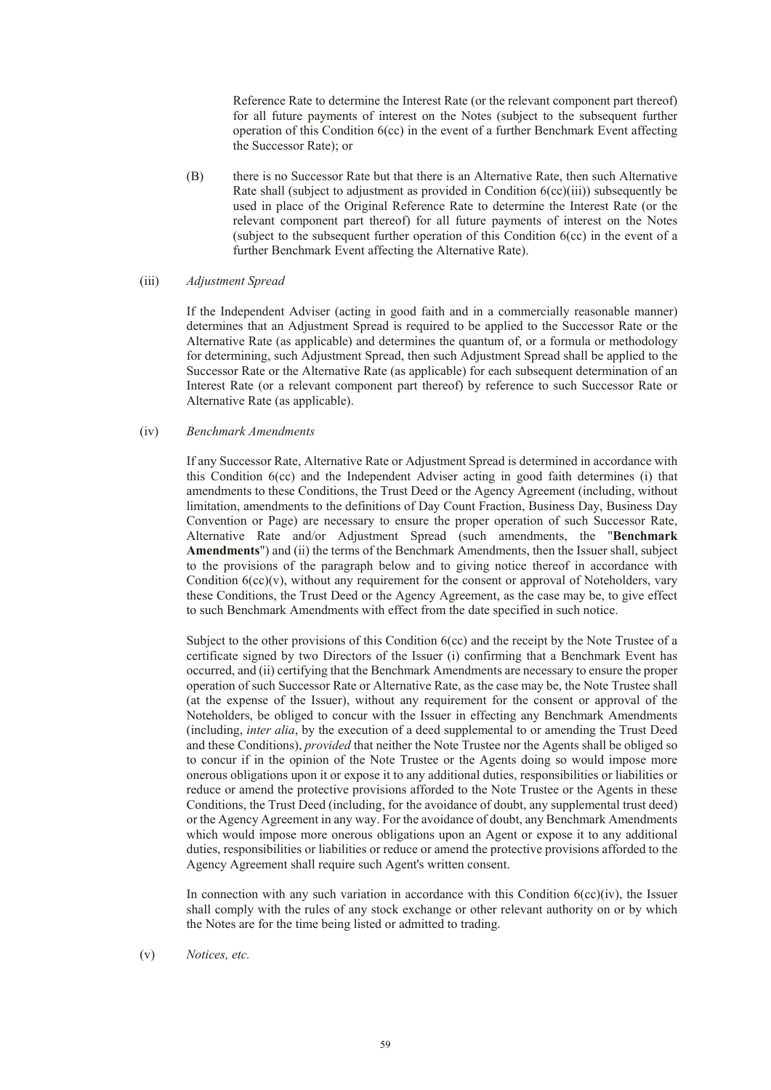Reference Rate to determine the Interest Rate (or the relevant component part thereof) for all future payments of interest on the Notes (subject to the subsequent further operation of this Condition 6(cc) in the event of a further Benchmark Event affecting the Successor Rate); or

(B) there is no Successor Rate but that there is an Alternative Rate, then such Alternative Rate shall (subject to adjustment as provided in Condition 6(cc)(iii)) subsequently be used in place of the Original Reference Rate to determine the Interest Rate (or the relevant component part thereof) for all future payments of interest on the Notes (subject to the subsequent further operation of this Condition 6(cc) in the event of a further Benchmark Event affecting the Alternative Rate).

## (iii) *Adjustment Spread*

If the Independent Adviser (acting in good faith and in a commercially reasonable manner) determines that an Adjustment Spread is required to be applied to the Successor Rate or the Alternative Rate (as applicable) and determines the quantum of, or a formula or methodology for determining, such Adjustment Spread, then such Adjustment Spread shall be applied to the Successor Rate or the Alternative Rate (as applicable) for each subsequent determination of an Interest Rate (or a relevant component part thereof) by reference to such Successor Rate or Alternative Rate (as applicable).

#### (iv) *Benchmark Amendments*

If any Successor Rate, Alternative Rate or Adjustment Spread is determined in accordance with this Condition 6(cc) and the Independent Adviser acting in good faith determines (i) that amendments to these Conditions, the Trust Deed or the Agency Agreement (including, without limitation, amendments to the definitions of Day Count Fraction, Business Day, Business Day Convention or Page) are necessary to ensure the proper operation of such Successor Rate, Alternative Rate and/or Adjustment Spread (such amendments, the "**Benchmark Amendments**") and (ii) the terms of the Benchmark Amendments, then the Issuer shall, subject to the provisions of the paragraph below and to giving notice thereof in accordance with Condition  $6$ (cc)(v), without any requirement for the consent or approval of Noteholders, vary these Conditions, the Trust Deed or the Agency Agreement, as the case may be, to give effect to such Benchmark Amendments with effect from the date specified in such notice.

Subject to the other provisions of this Condition 6(cc) and the receipt by the Note Trustee of a certificate signed by two Directors of the Issuer (i) confirming that a Benchmark Event has occurred, and (ii) certifying that the Benchmark Amendments are necessary to ensure the proper operation of such Successor Rate or Alternative Rate, as the case may be, the Note Trustee shall (at the expense of the Issuer), without any requirement for the consent or approval of the Noteholders, be obliged to concur with the Issuer in effecting any Benchmark Amendments (including, *inter alia*, by the execution of a deed supplemental to or amending the Trust Deed and these Conditions), *provided* that neither the Note Trustee nor the Agents shall be obliged so to concur if in the opinion of the Note Trustee or the Agents doing so would impose more onerous obligations upon it or expose it to any additional duties, responsibilities or liabilities or reduce or amend the protective provisions afforded to the Note Trustee or the Agents in these Conditions, the Trust Deed (including, for the avoidance of doubt, any supplemental trust deed) or the Agency Agreement in any way. For the avoidance of doubt, any Benchmark Amendments which would impose more onerous obligations upon an Agent or expose it to any additional duties, responsibilities or liabilities or reduce or amend the protective provisions afforded to the Agency Agreement shall require such Agent's written consent.

In connection with any such variation in accordance with this Condition  $6(cc)(iv)$ , the Issuer shall comply with the rules of any stock exchange or other relevant authority on or by which the Notes are for the time being listed or admitted to trading.

(v) *Notices, etc.*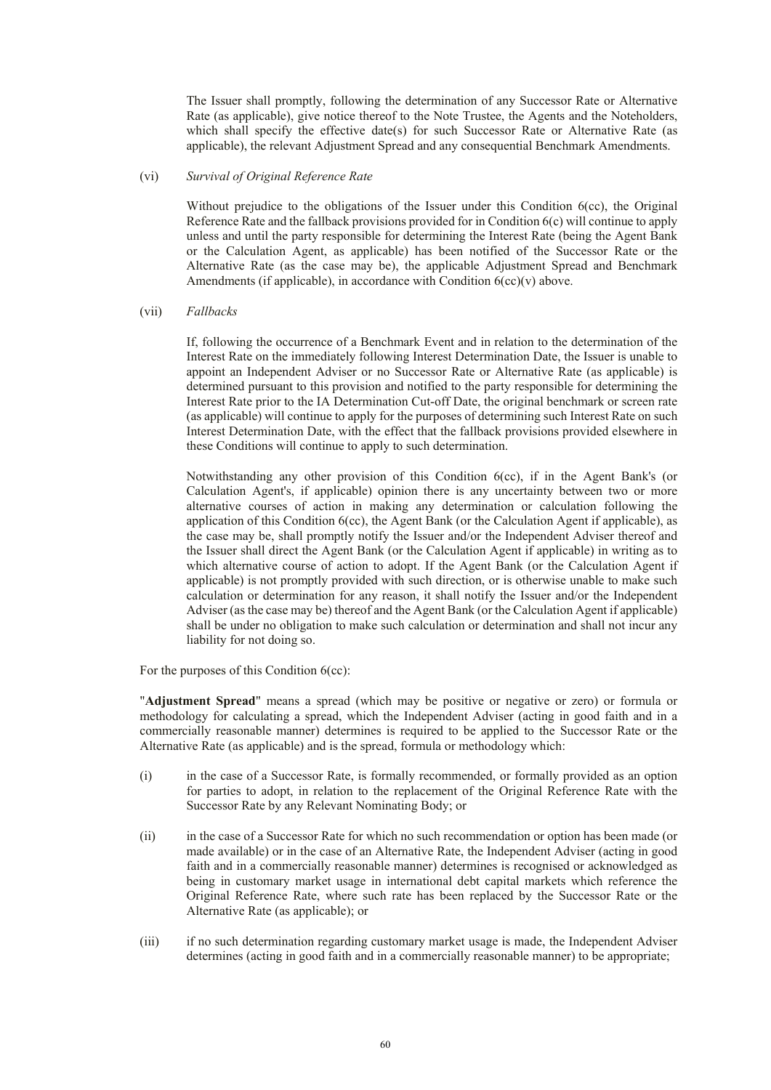The Issuer shall promptly, following the determination of any Successor Rate or Alternative Rate (as applicable), give notice thereof to the Note Trustee, the Agents and the Noteholders, which shall specify the effective date(s) for such Successor Rate or Alternative Rate (as applicable), the relevant Adjustment Spread and any consequential Benchmark Amendments.

#### (vi) *Survival of Original Reference Rate*

Without prejudice to the obligations of the Issuer under this Condition 6(cc), the Original Reference Rate and the fallback provisions provided for in Condition 6(c) will continue to apply unless and until the party responsible for determining the Interest Rate (being the Agent Bank or the Calculation Agent, as applicable) has been notified of the Successor Rate or the Alternative Rate (as the case may be), the applicable Adjustment Spread and Benchmark Amendments (if applicable), in accordance with Condition  $6$ (cc)(v) above.

#### (vii) *Fallbacks*

If, following the occurrence of a Benchmark Event and in relation to the determination of the Interest Rate on the immediately following Interest Determination Date, the Issuer is unable to appoint an Independent Adviser or no Successor Rate or Alternative Rate (as applicable) is determined pursuant to this provision and notified to the party responsible for determining the Interest Rate prior to the IA Determination Cut-off Date, the original benchmark or screen rate (as applicable) will continue to apply for the purposes of determining such Interest Rate on such Interest Determination Date, with the effect that the fallback provisions provided elsewhere in these Conditions will continue to apply to such determination.

Notwithstanding any other provision of this Condition 6(cc), if in the Agent Bank's (or Calculation Agent's, if applicable) opinion there is any uncertainty between two or more alternative courses of action in making any determination or calculation following the application of this Condition 6(cc), the Agent Bank (or the Calculation Agent if applicable), as the case may be, shall promptly notify the Issuer and/or the Independent Adviser thereof and the Issuer shall direct the Agent Bank (or the Calculation Agent if applicable) in writing as to which alternative course of action to adopt. If the Agent Bank (or the Calculation Agent if applicable) is not promptly provided with such direction, or is otherwise unable to make such calculation or determination for any reason, it shall notify the Issuer and/or the Independent Adviser (as the case may be) thereof and the Agent Bank (or the Calculation Agent if applicable) shall be under no obligation to make such calculation or determination and shall not incur any liability for not doing so.

For the purposes of this Condition 6(cc):

"**Adjustment Spread**" means a spread (which may be positive or negative or zero) or formula or methodology for calculating a spread, which the Independent Adviser (acting in good faith and in a commercially reasonable manner) determines is required to be applied to the Successor Rate or the Alternative Rate (as applicable) and is the spread, formula or methodology which:

- (i) in the case of a Successor Rate, is formally recommended, or formally provided as an option for parties to adopt, in relation to the replacement of the Original Reference Rate with the Successor Rate by any Relevant Nominating Body; or
- (ii) in the case of a Successor Rate for which no such recommendation or option has been made (or made available) or in the case of an Alternative Rate, the Independent Adviser (acting in good faith and in a commercially reasonable manner) determines is recognised or acknowledged as being in customary market usage in international debt capital markets which reference the Original Reference Rate, where such rate has been replaced by the Successor Rate or the Alternative Rate (as applicable); or
- (iii) if no such determination regarding customary market usage is made, the Independent Adviser determines (acting in good faith and in a commercially reasonable manner) to be appropriate;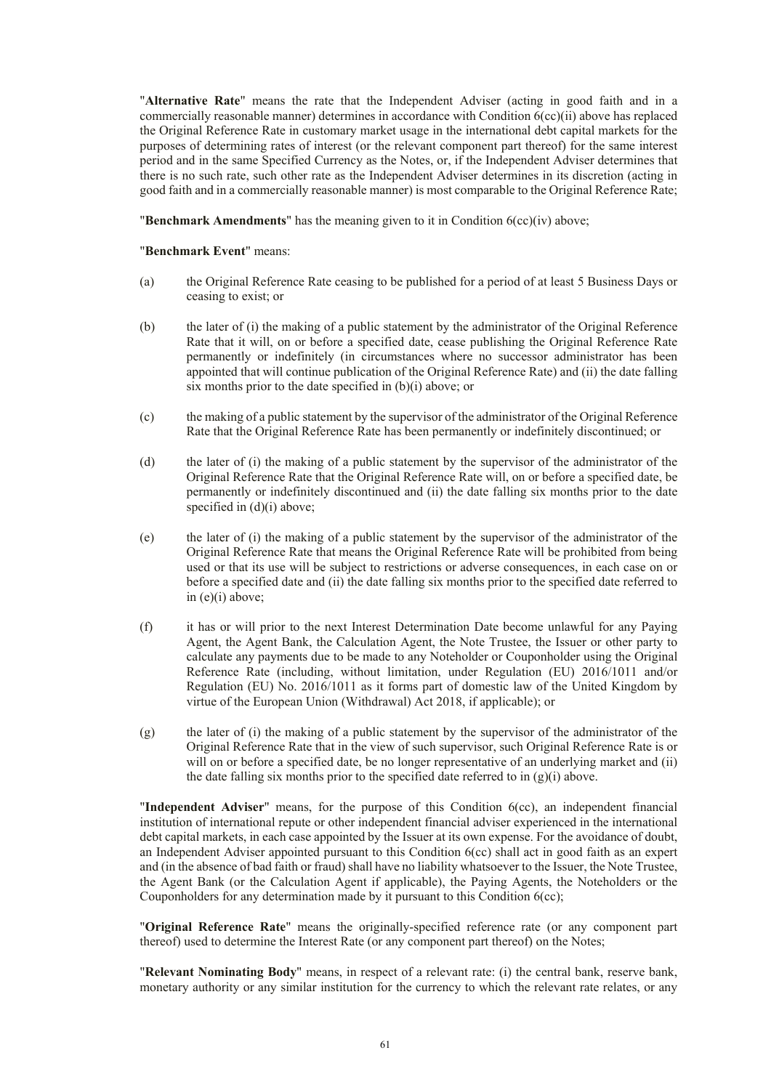"**Alternative Rate**" means the rate that the Independent Adviser (acting in good faith and in a commercially reasonable manner) determines in accordance with Condition 6(cc)(ii) above has replaced the Original Reference Rate in customary market usage in the international debt capital markets for the purposes of determining rates of interest (or the relevant component part thereof) for the same interest period and in the same Specified Currency as the Notes, or, if the Independent Adviser determines that there is no such rate, such other rate as the Independent Adviser determines in its discretion (acting in good faith and in a commercially reasonable manner) is most comparable to the Original Reference Rate;

"**Benchmark Amendments**" has the meaning given to it in Condition 6(cc)(iv) above;

#### "**Benchmark Event**" means:

- (a) the Original Reference Rate ceasing to be published for a period of at least 5 Business Days or ceasing to exist; or
- (b) the later of (i) the making of a public statement by the administrator of the Original Reference Rate that it will, on or before a specified date, cease publishing the Original Reference Rate permanently or indefinitely (in circumstances where no successor administrator has been appointed that will continue publication of the Original Reference Rate) and (ii) the date falling six months prior to the date specified in (b)(i) above; or
- (c) the making of a public statement by the supervisor of the administrator of the Original Reference Rate that the Original Reference Rate has been permanently or indefinitely discontinued; or
- (d) the later of (i) the making of a public statement by the supervisor of the administrator of the Original Reference Rate that the Original Reference Rate will, on or before a specified date, be permanently or indefinitely discontinued and (ii) the date falling six months prior to the date specified in  $(d)(i)$  above;
- (e) the later of (i) the making of a public statement by the supervisor of the administrator of the Original Reference Rate that means the Original Reference Rate will be prohibited from being used or that its use will be subject to restrictions or adverse consequences, in each case on or before a specified date and (ii) the date falling six months prior to the specified date referred to in (e)(i) above;
- (f) it has or will prior to the next Interest Determination Date become unlawful for any Paying Agent, the Agent Bank, the Calculation Agent, the Note Trustee, the Issuer or other party to calculate any payments due to be made to any Noteholder or Couponholder using the Original Reference Rate (including, without limitation, under Regulation (EU) 2016/1011 and/or Regulation (EU) No. 2016/1011 as it forms part of domestic law of the United Kingdom by virtue of the European Union (Withdrawal) Act 2018, if applicable); or
- (g) the later of (i) the making of a public statement by the supervisor of the administrator of the Original Reference Rate that in the view of such supervisor, such Original Reference Rate is or will on or before a specified date, be no longer representative of an underlying market and (ii) the date falling six months prior to the specified date referred to in  $(g)(i)$  above.

"**Independent Adviser**" means, for the purpose of this Condition 6(cc), an independent financial institution of international repute or other independent financial adviser experienced in the international debt capital markets, in each case appointed by the Issuer at its own expense. For the avoidance of doubt, an Independent Adviser appointed pursuant to this Condition 6(cc) shall act in good faith as an expert and (in the absence of bad faith or fraud) shall have no liability whatsoever to the Issuer, the Note Trustee, the Agent Bank (or the Calculation Agent if applicable), the Paying Agents, the Noteholders or the Couponholders for any determination made by it pursuant to this Condition 6(cc);

"**Original Reference Rate**" means the originally-specified reference rate (or any component part thereof) used to determine the Interest Rate (or any component part thereof) on the Notes;

"**Relevant Nominating Body**" means, in respect of a relevant rate: (i) the central bank, reserve bank, monetary authority or any similar institution for the currency to which the relevant rate relates, or any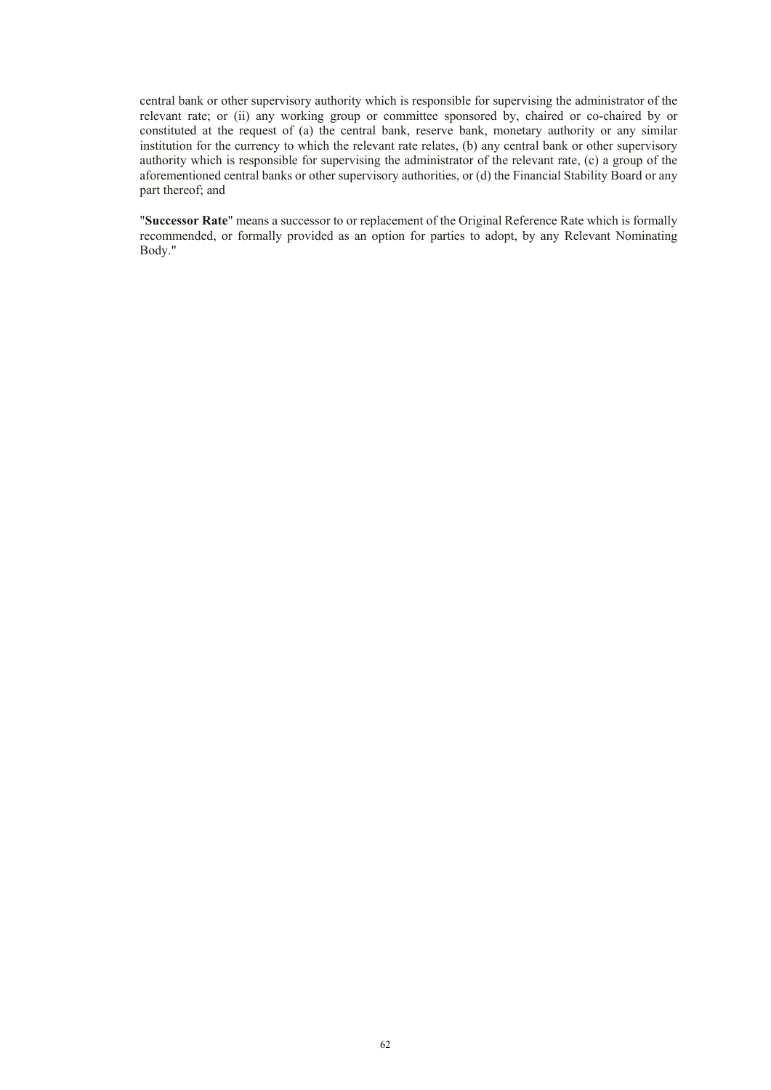central bank or other supervisory authority which is responsible for supervising the administrator of the relevant rate; or (ii) any working group or committee sponsored by, chaired or co-chaired by or constituted at the request of (a) the central bank, reserve bank, monetary authority or any similar institution for the currency to which the relevant rate relates, (b) any central bank or other supervisory authority which is responsible for supervising the administrator of the relevant rate, (c) a group of the aforementioned central banks or other supervisory authorities, or (d) the Financial Stability Board or any part thereof; and

"**Successor Rate**" means a successor to or replacement of the Original Reference Rate which is formally recommended, or formally provided as an option for parties to adopt, by any Relevant Nominating Body."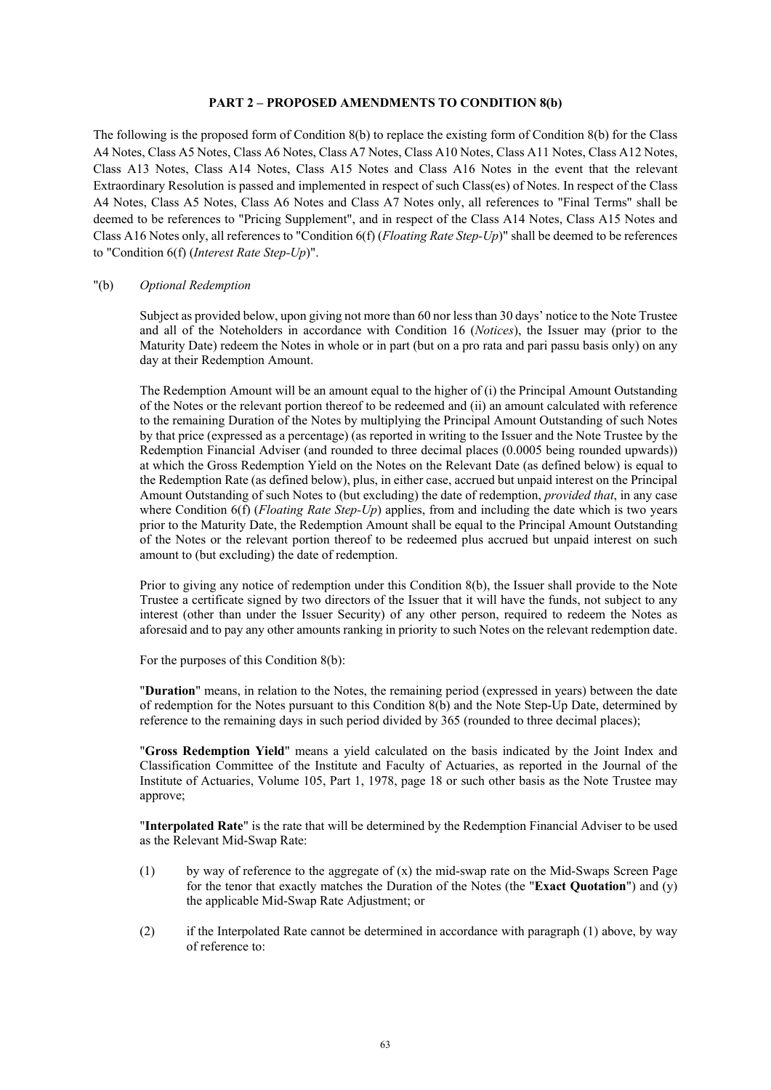#### **PART 2 – PROPOSED AMENDMENTS TO CONDITION 8(b)**

The following is the proposed form of Condition 8(b) to replace the existing form of Condition 8(b) for the Class A4 Notes, Class A5 Notes, Class A6 Notes, Class A7 Notes, Class A10 Notes, Class A11 Notes, Class A12 Notes, Class A13 Notes, Class A14 Notes, Class A15 Notes and Class A16 Notes in the event that the relevant Extraordinary Resolution is passed and implemented in respect of such Class(es) of Notes. In respect of the Class A4 Notes, Class A5 Notes, Class A6 Notes and Class A7 Notes only, all references to "Final Terms" shall be deemed to be references to "Pricing Supplement", and in respect of the Class A14 Notes, Class A15 Notes and Class A16 Notes only, all references to "Condition 6(f) (*Floating Rate Step-Up*)" shall be deemed to be references to "Condition 6(f) (*Interest Rate Step-Up*)".

#### "(b) *Optional Redemption*

Subject as provided below, upon giving not more than 60 nor less than 30 days' notice to the Note Trustee and all of the Noteholders in accordance with Condition 16 (*Notices*), the Issuer may (prior to the Maturity Date) redeem the Notes in whole or in part (but on a pro rata and pari passu basis only) on any day at their Redemption Amount.

The Redemption Amount will be an amount equal to the higher of (i) the Principal Amount Outstanding of the Notes or the relevant portion thereof to be redeemed and (ii) an amount calculated with reference to the remaining Duration of the Notes by multiplying the Principal Amount Outstanding of such Notes by that price (expressed as a percentage) (as reported in writing to the Issuer and the Note Trustee by the Redemption Financial Adviser (and rounded to three decimal places (0.0005 being rounded upwards)) at which the Gross Redemption Yield on the Notes on the Relevant Date (as defined below) is equal to the Redemption Rate (as defined below), plus, in either case, accrued but unpaid interest on the Principal Amount Outstanding of such Notes to (but excluding) the date of redemption, *provided that*, in any case where Condition 6(f) (*Floating Rate Step-Up*) applies, from and including the date which is two years prior to the Maturity Date, the Redemption Amount shall be equal to the Principal Amount Outstanding of the Notes or the relevant portion thereof to be redeemed plus accrued but unpaid interest on such amount to (but excluding) the date of redemption.

Prior to giving any notice of redemption under this Condition 8(b), the Issuer shall provide to the Note Trustee a certificate signed by two directors of the Issuer that it will have the funds, not subject to any interest (other than under the Issuer Security) of any other person, required to redeem the Notes as aforesaid and to pay any other amounts ranking in priority to such Notes on the relevant redemption date.

For the purposes of this Condition 8(b):

"**Duration**" means, in relation to the Notes, the remaining period (expressed in years) between the date of redemption for the Notes pursuant to this Condition 8(b) and the Note Step-Up Date, determined by reference to the remaining days in such period divided by 365 (rounded to three decimal places);

"**Gross Redemption Yield**" means a yield calculated on the basis indicated by the Joint Index and Classification Committee of the Institute and Faculty of Actuaries, as reported in the Journal of the Institute of Actuaries, Volume 105, Part 1, 1978, page 18 or such other basis as the Note Trustee may approve;

"**Interpolated Rate**" is the rate that will be determined by the Redemption Financial Adviser to be used as the Relevant Mid-Swap Rate:

- (1) by way of reference to the aggregate of (x) the mid-swap rate on the Mid-Swaps Screen Page for the tenor that exactly matches the Duration of the Notes (the "**Exact Quotation**") and (y) the applicable Mid-Swap Rate Adjustment; or
- (2) if the Interpolated Rate cannot be determined in accordance with paragraph (1) above, by way of reference to: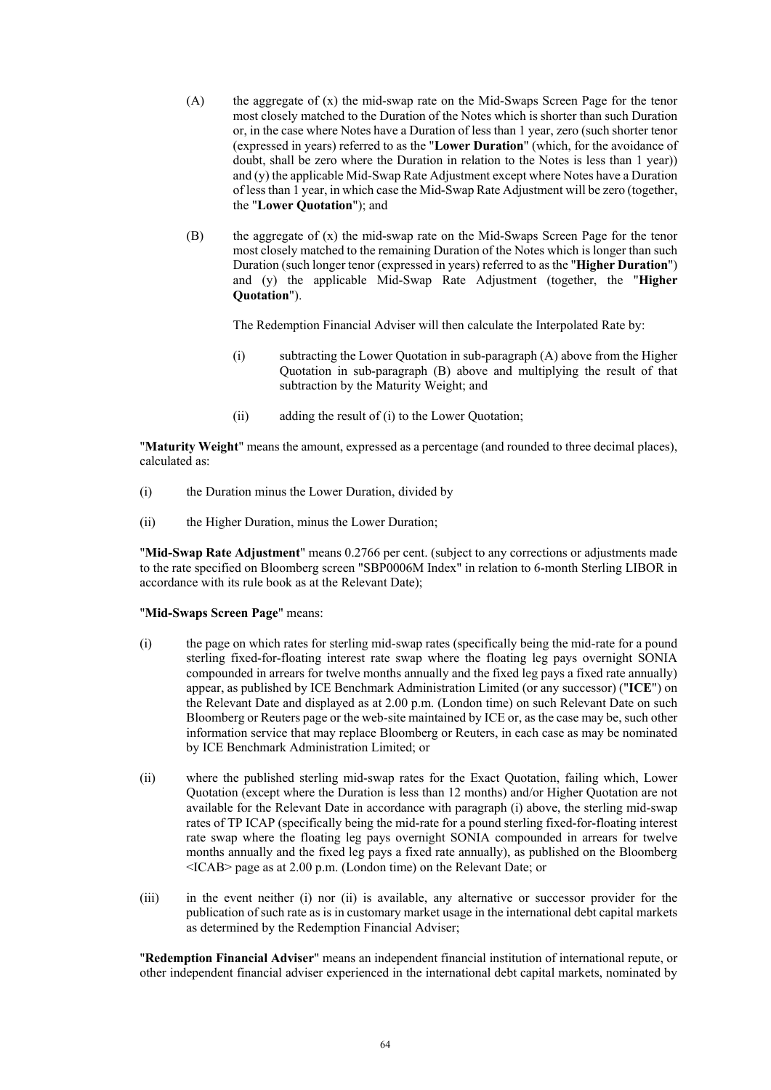- (A) the aggregate of (x) the mid-swap rate on the Mid-Swaps Screen Page for the tenor most closely matched to the Duration of the Notes which is shorter than such Duration or, in the case where Notes have a Duration of less than 1 year, zero (such shorter tenor (expressed in years) referred to as the "**Lower Duration**" (which, for the avoidance of doubt, shall be zero where the Duration in relation to the Notes is less than 1 year)) and (y) the applicable Mid-Swap Rate Adjustment except where Notes have a Duration of less than 1 year, in which case the Mid-Swap Rate Adjustment will be zero (together, the "**Lower Quotation**"); and
- (B) the aggregate of (x) the mid-swap rate on the Mid-Swaps Screen Page for the tenor most closely matched to the remaining Duration of the Notes which is longer than such Duration (such longer tenor (expressed in years) referred to as the "**Higher Duration**") and (y) the applicable Mid-Swap Rate Adjustment (together, the "**Higher Quotation**").

The Redemption Financial Adviser will then calculate the Interpolated Rate by:

- (i) subtracting the Lower Quotation in sub-paragraph (A) above from the Higher Quotation in sub-paragraph (B) above and multiplying the result of that subtraction by the Maturity Weight; and
- (ii) adding the result of (i) to the Lower Quotation;

"**Maturity Weight**" means the amount, expressed as a percentage (and rounded to three decimal places), calculated as:

- (i) the Duration minus the Lower Duration, divided by
- (ii) the Higher Duration, minus the Lower Duration;

"**Mid-Swap Rate Adjustment**" means 0.2766 per cent. (subject to any corrections or adjustments made to the rate specified on Bloomberg screen "SBP0006M Index" in relation to 6-month Sterling LIBOR in accordance with its rule book as at the Relevant Date);

#### "**Mid-Swaps Screen Page**" means:

- (i) the page on which rates for sterling mid-swap rates (specifically being the mid-rate for a pound sterling fixed-for-floating interest rate swap where the floating leg pays overnight SONIA compounded in arrears for twelve months annually and the fixed leg pays a fixed rate annually) appear, as published by ICE Benchmark Administration Limited (or any successor) ("**ICE**") on the Relevant Date and displayed as at 2.00 p.m. (London time) on such Relevant Date on such Bloomberg or Reuters page or the web-site maintained by ICE or, as the case may be, such other information service that may replace Bloomberg or Reuters, in each case as may be nominated by ICE Benchmark Administration Limited; or
- (ii) where the published sterling mid-swap rates for the Exact Quotation, failing which, Lower Quotation (except where the Duration is less than 12 months) and/or Higher Quotation are not available for the Relevant Date in accordance with paragraph (i) above, the sterling mid-swap rates of TP ICAP (specifically being the mid-rate for a pound sterling fixed-for-floating interest rate swap where the floating leg pays overnight SONIA compounded in arrears for twelve months annually and the fixed leg pays a fixed rate annually), as published on the Bloomberg <ICAB> page as at 2.00 p.m. (London time) on the Relevant Date; or
- (iii) in the event neither (i) nor (ii) is available, any alternative or successor provider for the publication of such rate as is in customary market usage in the international debt capital markets as determined by the Redemption Financial Adviser;

"**Redemption Financial Adviser**" means an independent financial institution of international repute, or other independent financial adviser experienced in the international debt capital markets, nominated by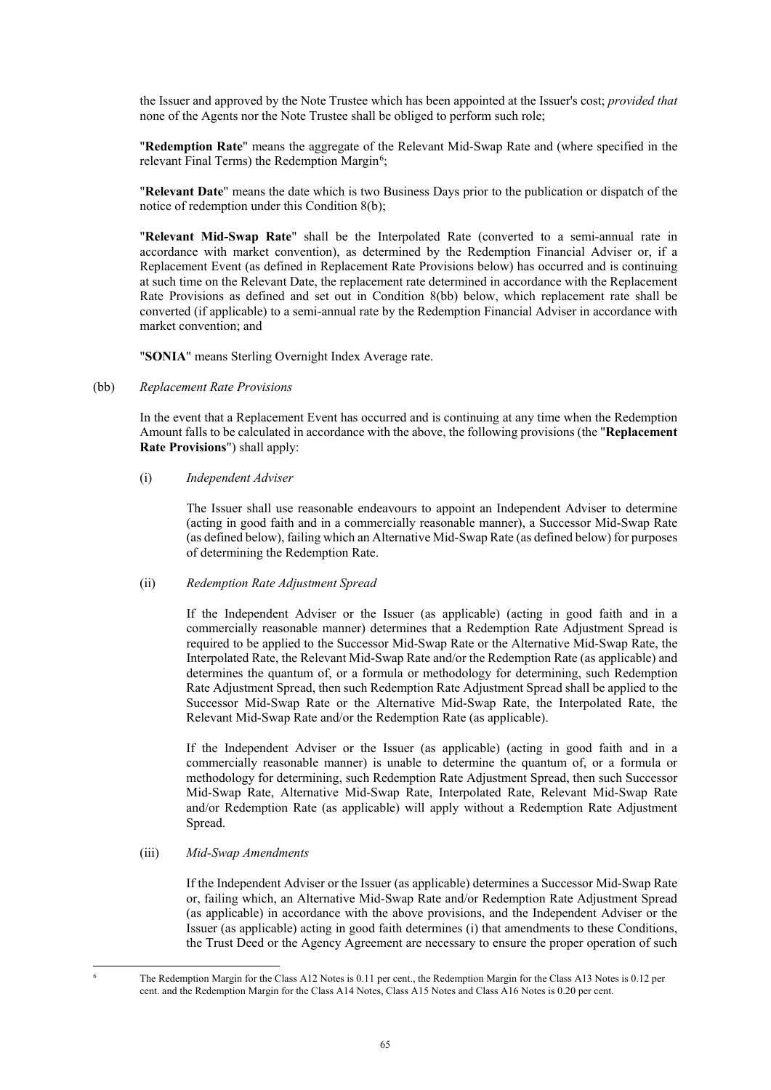the Issuer and approved by the Note Trustee which has been appointed at the Issuer's cost; *provided that* none of the Agents nor the Note Trustee shall be obliged to perform such role;

"**Redemption Rate**" means the aggregate of the Relevant Mid-Swap Rate and (where specified in the relevant Final Terms) the Redemption Margin<sup>[6](#page-64-0)</sup>;

"**Relevant Date**" means the date which is two Business Days prior to the publication or dispatch of the notice of redemption under this Condition 8(b);

"**Relevant Mid-Swap Rate**" shall be the Interpolated Rate (converted to a semi-annual rate in accordance with market convention), as determined by the Redemption Financial Adviser or, if a Replacement Event (as defined in Replacement Rate Provisions below) has occurred and is continuing at such time on the Relevant Date, the replacement rate determined in accordance with the Replacement Rate Provisions as defined and set out in Condition 8(bb) below, which replacement rate shall be converted (if applicable) to a semi-annual rate by the Redemption Financial Adviser in accordance with market convention; and

"**SONIA**" means Sterling Overnight Index Average rate.

(bb) *Replacement Rate Provisions*

In the event that a Replacement Event has occurred and is continuing at any time when the Redemption Amount falls to be calculated in accordance with the above, the following provisions (the "**Replacement Rate Provisions**") shall apply:

#### (i) *Independent Adviser*

The Issuer shall use reasonable endeavours to appoint an Independent Adviser to determine (acting in good faith and in a commercially reasonable manner), a Successor Mid-Swap Rate (as defined below), failing which an Alternative Mid-Swap Rate (as defined below) for purposes of determining the Redemption Rate.

### (ii) *Redemption Rate Adjustment Spread*

If the Independent Adviser or the Issuer (as applicable) (acting in good faith and in a commercially reasonable manner) determines that a Redemption Rate Adjustment Spread is required to be applied to the Successor Mid-Swap Rate or the Alternative Mid-Swap Rate, the Interpolated Rate, the Relevant Mid-Swap Rate and/or the Redemption Rate (as applicable) and determines the quantum of, or a formula or methodology for determining, such Redemption Rate Adjustment Spread, then such Redemption Rate Adjustment Spread shall be applied to the Successor Mid-Swap Rate or the Alternative Mid-Swap Rate, the Interpolated Rate, the Relevant Mid-Swap Rate and/or the Redemption Rate (as applicable).

If the Independent Adviser or the Issuer (as applicable) (acting in good faith and in a commercially reasonable manner) is unable to determine the quantum of, or a formula or methodology for determining, such Redemption Rate Adjustment Spread, then such Successor Mid-Swap Rate, Alternative Mid-Swap Rate, Interpolated Rate, Relevant Mid-Swap Rate and/or Redemption Rate (as applicable) will apply without a Redemption Rate Adjustment Spread.

### (iii) *Mid-Swap Amendments*

If the Independent Adviser or the Issuer (as applicable) determines a Successor Mid-Swap Rate or, failing which, an Alternative Mid-Swap Rate and/or Redemption Rate Adjustment Spread (as applicable) in accordance with the above provisions, and the Independent Adviser or the Issuer (as applicable) acting in good faith determines (i) that amendments to these Conditions, the Trust Deed or the Agency Agreement are necessary to ensure the proper operation of such

<span id="page-64-0"></span> <sup>6</sup> The Redemption Margin for the Class A12 Notes is 0.11 per cent., the Redemption Margin for the Class A13 Notes is 0.12 per cent. and the Redemption Margin for the Class A14 Notes, Class A15 Notes and Class A16 Notes is 0.20 per cent.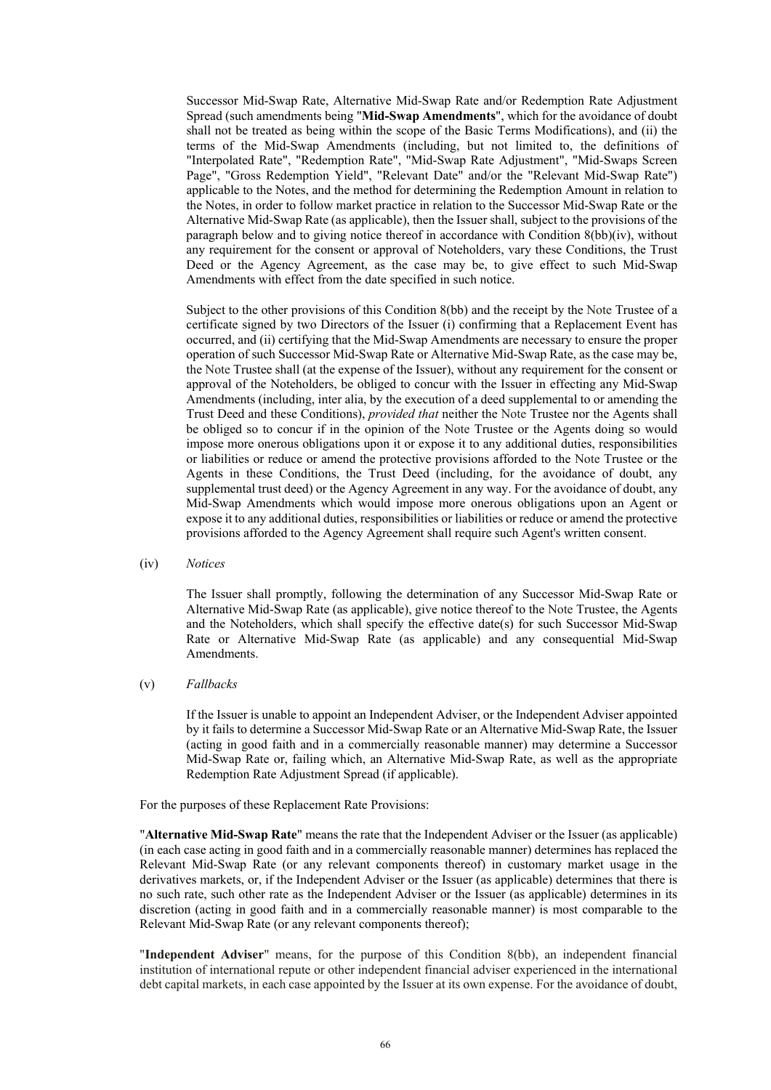Successor Mid-Swap Rate, Alternative Mid-Swap Rate and/or Redemption Rate Adjustment Spread (such amendments being "**Mid-Swap Amendments**", which for the avoidance of doubt shall not be treated as being within the scope of the Basic Terms Modifications), and (ii) the terms of the Mid-Swap Amendments (including, but not limited to, the definitions of "Interpolated Rate", "Redemption Rate", "Mid-Swap Rate Adjustment", "Mid-Swaps Screen Page", "Gross Redemption Yield", "Relevant Date" and/or the "Relevant Mid-Swap Rate") applicable to the Notes, and the method for determining the Redemption Amount in relation to the Notes, in order to follow market practice in relation to the Successor Mid-Swap Rate or the Alternative Mid-Swap Rate (as applicable), then the Issuer shall, subject to the provisions of the paragraph below and to giving notice thereof in accordance with Condition 8(bb)(iv), without any requirement for the consent or approval of Noteholders, vary these Conditions, the Trust Deed or the Agency Agreement, as the case may be, to give effect to such Mid-Swap Amendments with effect from the date specified in such notice.

Subject to the other provisions of this Condition 8(bb) and the receipt by the Note Trustee of a certificate signed by two Directors of the Issuer (i) confirming that a Replacement Event has occurred, and (ii) certifying that the Mid-Swap Amendments are necessary to ensure the proper operation of such Successor Mid-Swap Rate or Alternative Mid-Swap Rate, as the case may be, the Note Trustee shall (at the expense of the Issuer), without any requirement for the consent or approval of the Noteholders, be obliged to concur with the Issuer in effecting any Mid-Swap Amendments (including, inter alia, by the execution of a deed supplemental to or amending the Trust Deed and these Conditions), *provided that* neither the Note Trustee nor the Agents shall be obliged so to concur if in the opinion of the Note Trustee or the Agents doing so would impose more onerous obligations upon it or expose it to any additional duties, responsibilities or liabilities or reduce or amend the protective provisions afforded to the Note Trustee or the Agents in these Conditions, the Trust Deed (including, for the avoidance of doubt, any supplemental trust deed) or the Agency Agreement in any way. For the avoidance of doubt, any Mid-Swap Amendments which would impose more onerous obligations upon an Agent or expose it to any additional duties, responsibilities or liabilities or reduce or amend the protective provisions afforded to the Agency Agreement shall require such Agent's written consent.

(iv) *Notices*

The Issuer shall promptly, following the determination of any Successor Mid-Swap Rate or Alternative Mid-Swap Rate (as applicable), give notice thereof to the Note Trustee, the Agents and the Noteholders, which shall specify the effective date(s) for such Successor Mid-Swap Rate or Alternative Mid-Swap Rate (as applicable) and any consequential Mid-Swap Amendments.

(v) *Fallbacks*

If the Issuer is unable to appoint an Independent Adviser, or the Independent Adviser appointed by it fails to determine a Successor Mid-Swap Rate or an Alternative Mid-Swap Rate, the Issuer (acting in good faith and in a commercially reasonable manner) may determine a Successor Mid-Swap Rate or, failing which, an Alternative Mid-Swap Rate, as well as the appropriate Redemption Rate Adjustment Spread (if applicable).

For the purposes of these Replacement Rate Provisions:

"**Alternative Mid-Swap Rate**" means the rate that the Independent Adviser or the Issuer (as applicable) (in each case acting in good faith and in a commercially reasonable manner) determines has replaced the Relevant Mid-Swap Rate (or any relevant components thereof) in customary market usage in the derivatives markets, or, if the Independent Adviser or the Issuer (as applicable) determines that there is no such rate, such other rate as the Independent Adviser or the Issuer (as applicable) determines in its discretion (acting in good faith and in a commercially reasonable manner) is most comparable to the Relevant Mid-Swap Rate (or any relevant components thereof);

"**Independent Adviser**" means, for the purpose of this Condition 8(bb), an independent financial institution of international repute or other independent financial adviser experienced in the international debt capital markets, in each case appointed by the Issuer at its own expense. For the avoidance of doubt,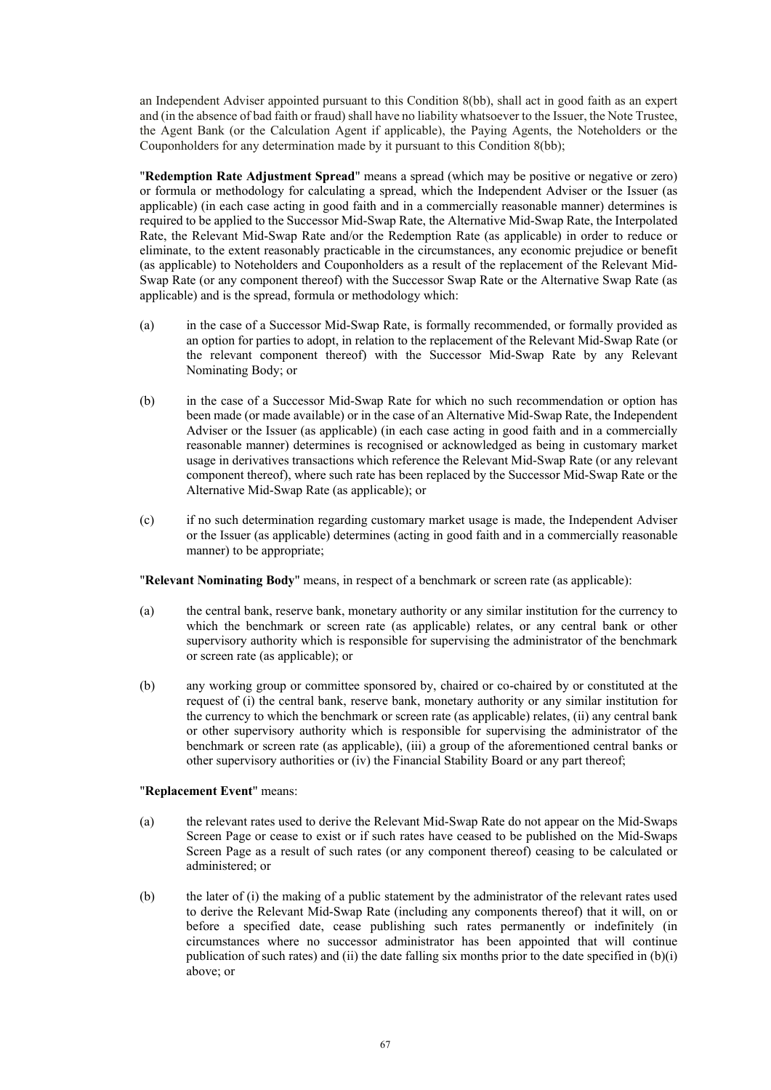an Independent Adviser appointed pursuant to this Condition 8(bb), shall act in good faith as an expert and (in the absence of bad faith or fraud) shall have no liability whatsoever to the Issuer, the Note Trustee, the Agent Bank (or the Calculation Agent if applicable), the Paying Agents, the Noteholders or the Couponholders for any determination made by it pursuant to this Condition 8(bb);

"**Redemption Rate Adjustment Spread**" means a spread (which may be positive or negative or zero) or formula or methodology for calculating a spread, which the Independent Adviser or the Issuer (as applicable) (in each case acting in good faith and in a commercially reasonable manner) determines is required to be applied to the Successor Mid-Swap Rate, the Alternative Mid-Swap Rate, the Interpolated Rate, the Relevant Mid-Swap Rate and/or the Redemption Rate (as applicable) in order to reduce or eliminate, to the extent reasonably practicable in the circumstances, any economic prejudice or benefit (as applicable) to Noteholders and Couponholders as a result of the replacement of the Relevant Mid-Swap Rate (or any component thereof) with the Successor Swap Rate or the Alternative Swap Rate (as applicable) and is the spread, formula or methodology which:

- (a) in the case of a Successor Mid-Swap Rate, is formally recommended, or formally provided as an option for parties to adopt, in relation to the replacement of the Relevant Mid-Swap Rate (or the relevant component thereof) with the Successor Mid-Swap Rate by any Relevant Nominating Body; or
- (b) in the case of a Successor Mid-Swap Rate for which no such recommendation or option has been made (or made available) or in the case of an Alternative Mid-Swap Rate, the Independent Adviser or the Issuer (as applicable) (in each case acting in good faith and in a commercially reasonable manner) determines is recognised or acknowledged as being in customary market usage in derivatives transactions which reference the Relevant Mid-Swap Rate (or any relevant component thereof), where such rate has been replaced by the Successor Mid-Swap Rate or the Alternative Mid-Swap Rate (as applicable); or
- (c) if no such determination regarding customary market usage is made, the Independent Adviser or the Issuer (as applicable) determines (acting in good faith and in a commercially reasonable manner) to be appropriate;

"**Relevant Nominating Body**" means, in respect of a benchmark or screen rate (as applicable):

- (a) the central bank, reserve bank, monetary authority or any similar institution for the currency to which the benchmark or screen rate (as applicable) relates, or any central bank or other supervisory authority which is responsible for supervising the administrator of the benchmark or screen rate (as applicable); or
- (b) any working group or committee sponsored by, chaired or co-chaired by or constituted at the request of (i) the central bank, reserve bank, monetary authority or any similar institution for the currency to which the benchmark or screen rate (as applicable) relates, (ii) any central bank or other supervisory authority which is responsible for supervising the administrator of the benchmark or screen rate (as applicable), (iii) a group of the aforementioned central banks or other supervisory authorities or (iv) the Financial Stability Board or any part thereof;

#### "**Replacement Event**" means:

- (a) the relevant rates used to derive the Relevant Mid-Swap Rate do not appear on the Mid-Swaps Screen Page or cease to exist or if such rates have ceased to be published on the Mid-Swaps Screen Page as a result of such rates (or any component thereof) ceasing to be calculated or administered; or
- (b) the later of (i) the making of a public statement by the administrator of the relevant rates used to derive the Relevant Mid-Swap Rate (including any components thereof) that it will, on or before a specified date, cease publishing such rates permanently or indefinitely (in circumstances where no successor administrator has been appointed that will continue publication of such rates) and (ii) the date falling six months prior to the date specified in (b)(i) above; or